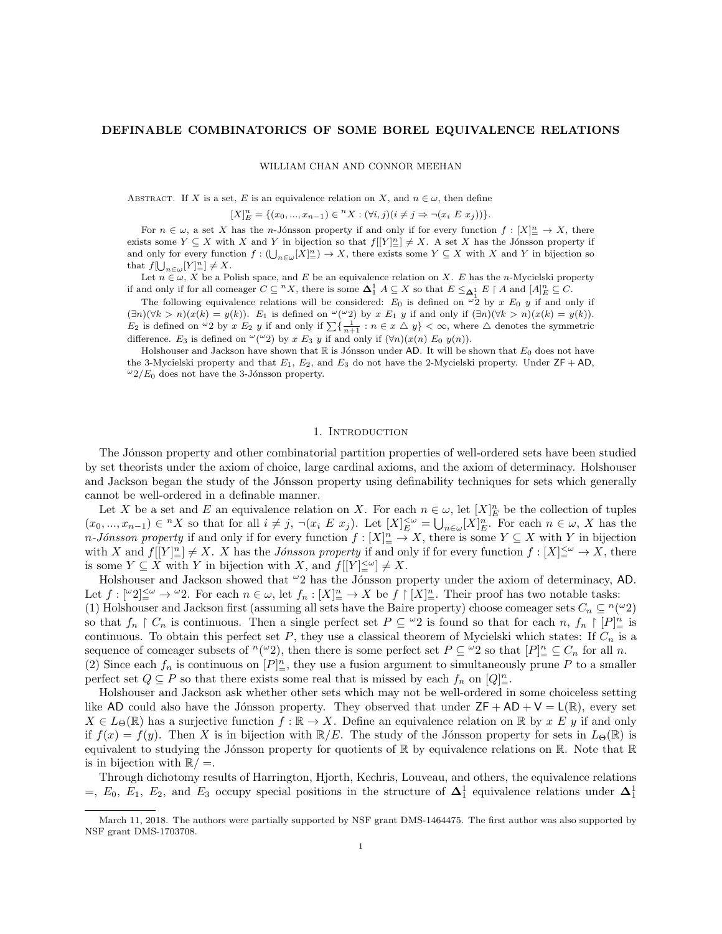### DEFINABLE COMBINATORICS OF SOME BOREL EQUIVALENCE RELATIONS

WILLIAM CHAN AND CONNOR MEEHAN

ABSTRACT. If X is a set, E is an equivalence relation on X, and  $n \in \omega$ , then define

 $[X]_E^n = \{(x_0, ..., x_{n-1}) \in {}^n X : (\forall i, j) (i \neq j \Rightarrow \neg (x_i \ E \ x_j))\}.$ 

For  $n \in \omega$ , a set X has the n-Jónsson property if and only if for every function  $f: [X]^n_\equiv \to X$ , there exists some  $Y \subseteq X$  with X and Y in bijection so that  $f[[Y]]^n \neq X$ . A set X has the Jónsson property if and only for every function  $f: (\bigcup_{n\in\omega}[X]_m^n) \to X$ , there exists some  $Y \subseteq X$  with X and Y in bijection so that  $f[\bigcup_{n\in\omega}[Y]_{=}^n] \neq X$ .

Let  $n \in \omega$ , X be a Polish space, and E be an equivalence relation on X. E has the n-Mycielski property if and only if for all comeager  $C \subseteq {}^{n}X$ , there is some  $\mathbf{\Delta}^1_1 A \subseteq X$  so that  $E \leq_{\mathbf{\Delta}^1_1} E \restriction A$  and  $[A]_E^n \subseteq C$ .

The following equivalence relations will be considered:  $E_0$  is defined on  $\omega_2$  by x  $E_0$  y if and only if  $(\exists n)(\forall k > n)(x(k) = y(k)).$  E<sub>1</sub> is defined on  $\omega(\omega_2)$  by x E<sub>1</sub> y if and only if  $(\exists n)(\forall k > n)(x(k) = y(k)).$  $E_2$  is defined on  $\omega_2$  by  $x E_2 y$  if and only if  $\sum {\frac{1}{n+1} : n \in x \triangle y} < \infty$ , where  $\triangle$  denotes the symmetric difference. E<sub>3</sub> is defined on  $\omega(\omega_2)$  by x E<sub>3</sub> y if and only if  $(\forall n)(x(n) E_0 y(n))$ .

Holshouser and Jackson have shown that  $\mathbb R$  is Jónsson under AD. It will be shown that  $E_0$  does not have the 3-Mycielski property and that  $E_1$ ,  $E_2$ , and  $E_3$  do not have the 2-Mycielski property. Under  $ZF + AD$ ,  $\omega_2/E_0$  does not have the 3-Jónsson property.

### 1. INTRODUCTION

The Jónsson property and other combinatorial partition properties of well-ordered sets have been studied by set theorists under the axiom of choice, large cardinal axioms, and the axiom of determinacy. Holshouser and Jackson began the study of the Jónsson property using definability techniques for sets which generally cannot be well-ordered in a definable manner.

Let X be a set and E an equivalence relation on X. For each  $n \in \omega$ , let  $[X]_E^n$  be the collection of tuples  $(x_0, ..., x_{n-1}) \in {}^n X$  so that for all  $i \neq j$ ,  $\neg(x_i \ E \ x_j)$ . Let  $[X]_E^{\lt \omega} = \bigcup_{n \in \omega} [X]_E^n$ . For each  $n \in \omega$ , X has the n-Jónsson property if and only if for every function  $f : [X]^n \to X$ , there is some  $Y \subseteq X$  with Y in bijection with X and  $f[[Y]]_{\equiv}^n \neq X$ . X has the *Jónsson property* if and only if for every function  $f : [X]_{\equiv}^{\leq \omega} \to X$ , there is some  $Y \subseteq X$  with Y in bijection with X, and  $f[[Y] \leq^{\omega}] \neq X$ .

Holshouser and Jackson showed that  $\omega_2$  has the Jónsson property under the axiom of determinacy, AD. Let  $f: [\omega_2] \leq \omega \to \omega_2$ . For each  $n \in \omega$ , let  $f_n: [X]_{\equiv}^n \to X$  be  $f \upharpoonright [X]_{\equiv}^n$ . Their proof has two notable tasks: (1) Holshouser and Jackson first (assuming all sets have the Baire property) choose comeager sets  $C_n \nsubseteq \binom{n(\omega)}{2}$ 

so that  $f_n \restriction C_n$  is continuous. Then a single perfect set  $P \subseteq {}^{\omega}2$  is found so that for each  $n, f_n \restriction [P]^n_{\equiv}$  is continuous. To obtain this perfect set P, they use a classical theorem of Mycielski which states: If  $C_n$  is a sequence of comeager subsets of  $^n({}^\omega 2)$ , then there is some perfect set  $P \subseteq {}^\omega 2$  so that  $[P]_+^n \subseteq C_n$  for all n.

(2) Since each  $f_n$  is continuous on  $[P]^n_{\equiv}$ , they use a fusion argument to simultaneously prune P to a smaller perfect set  $Q \subseteq P$  so that there exists some real that is missed by each  $f_n$  on  $[Q]_{\pm}^n$ .

Holshouser and Jackson ask whether other sets which may not be well-ordered in some choiceless setting like AD could also have the Jónsson property. They observed that under  $ZF + AD + V = L(\mathbb{R})$ , every set  $X \in L_{\Theta}(\mathbb{R})$  has a surjective function  $f : \mathbb{R} \to X$ . Define an equivalence relation on  $\mathbb{R}$  by x E y if and only if  $f(x) = f(y)$ . Then X is in bijection with  $\mathbb{R}/E$ . The study of the Jónsson property for sets in  $L_{\Theta}(\mathbb{R})$  is equivalent to studying the Jónsson property for quotients of  $\mathbb R$  by equivalence relations on  $\mathbb R$ . Note that  $\mathbb R$ is in bijection with  $\mathbb{R}/=$ .

Through dichotomy results of Harrington, Hjorth, Kechris, Louveau, and others, the equivalence relations  $=$ ,  $E_0$ ,  $E_1$ ,  $E_2$ , and  $E_3$  occupy special positions in the structure of  $\Delta_1^1$  equivalence relations under  $\Delta_1^1$ 

March 11, 2018. The authors were partially supported by NSF grant DMS-1464475. The first author was also supported by NSF grant DMS-1703708.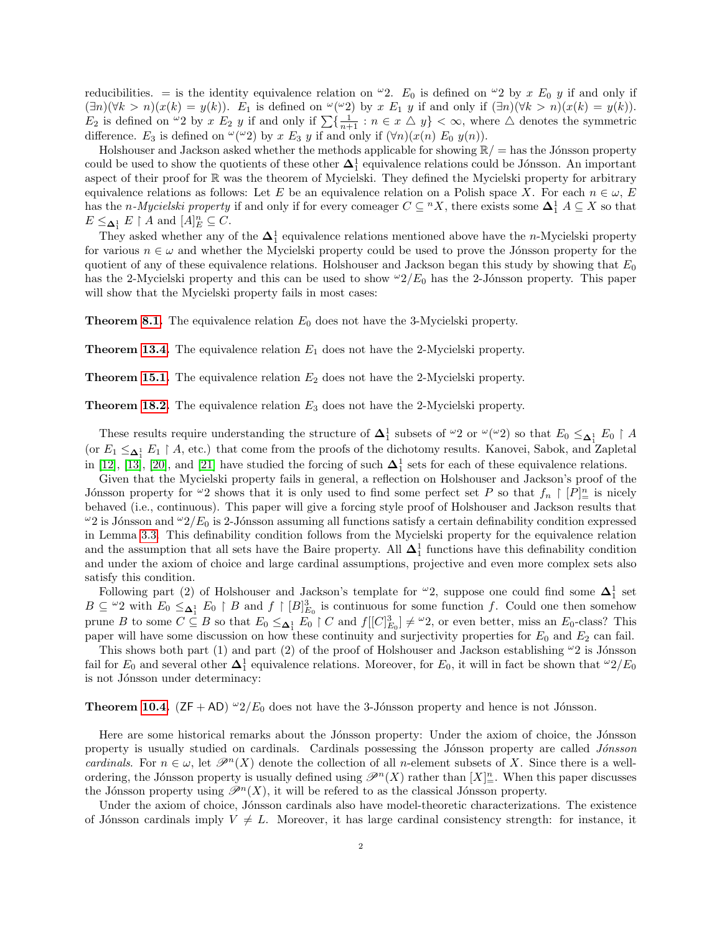reducibilities. = is the identity equivalence relation on  $\omega_2$ .  $E_0$  is defined on  $\omega_2$  by x  $E_0$  y if and only if  $(\exists n)(\forall k > n)(x(k) = y(k)).$  E<sub>1</sub> is defined on  $\omega(\omega_2)$  by x E<sub>1</sub> y if and only if  $(\exists n)(\forall k > n)(x(k) = y(k)).$  $E_2$  is defined on  $\omega_2$  by  $x E_2 y$  if and only if  $\sum {\frac{1}{n+1} : n \in x \triangle y} < \infty$ , where  $\triangle$  denotes the symmetric difference.  $E_3$  is defined on  $\omega(\omega_2)$  by  $x E_3 y$  if and only if  $(\forall n)(x(n) E_0 y(n))$ .

Holshouser and Jackson asked whether the methods applicable for showing  $\mathbb{R}/=$  has the Jónsson property could be used to show the quotients of these other  $\Delta_1^1$  equivalence relations could be Jónsson. An important aspect of their proof for R was the theorem of Mycielski. They defined the Mycielski property for arbitrary equivalence relations as follows: Let E be an equivalence relation on a Polish space X. For each  $n \in \omega$ , E has the *n-Mycielski property* if and only if for every comeager  $C \subseteq N$ , there exists some  $\Delta_1^1 A \subseteq X$  so that  $E \leq_{\pmb{\Delta}_1^1} E \restriction A$  and  $[A]_E^n \subseteq C$ .

They asked whether any of the  $\Delta_1^1$  equivalence relations mentioned above have the n-Mycielski property for various  $n \in \omega$  and whether the Mycielski property could be used to prove the Jónsson property for the quotient of any of these equivalence relations. Holshouser and Jackson began this study by showing that  $E_0$ has the 2-Mycielski property and this can be used to show  $2/E_0$  has the 2-Jónsson property. This paper will show that the Mycielski property fails in most cases:

**Theorem [8.1.](#page-16-0)** The equivalence relation  $E_0$  does not have the 3-Mycielski property.

**Theorem [13.4.](#page-22-0)** The equivalence relation  $E_1$  does not have the 2-Mycielski property.

**Theorem [15.1.](#page-27-0)** The equivalence relation  $E_2$  does not have the 2-Mycielski property.

**Theorem [18.2.](#page-32-0)** The equivalence relation  $E_3$  does not have the 2-Mycielski property.

These results require understanding the structure of  $\Delta_1^1$  subsets of  $\omega_2$  or  $\omega(\omega_2)$  so that  $E_0 \leq_{\Delta_1^1} E_0 \restriction A$ (or  $E_1 \leq_{\mathbf{\Delta}_1^1} E_1 \upharpoonright A$ , etc.) that come from the proofs of the dichotomy results. Kanovei, Sabok, and Zapletal in [\[12\]](#page-34-0), [\[13\]](#page-35-0), [\[20\]](#page-35-1), and [\[21\]](#page-35-2) have studied the forcing of such  $\Delta_1^1$  sets for each of these equivalence relations.

Given that the Mycielski property fails in general, a reflection on Holshouser and Jackson's proof of the Jónsson property for  $\omega_2$  shows that it is only used to find some perfect set P so that  $f_n \restriction [P]^n$  is nicely behaved (i.e., continuous). This paper will give a forcing style proof of Holshouser and Jackson results that  $\omega_2$  is Jónsson and  $\omega_2/E_0$  is 2-Jónsson assuming all functions satisfy a certain definability condition expressed in Lemma [3.3.](#page-7-0) This definability condition follows from the Mycielski property for the equivalence relation and the assumption that all sets have the Baire property. All  $\Delta_1^1$  functions have this definability condition and under the axiom of choice and large cardinal assumptions, projective and even more complex sets also satisfy this condition.

Following part (2) of Holshouser and Jackson's template for  $\omega_2$ , suppose one could find some  $\Delta_1^1$  set  $B \subseteq \{0, 2\}$  with  $E_0 \leq_{\Delta_1^1} E_0 \upharpoonright B$  and  $f \upharpoonright [B]_{E_0}^3$  is continuous for some function f. Could one then somehow prune B to some  $C \subseteq B$  so that  $E_0 \leq_{\Delta_1^1} E_0 \restriction C$  and  $f[[C]_{E_0}^3] \neq {}^{\omega}2$ , or even better, miss an  $E_0$ -class? This paper will have some discussion on how these continuity and surjectivity properties for  $E_0$  and  $E_2$  can fail.

This shows both part (1) and part (2) of the proof of Holshouser and Jackson establishing  $\omega_2$  is Jónsson fail for  $E_0$  and several other  $\Delta_1^1$  equivalence relations. Moreover, for  $E_0$ , it will in fact be shown that  $\omega_2/E_0$ is not Jónsson under determinacy:

**Theorem [10.4.](#page-19-0)** ( $ZF + AD$ )  $\omega_2/E_0$  does not have the 3-Jónsson property and hence is not Jónsson.

Here are some historical remarks about the Jónsson property: Under the axiom of choice, the Jónsson property is usually studied on cardinals. Cardinals possessing the Jónsson property are called Jónsson cardinals. For  $n \in \omega$ , let  $\mathcal{P}^n(X)$  denote the collection of all n-element subsets of X. Since there is a wellordering, the Jónsson property is usually defined using  $\mathscr{P}^n(X)$  rather than  $[X]_{\equiv}^n$ . When this paper discusses the Jónsson property using  $\mathscr{P}^n(X)$ , it will be refered to as the classical Jónsson property.

Under the axiom of choice, Jonsson cardinals also have model-theoretic characterizations. The existence of Jónsson cardinals imply  $V \neq L$ . Moreover, it has large cardinal consistency strength: for instance, it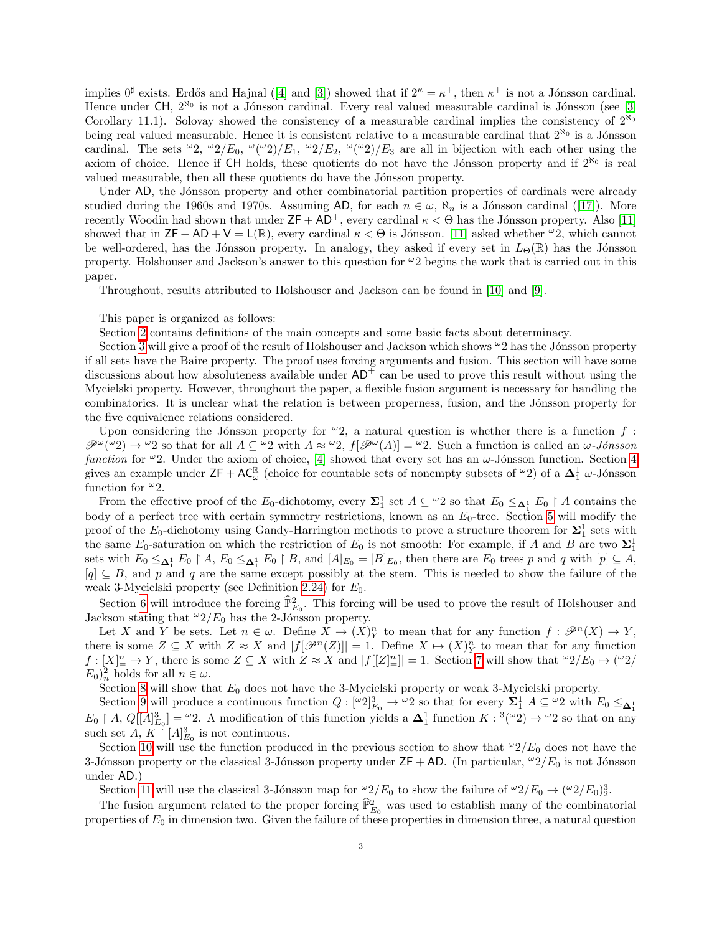implies $0^{\sharp}$  exists. Erdős and Hajnal ([\[4\]](#page-34-1) and [\[3\]](#page-34-2)) showed that if  $2^{\kappa} = \kappa^+$ , then  $\kappa^+$  is not a Jónsson cardinal. Hence under  $CH$ ,  $2^{\aleph_0}$  is not a Jónsson cardinal. Every real valued measurable cardinal is Jónsson (see [\[3\]](#page-34-2) Corollary 11.1). Solovay showed the consistency of a measurable cardinal implies the consistency of  $2^{\aleph_0}$ being real valued measurable. Hence it is consistent relative to a measurable cardinal that  $2^{\aleph_0}$  is a Jónsson cardinal. The sets  $\omega_2$ ,  $\omega_2/E_0$ ,  $\omega(\omega_2)/E_1$ ,  $\omega_2/E_2$ ,  $\omega(\omega_2)/E_3$  are all in bijection with each other using the axiom of choice. Hence if CH holds, these quotients do not have the Jónsson property and if  $2^{\aleph_0}$  is real valued measurable, then all these quotients do have the Jónsson property.

Under AD, the Jónsson property and other combinatorial partition properties of cardinals were already studiedduring the 1960s and 1970s. Assuming AD, for each  $n \in \omega$ ,  $\aleph_n$  is a Jónsson cardinal ([\[17\]](#page-35-3)). More recently Woodin had shown that under  $ZF + AD^+$ , every cardinal  $\kappa < \Theta$  has the Jónsson property. Also [\[11\]](#page-34-3) showed that in  $ZF + AD + V = L(\mathbb{R})$ , every cardinal  $\kappa < \Theta$  is Jónsson. [\[11\]](#page-34-3) asked whether  $\omega_2$ , which cannot be well-ordered, has the Jónsson property. In analogy, they asked if every set in  $L_{\Theta}(\mathbb{R})$  has the Jónsson property. Holshouser and Jackson's answer to this question for  $\omega_2$  begins the work that is carried out in this paper.

Throughout, results attributed to Holshouser and Jackson can be found in [\[10\]](#page-34-4) and [\[9\]](#page-34-5).

This paper is organized as follows:

Section [2](#page-3-0) contains definitions of the main concepts and some basic facts about determinacy.

Section [3](#page-6-0) will give a proof of the result of Holshouser and Jackson which shows  $\omega_2$  has the Jónsson property if all sets have the Baire property. The proof uses forcing arguments and fusion. This section will have some discussions about how absoluteness available under  $AD<sup>+</sup>$  can be used to prove this result without using the Mycielski property. However, throughout the paper, a flexible fusion argument is necessary for handling the combinatorics. It is unclear what the relation is between properness, fusion, and the Jónsson property for the five equivalence relations considered.

Upon considering the Jónsson property for  $\omega_2$ , a natural question is whether there is a function f:  $\mathscr{P}^{\omega}(\omega_2) \to \omega_2$  so that for all  $A \subseteq \omega_2$  with  $A \approx \omega_2$ ,  $f[\mathscr{P}^{\omega}(A)] = \omega_2$ . Such a function is called an  $\omega$ -Jonsson function for  $\omega$ 2. Under the axiom of choice, [\[4\]](#page-34-1) showed that every set has an  $\omega$ -Jónsson function. Section [4](#page-8-0) gives an example under  $\mathsf{ZF} + \mathsf{AC}_{\omega}^{\mathbb{R}}$  (choice for countable sets of nonempty subsets of  $\omega_2$ ) of a  $\Delta_1^1$   $\omega$ -Jónsson function for  $\omega_2$ .

From the effective proof of the  $E_0$ -dichotomy, every  $\Sigma_1^1$  set  $A \subseteq {}^{\omega}2$  so that  $E_0 \leq_{\Delta_1^1} E_0 \restriction A$  contains the body of a perfect tree with certain symmetry restrictions, known as an  $E_0$ -tree. Section [5](#page-9-0) will modify the proof of the  $E_0$ -dichotomy using Gandy-Harrington methods to prove a structure theorem for  $\Sigma_1^1$  sets with the same  $E_0$ -saturation on which the restriction of  $E_0$  is not smooth: For example, if A and B are two  $\Sigma_1^1$ sets with  $E_0 \leq_{\mathbf{\Delta}_1^1} E_0 \restriction A$ ,  $E_0 \leq_{\mathbf{\Delta}_1^1} E_0 \restriction B$ , and  $[A]_{E_0} = [B]_{E_0}$ , then there are  $E_0$  trees p and q with  $[p] \subseteq A$ ,  $[q] \subseteq B$ , and p and q are the same except possibly at the stem. This is needed to show the failure of the weak 3-Mycielski property (see Definition [2.24\)](#page-6-1) for  $E_0$ .

Section [6](#page-12-0) will introduce the forcing  $\hat{\mathbb{P}}_{E_0}^2$ . This forcing will be used to prove the result of Holshouser and Jackson stating that  $\omega_2/E_0$  has the 2-Jónsson property.

Let X and Y be sets. Let  $n \in \omega$ . Define  $X \to (X)^n_Y$  to mean that for any function  $f : \mathcal{P}^n(X) \to Y$ , there is some  $Z \subseteq X$  with  $Z \approx X$  and  $|f[\mathscr{P}^n(Z)]| = 1$ . Define  $X \mapsto (X)^n_Y$  to mean that for any function  $f: [X]_{\equiv}^n \to Y$ , there is some  $Z \subseteq X$  with  $Z \approx X$  and  $|f[[Z]_{\equiv}^n]| = 1$ . Section [7](#page-15-0) will show that  $\omega_2/E_0 \mapsto (\omega_2/E_0)$  $E_0)_n^2$  holds for all  $n \in \omega$ .

Section [8](#page-16-1) will show that  $E_0$  does not have the 3-Mycielski property or weak 3-Mycielski property.

Section [9](#page-17-0) will produce a continuous function  $Q: [\omega_2]^3_{E_0} \to \omega_2$  so that for every  $\Sigma_1^1$   $A \subseteq \omega_2$  with  $E_0 \leq_{\Delta_1^1}$  $E_0 \upharpoonright A, Q[[A]_{E_0}^3] = \mathcal{L}^2$ . A modification of this function yields a  $\Delta_1^1$  function  $K: {}^3({}^{\omega_2}) \to {}^{\omega_2}$  so that on any such set  $A, K \restriction [A]_{E_0}^3$  is not continuous.

Section [10](#page-18-0) will use the function produced in the previous section to show that  $\omega_2/E_0$  does not have the 3-Jónsson property or the classical 3-Jónsson property under  $ZF + AD$ . (In particular,  $\omega/2/E_0$  is not Jónsson under AD.)

Section [11](#page-20-0) will use the classical 3-Jónsson map for  $\frac{\omega_2}{E_0}$  to show the failure of  $\frac{\omega_2}{E_0} \to (\frac{\omega_2}{E_0})^3$ .

The fusion argument related to the proper forcing  $\widehat{\mathbb{P}}_{E_0}^2$  was used to establish many of the combinatorial properties of  $E_0$  in dimension two. Given the failure of these properties in dimension three, a natural question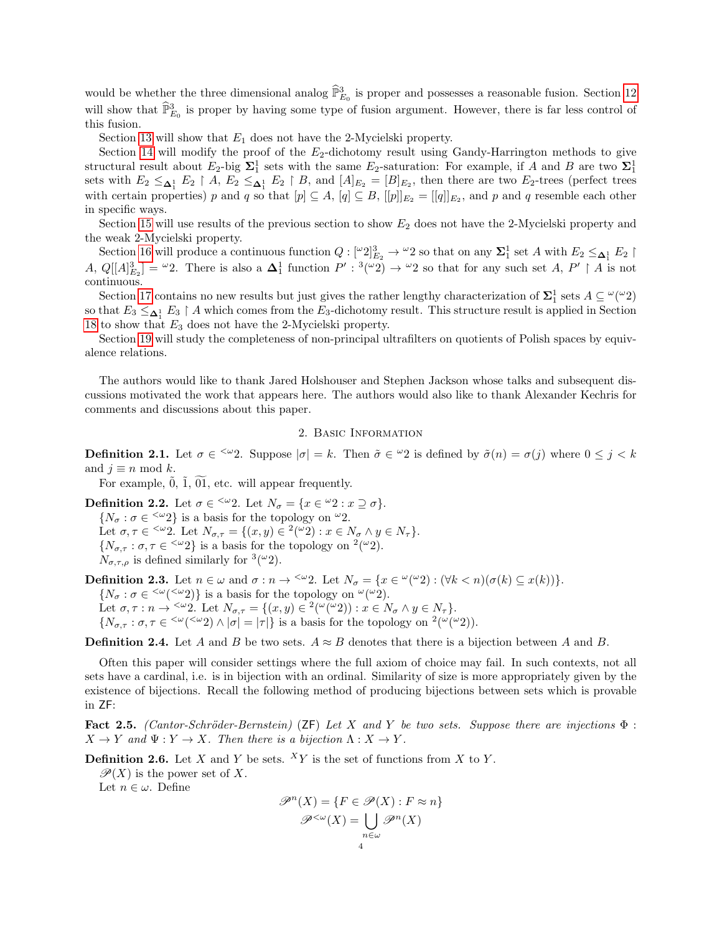would be whether the three dimensional analog  $\widehat{\mathbb{P}}_{E_0}^3$  is proper and possesses a reasonable fusion. Section [12](#page-21-0) will show that  $\widehat{\mathbb{P}}_{E_0}^3$  is proper by having some type of fusion argument. However, there is far less control of this fusion.

Section [13](#page-22-1) will show that  $E_1$  does not have the 2-Mycielski property.

Section [14](#page-23-0) will modify the proof of the  $E_2$ -dichotomy result using Gandy-Harrington methods to give structural result about  $E_2$ -big  $\Sigma_1^1$  sets with the same  $E_2$ -saturation: For example, if A and B are two  $\Sigma_1^1$ sets with  $E_2 \leq_{\Delta_1^1} E_2 \upharpoonright A$ ,  $E_2 \leq_{\Delta_1^1} E_2 \upharpoonright B$ , and  $[A]_{E_2} = [B]_{E_2}$ , then there are two  $E_2$ -trees (perfect trees with certain properties) p and q so that  $[p] \subseteq A$ ,  $[q] \subseteq B$ ,  $[[p]]_{E_2} = [[q]]_{E_2}$ , and p and q resemble each other in specific ways.

Section [15](#page-27-1) will use results of the previous section to show  $E_2$  does not have the 2-Mycielski property and the weak 2-Mycielski property.

Section [16](#page-28-0) will produce a continuous function  $Q: [\omega_2]^3_{E_2} \to \omega_2$  so that on any  $\Sigma_1^1$  set A with  $E_2 \leq_{\Delta_1^1} E_2$ A,  $Q[[A]_{E_2}^3] = \omega_2^2$ . There is also a  $\Delta_1^1$  function  $P' : {}^{3}(\omega_2) \to {}^{\omega_2}$  so that for any such set  $A, P' \upharpoonright A$  is not continuous.

Section [17](#page-31-0) contains no new results but just gives the rather lengthy characterization of  $\Sigma_1^1$  sets  $A \subseteq \mathcal{L}(\mathcal{Q})$ so that  $E_3 \leq_{\bf \Delta_1^1} E_3 \upharpoonright A$  which comes from the  $E_3$ -dichotomy result. This structure result is applied in Section [18](#page-32-1) to show that  $E_3$  does not have the 2-Mycielski property.

Section [19](#page-33-0) will study the completeness of non-principal ultrafilters on quotients of Polish spaces by equivalence relations.

The authors would like to thank Jared Holshouser and Stephen Jackson whose talks and subsequent discussions motivated the work that appears here. The authors would also like to thank Alexander Kechris for comments and discussions about this paper.

### 2. Basic Information

<span id="page-3-0"></span>**Definition 2.1.** Let  $\sigma \in \langle \omega_2 \rangle$ . Suppose  $|\sigma| = k$ . Then  $\tilde{\sigma} \in \omega_2$  is defined by  $\tilde{\sigma}(n) = \sigma(j)$  where  $0 \leq j < k$ and  $j \equiv n \mod k$ .

For example,  $\tilde{0}$ ,  $\tilde{1}$ ,  $\tilde{0}1$ , etc. will appear frequently.

**Definition 2.2.** Let  $\sigma \in \langle \omega_2 \rangle$ . Let  $N_{\sigma} = \{x \in \omega_2 : x \supseteq \sigma\}.$  $\{N_{\sigma} : \sigma \in {}^{\langle \omega}2\}$  is a basis for the topology on  ${}^{\omega}2$ . Let  $\sigma, \tau \in \langle x, y \rangle = \{ (x, y) \in (x^2 \cup y) : x \in N_{\sigma} \land y \in N_{\tau} \}.$  $\{N_{\sigma,\tau} : \sigma, \tau \in \langle \omega_2 \rangle\}$  is a basis for the topology on  $^2(\omega_2)$ .

 $N_{\sigma,\tau,\rho}$  is defined similarly for  $\sqrt[3]{\omega_2}$ .

<span id="page-3-2"></span>**Definition 2.3.** Let  $n \in \omega$  and  $\sigma : n \to \infty$  2. Let  $N_{\sigma} = \{x \in \omega(\omega_2) : (\forall k < n)(\sigma(k) \subseteq x(k))\}.$  $\{N_{\sigma} : \sigma \in {}^{<\omega}({}^{<\omega}2)\}\$ is a basis for the topology on  ${}^{\omega}({}^{\omega}2)$ . Let  $\sigma, \tau : n \to \infty$  2. Let  $N_{\sigma,\tau} = \{(x, y) \in {}^2(\omega(\omega_2)) : x \in N_{\sigma} \wedge y \in N_{\tau}\}.$  $\{N_{\sigma,\tau} : \sigma,\tau \in \langle\omega(\langle\omega_2\rangle \wedge |\sigma| = |\tau|\}\)$  is a basis for the topology on  $^2(\omega(\omega_2)).$ 

**Definition 2.4.** Let A and B be two sets.  $A \approx B$  denotes that there is a bijection between A and B.

Often this paper will consider settings where the full axiom of choice may fail. In such contexts, not all sets have a cardinal, i.e. is in bijection with an ordinal. Similarity of size is more appropriately given by the existence of bijections. Recall the following method of producing bijections between sets which is provable in ZF:

<span id="page-3-1"></span>Fact 2.5. (Cantor-Schröder-Bernstein) (ZF) Let X and Y be two sets. Suppose there are injections  $\Phi$ :  $X \to Y$  and  $\Psi : Y \to X$ . Then there is a bijection  $\Lambda : X \to Y$ .

**Definition 2.6.** Let X and Y be sets.  $^{X}Y$  is the set of functions from X to Y.

 $\mathscr{P}(X)$  is the power set of X.

Let  $n \in \omega$ . Define

$$
\mathscr{P}^n(X) = \{ F \in \mathscr{P}(X) : F \approx n \}
$$

$$
\mathscr{P}^{<\omega}(X) = \bigcup_{n \in \omega} \mathscr{P}^n(X)
$$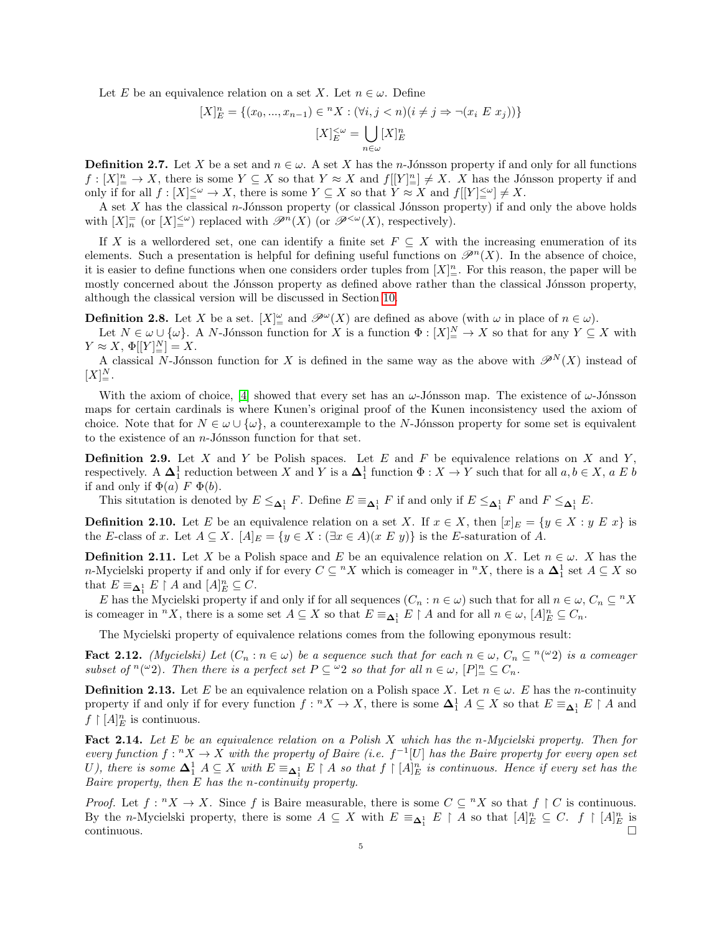Let E be an equivalence relation on a set X. Let  $n \in \omega$ . Define

$$
[X]_E^n = \{(x_0, ..., x_{n-1}) \in {}^n X : (\forall i, j < n)(i \neq j \Rightarrow \neg (x_i \ E \ x_j))\}
$$

$$
[X]_E^{\leq \omega} = \bigcup_{n \in \omega} [X]_E^n
$$

**Definition 2.7.** Let X be a set and  $n \in \omega$ . A set X has the *n*-Jónsson property if and only for all functions  $f:[X]_{\equiv}^n\to X$ , there is some  $Y\subseteq X$  so that  $Y\approx X$  and  $f[[Y]_{\equiv}^n]\neq X$ . X has the Jónsson property if and only if for all  $f: [X] \xrightarrow{\leq \omega} \to X$ , there is some  $Y \subseteq X$  so that  $Y \approx X$  and  $f[[Y] \xrightarrow{\leq \omega} \neq X$ .

A set  $X$  has the classical n-Jónsson property (or classical Jónsson property) if and only the above holds with  $[X]_n^{\equiv}$  (or  $[X]_{\equiv}^{\leq \omega}$ ) replaced with  $\mathscr{P}^n(X)$  (or  $\mathscr{P}^{\leq \omega}(X)$ , respectively).

If X is a wellordered set, one can identify a finite set  $F \subseteq X$  with the increasing enumeration of its elements. Such a presentation is helpful for defining useful functions on  $\mathscr{P}^n(X)$ . In the absence of choice, it is easier to define functions when one considers order tuples from  $[X]_{\pm}^{n}$ . For this reason, the paper will be mostly concerned about the Jónsson property as defined above rather than the classical Jónsson property, although the classical version will be discussed in Section [10.](#page-18-0)

**Definition 2.8.** Let X be a set.  $[X]_{\equiv}^{\omega}$  and  $\mathscr{P}^{\omega}(X)$  are defined as above (with  $\omega$  in place of  $n \in \omega$ ).

Let  $N \in \omega \cup \{\omega\}$ . A N-Jónsson function for X is a function  $\Phi: [X]_{\equiv}^N \to X$  so that for any  $Y \subseteq X$  with  $Y \approx X, \, \Phi[[Y]]_{=}^N = X.$ 

A classical N-Jónsson function for X is defined in the same way as the above with  $\mathscr{P}^N(X)$  instead of  $[X]_{\equiv}^N$ .

With the axiom of choice, [\[4\]](#page-34-1) showed that every set has an  $\omega$ -Jónsson map. The existence of  $\omega$ -Jónsson maps for certain cardinals is where Kunen's original proof of the Kunen inconsistency used the axiom of choice. Note that for  $N \in \omega \cup {\omega}$ , a counterexample to the N-Jónsson property for some set is equivalent to the existence of an  $n$ -Jónsson function for that set.

**Definition 2.9.** Let X and Y be Polish spaces. Let E and F be equivalence relations on X and Y, respectively. A  $\Delta_1^1$  reduction between X and Y is a  $\Delta_1^1$  function  $\Phi: X \to Y$  such that for all  $a, b \in X$ ,  $a \mathbb{E} b$ if and only if  $\Phi(a)$  F  $\Phi(b)$ .

This situtation is denoted by  $E \leq_{\mathbf{\Delta}_1^1} F$ . Define  $E \equiv_{\mathbf{\Delta}_1^1} F$  if and only if  $E \leq_{\mathbf{\Delta}_1^1} F$  and  $F \leq_{\mathbf{\Delta}_1^1} E$ .

**Definition 2.10.** Let E be an equivalence relation on a set X. If  $x \in X$ , then  $[x]_E = \{y \in X : y \in x\}$  is the E-class of x. Let  $A \subseteq X$ .  $[A]_E = \{y \in X : (\exists x \in A)(x \in Y)\}\)$  is the E-saturation of A.

**Definition 2.11.** Let X be a Polish space and E be an equivalence relation on X. Let  $n \in \omega$ . X has the n-Mycielski property if and only if for every  $C \subseteq {}^{n}X$  which is comeager in  ${}^{n}X$ , there is a  $\Delta_1^1$  set  $A \subseteq X$  so that  $E \equiv_{\mathbf{\Delta}_1^1} E \restriction A$  and  $[A]_E^n \subseteq C$ .

E has the Mycielski property if and only if for all sequences  $(C_n : n \in \omega)$  such that for all  $n \in \omega$ ,  $C_n \subseteq {}^n X$ is comeager in  ${}^n X$ , there is a some set  $A \subseteq X$  so that  $E \equiv_{\mathbf{\Delta}_1^1} E \upharpoonright A$  and for all  $n \in \omega$ ,  $[A]_E^n \subseteq C_n$ .

The Mycielski property of equivalence relations comes from the following eponymous result:

**Fact 2.12.** (Mycielski) Let  $(C_n : n \in \omega)$  be a sequence such that for each  $n \in \omega$ ,  $C_n \subseteq {}^n({}^{\omega}2)$  is a comeager subset of  $^n(\omega_2)$ . Then there is a perfect set  $P \subseteq \omega_2$  so that for all  $n \in \omega$ ,  $[P]_+^n \subseteq C_n$ .

**Definition 2.13.** Let E be an equivalence relation on a Polish space X. Let  $n \in \omega$ . E has the *n*-continuity property if and only if for every function  $f: {}^{n}X \to X$ , there is some  $\mathbf{\Delta}^1_1 A \subseteq X$  so that  $E \equiv_{\mathbf{\Delta}^1_1} E \restriction A$  and  $f \restriction [A]^n_E$  is continuous.

Fact 2.14. Let E be an equivalence relation on a Polish X which has the n-Mycielski property. Then for every function  $f: {}^{n}X \to X$  with the property of Baire (i.e.  $f^{-1}[U]$  has the Baire property for every open set U), there is some  $\Delta_1^1 A \subseteq X$  with  $E \equiv_{\Delta_1^1} E \restriction A$  so that  $f \restriction [A]_E^n$  is continuous. Hence if every set has the Baire property, then E has the n-continuity property.

*Proof.* Let  $f: {}^{n}X \to X$ . Since f is Baire measurable, there is some  $C \subseteq {}^{n}X$  so that  $f \upharpoonright C$  is continuous. By the n-Mycielski property, there is some  $A \subseteq X$  with  $E \equiv_{\Delta_1^1} E \upharpoonright A$  so that  $[A]_E^n \subseteq C$ .  $f \upharpoonright [A]_E^n$  is continuous.  $\Box$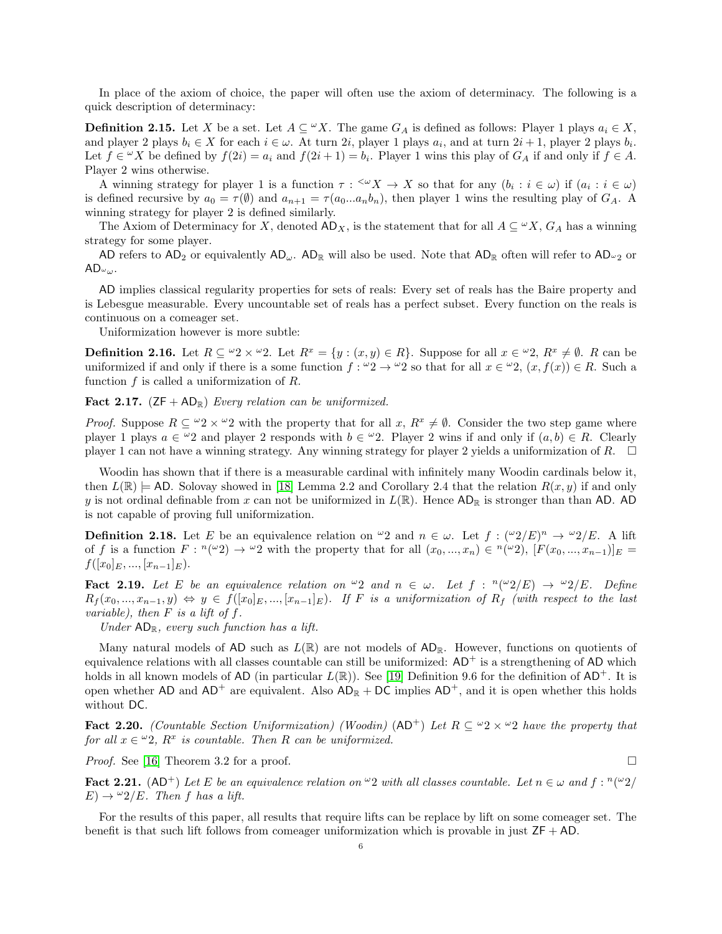In place of the axiom of choice, the paper will often use the axiom of determinacy. The following is a quick description of determinacy:

**Definition 2.15.** Let X be a set. Let  $A \subseteq \mathcal{U}X$ . The game  $G_A$  is defined as follows: Player 1 plays  $a_i \in X$ , and player 2 plays  $b_i \in X$  for each  $i \in \omega$ . At turn 2i, player 1 plays  $a_i$ , and at turn  $2i + 1$ , player 2 plays  $b_i$ . Let  $f \in {}^{\omega}X$  be defined by  $f(2i) = a_i$  and  $f(2i + 1) = b_i$ . Player 1 wins this play of  $G_A$  if and only if  $f \in A$ . Player 2 wins otherwise.

A winning strategy for player 1 is a function  $\tau: \langle X \rangle \to X$  so that for any  $(b_i : i \in \omega)$  if  $(a_i : i \in \omega)$ is defined recursive by  $a_0 = \tau(\emptyset)$  and  $a_{n+1} = \tau(a_0...a_nb_n)$ , then player 1 wins the resulting play of  $G_A$ . A winning strategy for player 2 is defined similarly.

The Axiom of Determinacy for X, denoted  $AD_X$ , is the statement that for all  $A \subseteq W X$ ,  $G_A$  has a winning strategy for some player.

AD refers to  $AD_2$  or equivalently  $AD_\omega$ .  $AD_\mathbb{R}$  will also be used. Note that  $AD_\mathbb{R}$  often will refer to  $AD_\omega$  or  $AD\omega_{\omega}$ .

AD implies classical regularity properties for sets of reals: Every set of reals has the Baire property and is Lebesgue measurable. Every uncountable set of reals has a perfect subset. Every function on the reals is continuous on a comeager set.

Uniformization however is more subtle:

**Definition 2.16.** Let  $R \subseteq \omega_2 \times \omega_2$ . Let  $R^x = \{y : (x, y) \in R\}$ . Suppose for all  $x \in \omega_2$ ,  $R^x \neq \emptyset$ . R can be uniformized if and only if there is a some function  $f: \omega_2 \to \omega_2$  so that for all  $x \in \omega_2$ ,  $(x, f(x)) \in R$ . Such a function  $f$  is called a uniformization of  $R$ .

Fact 2.17.  $(ZF + AD_R)$  Every relation can be uniformized.

*Proof.* Suppose  $R \subseteq \omega_2 \times \omega_2$  with the property that for all  $x, R^x \neq \emptyset$ . Consider the two step game where player 1 plays  $a \in \mathcal{Q}$  and player 2 responds with  $b \in \mathcal{Q}$ . Player 2 wins if and only if  $(a, b) \in R$ . Clearly player 1 can not have a winning strategy. Any winning strategy for player 2 yields a uniformization of R.  $\Box$ 

Woodin has shown that if there is a measurable cardinal with infinitely many Woodin cardinals below it, then  $L(\mathbb{R}) \models$  AD. Solovay showed in [\[18\]](#page-35-4) Lemma 2.2 and Corollary 2.4 that the relation  $R(x, y)$  if and only y is not ordinal definable from x can not be uniformized in  $L(\mathbb{R})$ . Hence  $AD_{\mathbb{R}}$  is stronger than than AD. AD is not capable of proving full uniformization.

**Definition 2.18.** Let E be an equivalence relation on  $\omega_2$  and  $n \in \omega$ . Let  $f: (\omega_2/E)^n \to \omega_2/E$ . A lift of f is a function  $F: \binom{n(\omega_2)}{ } \to \binom{\omega_2}{ }$  with the property that for all  $(x_0, ..., x_n) \in \binom{n(\omega_2)}{ }$ ,  $[F(x_0, ..., x_{n-1})]_E =$  $f([x_0]_E, ..., [x_{n-1}]_E).$ 

**Fact 2.19.** Let E be an equivalence relation on  $\omega_2$  and  $n \in \omega$ . Let  $f : \binom{n(\omega_2)}{E} \rightarrow \frac{\omega_2}{E}$ . Define  $R_f(x_0, ..., x_{n-1}, y) \Leftrightarrow y \in f([x_0]_E, ..., [x_{n-1}]_E)$ . If F is a uniformization of  $R_f$  (with respect to the last variable), then  $F$  is a lift of  $f$ .

Under  $AD_{\mathbb{R}}$ , every such function has a lift.

Many natural models of AD such as  $L(\mathbb{R})$  are not models of  $AD_{\mathbb{R}}$ . However, functions on quotients of equivalence relations with all classes countable can still be uniformized:  $AD^+$  is a strengthening of  $AD$  which holds in all known models of AD (in particular  $L(\mathbb{R})$ ). See [\[19\]](#page-35-5) Definition 9.6 for the definition of AD<sup>+</sup>. It is open whether AD and  $AD^+$  are equivalent. Also  $AD_R + DC$  implies  $AD^+$ , and it is open whether this holds without DC.

Fact 2.20. (Countable Section Uniformization) (Woodin)  $(AD^+)$  Let  $R \subseteq \omega_2 \times \omega_2$  have the property that for all  $x \in \omega_2$ ,  $R^x$  is countable. Then R can be uniformized.

*Proof.* See [\[16\]](#page-35-6) Theorem 3.2 for a proof.  $\square$ 

**Fact 2.21.** (AD<sup>+</sup>) Let E be an equivalence relation on  $\omega$  with all classes countable. Let  $n \in \omega$  and  $f : \binom{n(\omega)}{2}$  $E) \rightarrow \frac{\omega_2}{E}$ . Then f has a lift.

For the results of this paper, all results that require lifts can be replace by lift on some comeager set. The benefit is that such lift follows from comeager uniformization which is provable in just  $ZF + AD$ .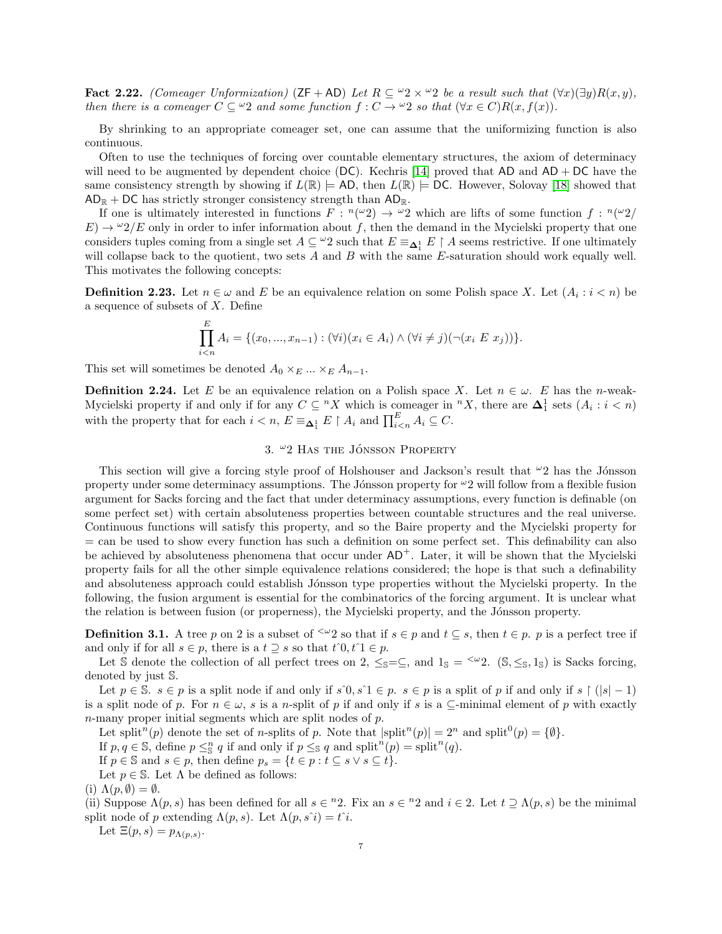<span id="page-6-2"></span>Fact 2.22. (Comeager Unformization) (ZF + AD) Let  $R \subseteq \omega^2 \times \omega^2$  be a result such that  $(\forall x)(\exists y)R(x,y)$ , then there is a comeager  $C \subseteq \omega_2$  and some function  $f: C \to \omega_2$  so that  $(\forall x \in C)R(x, f(x))$ .

By shrinking to an appropriate comeager set, one can assume that the uniformizing function is also continuous.

Often to use the techniques of forcing over countable elementary structures, the axiom of determinacy will need to be augmented by dependent choice  $(DC)$ . Kechris [\[14\]](#page-35-7) proved that AD and AD + DC have the same consistency strength by showing if  $L(\mathbb{R}) \models AD$ , then  $L(\mathbb{R}) \models DC$ . However, Solovay [\[18\]](#page-35-4) showed that  $AD_{\mathbb{R}}$  + DC has strictly stronger consistency strength than  $AD_{\mathbb{R}}$ .

If one is ultimately interested in functions  $F: \binom{n(\omega_2)}{2} \to \infty$ ? which are lifts of some function  $f: \binom{n(\omega_2)}{2}$  $E) \to \omega_2/E$  only in order to infer information about f, then the demand in the Mycielski property that one considers tuples coming from a single set  $A \subseteq \omega_2$  such that  $E \equiv_{\Delta_1^1} E \upharpoonright A$  seems restrictive. If one ultimately will collapse back to the quotient, two sets A and B with the same E-saturation should work equally well. This motivates the following concepts:

**Definition 2.23.** Let  $n \in \omega$  and E be an equivalence relation on some Polish space X. Let  $(A_i : i < n)$  be a sequence of subsets of X. Define

$$
\prod_{i
$$

This set will sometimes be denoted  $A_0 \times_E ... \times_E A_{n-1}$ .

<span id="page-6-1"></span>**Definition 2.24.** Let E be an equivalence relation on a Polish space X. Let  $n \in \omega$ . E has the n-weak-Mycielski property if and only if for any  $C \subseteq {}^{n}X$  which is comeager in  ${}^{n}X$ , there are  $\Delta_1^1$  sets  $(A_i : i < n)$ with the property that for each  $i < n$ ,  $E \equiv_{\mathbf{\Delta}_1^1} E \restriction A_i$  and  $\prod_{i \leq n}^E A_i \subseteq C$ .

# 3.  $\omega$ 2 Has the JÓNSSON PROPERTY

<span id="page-6-0"></span>This section will give a forcing style proof of Holshouser and Jackson's result that  $\omega_2$  has the Jónsson property under some determinacy assumptions. The Jónsson property for  $\omega_2$  will follow from a flexible fusion argument for Sacks forcing and the fact that under determinacy assumptions, every function is definable (on some perfect set) with certain absoluteness properties between countable structures and the real universe. Continuous functions will satisfy this property, and so the Baire property and the Mycielski property for = can be used to show every function has such a definition on some perfect set. This definability can also be achieved by absoluteness phenomena that occur under  $AD^+$ . Later, it will be shown that the Mycielski property fails for all the other simple equivalence relations considered; the hope is that such a definability and absoluteness approach could establish Jónsson type properties without the Mycielski property. In the following, the fusion argument is essential for the combinatorics of the forcing argument. It is unclear what the relation is between fusion (or properness), the Mycielski property, and the Jónsson property.

**Definition 3.1.** A tree p on 2 is a subset of  $\leq \omega_2$  so that if  $s \in p$  and  $t \subseteq s$ , then  $t \in p$ . p is a perfect tree if and only if for all  $s \in p$ , there is a  $t \supseteq s$  so that  $t \hat{\;} 0, t \hat{\;} 1 \in p$ .

Let S denote the collection of all perfect trees on 2,  $\leq s = \subseteq$ , and  $1_s = \leq v$ 2. (S,  $\leq s$ , 1<sub>S</sub>) is Sacks forcing, denoted by just S.

Let  $p \in \mathbb{S}$ .  $s \in p$  is a split node if and only if  $s \hat{ }0, s \hat{ }1 \in p$ .  $s \in p$  is a split of p if and only if  $s \upharpoonright (|s|-1)$ is a split node of p. For  $n \in \omega$ , s is a n-split of p if and only if s is a ⊆-minimal element of p with exactly  $n$ -many proper initial segments which are split nodes of  $p$ .

Let split<sup>n</sup>(p) denote the set of n-splits of p. Note that  $|\text{split}^n(p)| = 2^n$  and  $\text{split}^0(p) = \{\emptyset\}.$ 

If  $p, q \in \mathbb{S}$ , define  $p \leq_{\mathbb{S}}^n q$  if and only if  $p \leq_{\mathbb{S}} q$  and  $\text{split}^n(p) = \text{split}^n(q)$ .

If  $p \in \mathbb{S}$  and  $s \in p$ , then define  $p_s = \{t \in p : t \subseteq s \vee s \subseteq t\}.$ 

Let  $p \in \mathbb{S}$ . Let  $\Lambda$  be defined as follows:

(i)  $\Lambda(p, \emptyset) = \emptyset$ .

(ii) Suppose  $\Lambda(p,s)$  has been defined for all  $s \in {}^n2$ . Fix an  $s \in {}^n2$  and  $i \in 2$ . Let  $t \supseteq \Lambda(p,s)$  be the minimal split node of p extending  $\Lambda(p,s)$ . Let  $\Lambda(p,s^i) = t^i$ .

Let  $\Xi(p,s) = p_{\Lambda(p,s)}$ .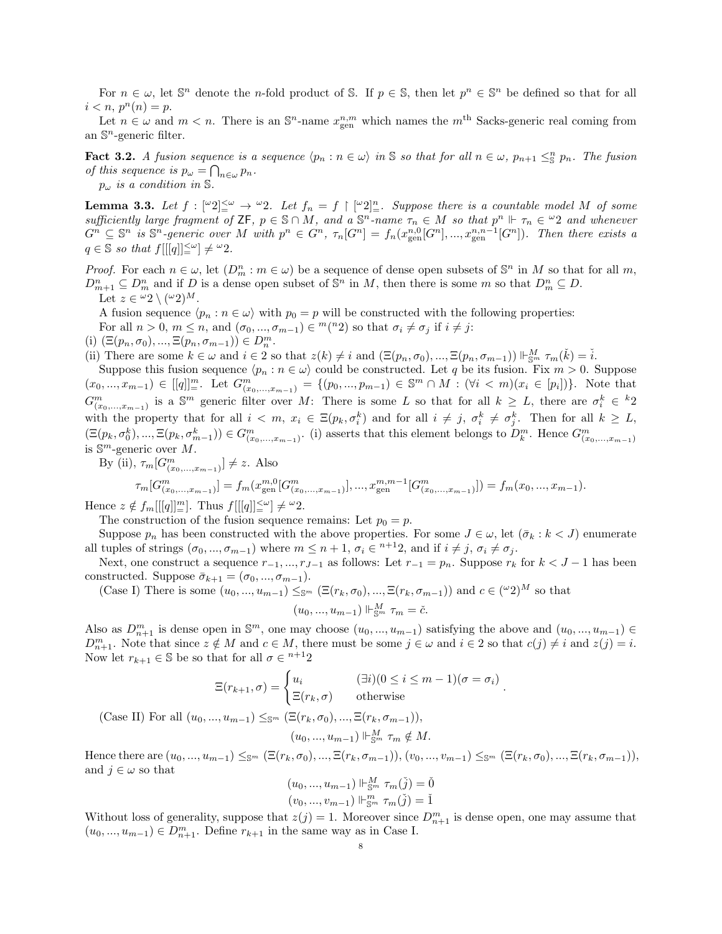For  $n \in \omega$ , let  $\mathbb{S}^n$  denote the *n*-fold product of S. If  $p \in \mathbb{S}$ , then let  $p^n \in \mathbb{S}^n$  be defined so that for all  $i < n, p^n(n) = p.$ 

Let  $n \in \omega$  and  $m < n$ . There is an  $\mathbb{S}^n$ -name  $x_{gen}^{n,m}$  which names the  $m^{\text{th}}$  Sacks-generic real coming from an  $\mathbb{S}^n$ -generic filter.

**Fact 3.2.** A fusion sequence is a sequence  $\langle p_n : n \in \omega \rangle$  in S so that for all  $n \in \omega$ ,  $p_{n+1} \leq_S^n p_n$ . The fusion of this sequence is  $p_{\omega} = \bigcap_{n \in \omega} p_n$ .

 $p_{\omega}$  is a condition in S.

<span id="page-7-0"></span>**Lemma 3.3.** Let  $f : [\omega_2]_{\omega}^{\omega} \to \omega_2$ . Let  $f_n = f \upharpoonright [\omega_2]_{\omega}^n$ . Suppose there is a countable model M of some sufficiently large fragment of  $\mathsf{ZF}, p \in \mathbb{S} \cap M$ , and  $a \mathbb{S}^n$ -name  $\tau_n \in M$  so that  $p^n \Vdash \tau_n \in \mathbb{S}^n$  and whenever  $G^n \subseteq \mathbb{S}^n$  is  $\mathbb{S}^n$ -generic over M with  $p^n \in G^n$ ,  $\tau_n[G^n] = f_n(x_{\text{gen}}^{n,0}[G^n],...,x_{\text{gen}}^{n,n-1}[G^n])$ . Then there exists a  $q \in \mathbb{S}$  so that  $f[[[q]]^{\leq \omega}_=] \neq {}^{\omega}2.$ 

*Proof.* For each  $n \in \omega$ , let  $(D_m^n : m \in \omega)$  be a sequence of dense open subsets of  $\mathbb{S}^n$  in M so that for all m,  $D_{m+1}^n \subseteq D_m^n$  and if D is a dense open subset of  $\mathbb{S}^n$  in M, then there is some m so that  $D_m^n \subseteq D$ . Let  $z \in {}^{\omega}2 \setminus ({}^{\omega}2)^M$ .

A fusion sequence  $\langle p_n : n \in \omega \rangle$  with  $p_0 = p$  will be constructed with the following properties: For all  $n > 0$ ,  $m \leq n$ , and  $(\sigma_0, ..., \sigma_{m-1}) \in {}^m({}^n2)$  so that  $\sigma_i \neq \sigma_j$  if  $i \neq j$ : (i)  $(\Xi(p_n, \sigma_0), ..., \Xi(p_n, \sigma_{m-1})) \in D_n^m$ .

(ii) There are some  $k \in \omega$  and  $i \in \Omega$  so that  $z(k) \neq i$  and  $(\Xi(p_n, \sigma_0), ..., \Xi(p_n, \sigma_{m-1})) \Vdash_{\mathbb{S}^m}^M \tau_m(\check{k}) = \check{i}$ .

Suppose this fusion sequence  $\langle p_n : n \in \omega \rangle$  could be constructed. Let q be its fusion. Fix  $m > 0$ . Suppose  $(x_0, ..., x_{m-1}) \in [[q]]^m_$ . Let  $G^m_{(x_0, ..., x_{m-1})} = \{(p_0, ..., p_{m-1}) \in \mathbb{S}^m \cap M : (\forall i < m)(x_i \in [p_i])\}$ . Note that  $G^m_{(x_0,...,x_{m-1})}$  is a  $\mathbb{S}^m$  generic filter over M: There is some L so that for all  $k \geq L$ , there are  $\sigma_i^k \in {}^k 2$ with the property that for all  $i < m$ ,  $x_i \in \Xi(p_k, \sigma_i^k)$  and for all  $i \neq j$ ,  $\sigma_i^k \neq \sigma_j^k$ . Then for all  $k \geq L$ ,  $(\Xi(p_k, \sigma_0^k), ..., \Xi(p_k, \sigma_{m-1}^k)) \in G_{(x_0, ..., x_{m-1})}^m$ . (i) asserts that this element belongs to  $D_k^m$ . Hence  $G_{(x_0, ..., x_{m-1})}^m$ is  $\mathbb{S}^m$ -generic over M.

By (ii),  $\tau_m[G^m_{(x_0,...,x_{m-1})}] \neq z$ . Also

$$
\tau_m[G^m_{(x_0,\ldots,x_{m-1})}] = f_m(x_{\text{gen}}^{m,0}[G^m_{(x_0,\ldots,x_{m-1})}],...,x_{\text{gen}}^{m,m-1}[G^m_{(x_0,\ldots,x_{m-1})}]) = f_m(x_0,...,x_{m-1}).
$$

Hence  $z \notin f_m[[[q]]_{\equiv}^m]$ . Thus  $f[[[q]]_{\equiv}^{\leq \omega}] \neq {}^{\omega}2$ .

The construction of the fusion sequence remains: Let  $p_0 = p$ .

Suppose  $p_n$  has been constructed with the above properties. For some  $J \in \omega$ , let  $(\bar{\sigma}_k : k < J)$  enumerate all tuples of strings  $(\sigma_0, ..., \sigma_{m-1})$  where  $m \leq n+1$ ,  $\sigma_i \in {}^{n+1}2$ , and if  $i \neq j$ ,  $\sigma_i \neq \sigma_j$ .

Next, one construct a sequence  $r_{-1}, ..., r_{J-1}$  as follows: Let  $r_{-1} = p_n$ . Suppose  $r_k$  for  $k < J - 1$  has been constructed. Suppose  $\bar{\sigma}_{k+1} = (\sigma_0, ..., \sigma_{m-1}).$ 

(Case I) There is some  $(u_0, ..., u_{m-1}) \leq_{\mathbb{S}^m} (\Xi(r_k, \sigma_0), ..., \Xi(r_k, \sigma_{m-1}))$  and  $c \in (\mathcal{C}2)^M$  so that

$$
(u_0, ..., u_{m-1}) \Vdash_{\mathbb{S}^m}^M \tau_m = \check{c}.
$$

Also as  $D_{n+1}^m$  is dense open in  $\mathbb{S}^m$ , one may choose  $(u_0, ..., u_{m-1})$  satisfying the above and  $(u_0, ..., u_{m-1}) \in$  $D_{n+1}^m$ . Note that since  $z \notin M$  and  $c \in M$ , there must be some  $j \in \omega$  and  $i \in 2$  so that  $c(j) \neq i$  and  $z(j) = i$ . Now let  $r_{k+1} \in \mathbb{S}$  be so that for all  $\sigma \in \mathbb{R}^{n+1}$ ?

$$
\Xi(r_{k+1}, \sigma) = \begin{cases} u_i & (\exists i)(0 \le i \le m-1)(\sigma = \sigma_i) \\ \Xi(r_k, \sigma) & \text{otherwise} \end{cases}.
$$

(Case II) For all  $(u_0, ..., u_{m-1}) \leq_{\mathbb{S}^m} (\Xi(r_k, \sigma_0), ..., \Xi(r_k, \sigma_{m-1})),$ 

$$
(u_0, ..., u_{m-1}) \Vdash_{\mathbb{S}^m}^M \tau_m \notin M.
$$

Hence there are  $(u_0, ..., u_{m-1}) \leq_{\mathbb{S}^m} (\Xi(r_k, \sigma_0), ..., \Xi(r_k, \sigma_{m-1})), (v_0, ..., v_{m-1}) \leq_{\mathbb{S}^m} (\Xi(r_k, \sigma_0), ..., \Xi(r_k, \sigma_{m-1})),$ and  $j \in \omega$  so that

$$
\begin{array}{l} (u_0,...,u_{m-1})\Vdash^M_{\mathbb{S}^m}\tau_m(\check{j})=\check{0}\\ (v_0,...,v_{m-1})\Vdash^m_{\mathbb{S}^m}\tau_m(\check{j})=\check{1} \end{array}
$$

Without loss of generality, suppose that  $z(j) = 1$ . Moreover since  $D_{n+1}^m$  is dense open, one may assume that  $(u_0, ..., u_{m-1})$  ∈  $D_{n+1}^m$ . Define  $r_{k+1}$  in the same way as in Case I.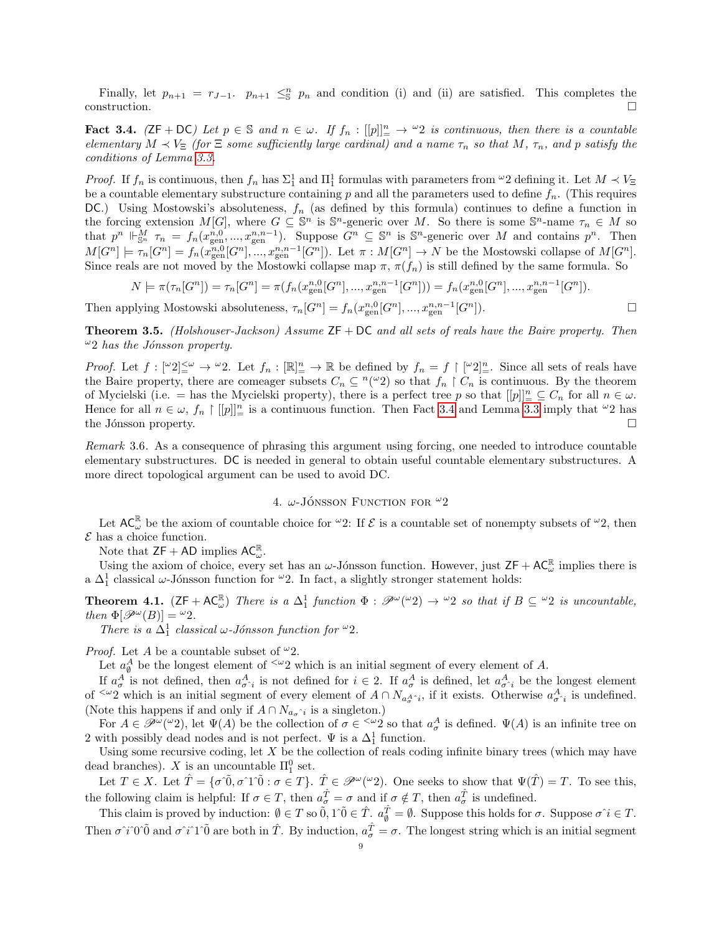Finally, let  $p_{n+1} = r_{J-1}$ .  $p_{n+1} \leq_{\mathbb{S}}^n p_n$  and condition (i) and (ii) are satisfied. This completes the  $\Box$ construction.

<span id="page-8-1"></span>**Fact 3.4.** ( $ZF + DC$ ) Let  $p \in \mathbb{S}$  and  $n \in \omega$ . If  $f_n : [[p]]_p^n \to \omega_2$  is continuous, then there is a countable elementary  $M \prec V_{\Xi}$  (for  $\Xi$  some sufficiently large cardinal) and a name  $\tau_n$  so that M,  $\tau_n$ , and p satisfy the conditions of Lemma [3.3.](#page-7-0)

*Proof.* If  $f_n$  is continuous, then  $f_n$  has  $\Sigma^1_1$  and  $\Pi^1_1$  formulas with parameters from  $\omega_2$  defining it. Let  $M \prec V_{\Xi}$ be a countable elementary substructure containing p and all the parameters used to define  $f_n$ . (This requires DC.) Using Mostowski's absoluteness,  $f_n$  (as defined by this formula) continues to define a function in the forcing extension  $M[G]$ , where  $G \subseteq \mathbb{S}^n$  is  $\mathbb{S}^n$ -generic over M. So there is some  $\mathbb{S}^n$ -name  $\tau_n \in M$  so that  $p^n \Vdash_{\mathbb{S}^n}^M \tau_n = f_n(x_{\text{gen}}^{n,0},...,x_{\text{gen}}^{n,n-1})$ . Suppose  $G^n \subseteq \mathbb{S}^n$  is  $\mathbb{S}^n$ -generic over M and contains  $p^n$ . Then  $M[G^n] \models \tau_n[G^n] = f_n(x_{\text{gen}}^{n,0}[G^n],...,x_{\text{gen}}^{n,n-1}[G^n])$ . Let  $\pi : M[G^n] \to N$  be the Mostowski collapse of  $M[G^n]$ . Since reals are not moved by the Mostowki collapse map  $\pi$ ,  $\pi(f_n)$  is still defined by the same formula. So

$$
N \models \pi(\tau_n[G^n]) = \tau_n[G^n] = \pi(f_n(x_{\text{gen}}^{n,0}[G^n],...,x_{\text{gen}}^{n,n-1}[G^n])) = f_n(x_{\text{gen}}^{n,0}[G^n],...,x_{\text{gen}}^{n,n-1}[G^n]).
$$

Then applying Mostowski absoluteness,  $\tau_n[G^n] = f_n(x_{\text{gen}}^{n,0}[G^n], ..., x_{\text{gen}}^{n,n-1}[G^n])$ .

**Theorem 3.5.** (Holshouser-Jackson) Assume  $ZF + DC$  and all sets of reals have the Baire property. Then  $\omega_2$  has the Jónsson property.

Proof. Let f : [ω2]<ω <sup>=</sup> → <sup>ω</sup>2. Let f<sup>n</sup> : [R] n <sup>=</sup> → R be defined by f<sup>n</sup> = f [ <sup>ω</sup>2]<sup>n</sup> <sup>=</sup>. Since all sets of reals have the Baire property, there are comeager subsets  $C_n \subseteq \binom{n}{v}$  so that  $f_n \restriction C_n$  is continuous. By the theorem of Mycielski (i.e. = has the Mycielski property), there is a perfect tree p so that  $[[p]]_+^n \subseteq C_n$  for all  $n \in \omega$ . Hence for all  $n \in \omega$ ,  $f_n \restriction [[p]]_{\equiv}^n$  is a continuous function. Then Fact [3.4](#page-8-1) and Lemma [3.3](#page-7-0) imply that  $\omega_2$  has the Jónsson property.  $\Box$ 

Remark 3.6. As a consequence of phrasing this argument using forcing, one needed to introduce countable elementary substructures. DC is needed in general to obtain useful countable elementary substructures. A more direct topological argument can be used to avoid DC.

# 4.  $\omega$ -Jónsson Function for  $\omega_2$

<span id="page-8-0"></span>Let  $AC_{\omega}^{\mathbb{R}}$  be the axiom of countable choice for  $^{\omega}2$ : If  $\mathcal{E}$  is a countable set of nonempty subsets of  $^{\omega}2$ , then  $\mathcal E$  has a choice function.

Note that  $\mathsf{ZF} + \mathsf{AD}$  implies  $\mathsf{AC}_{\omega}^{\mathbb{R}}$ .

Using the axiom of choice, every set has an  $\omega$ -Jónsson function. However, just  $ZF + AC_{\omega}^{\mathbb{R}}$  implies there is a  $\Delta_1^1$  classical  $\omega$ -Jónsson function for <sup> $\omega$ </sup>2. In fact, a slightly stronger statement holds:

<span id="page-8-2"></span>**Theorem 4.1.**  $(ZF + AC_{\omega}^{\mathbb{R}})$  There is a  $\Delta_1^1$  function  $\Phi : \mathscr{P}^{\omega}(\omega_2) \to \omega_2$  so that if  $B \subseteq \omega_2$  is uncountable, then  $\Phi[\mathscr{P}^{\omega}(B)] = \omega_2$ .

There is a  $\Delta_1^1$  classical  $\omega$ -Jónsson function for  $\omega_2$ .

*Proof.* Let A be a countable subset of  $\omega_2$ .

Let  $a_{\emptyset}^A$  be the longest element of  $\leq \omega_2$  which is an initial segment of every element of A.

If  $a^A_\sigma$  is not defined, then  $a^A_{\sigma i}$  is not defined for  $i \in 2$ . If  $a^A_\sigma$  is defined, let  $a^A_{\sigma i}$  be the longest element of <sup> $\leq \omega_2$ </sup> which is an initial segment of every element of  $A \cap N_{a_{\sigma}^A \hat{i}}$ , if it exists. Otherwise  $a_{\sigma}^A \hat{i}$  is undefined. (Note this happens if and only if  $A \cap N_{a_{\sigma} \hat{i}}$  is a singleton.)

For  $A \in \mathscr{P}^{\omega}(\omega_2)$ , let  $\Psi(A)$  be the collection of  $\sigma \in \langle \omega_2 \rangle$  so that  $a^A_\sigma$  is defined.  $\Psi(A)$  is an infinite tree on 2 with possibly dead nodes and is not perfect.  $\Psi$  is a  $\Delta_1^1$  function.

Using some recursive coding, let  $X$  be the collection of reals coding infinite binary trees (which may have dead branches). X is an uncountable  $\Pi_1^0$  set.

Let  $T \in X$ . Let  $\hat{T} = \{\sigma \hat{0}, \sigma \hat{1} \hat{0} : \sigma \in T\}$ .  $\hat{T} \in \mathscr{P}^{\omega}(\omega_2)$ . One seeks to show that  $\Psi(\hat{T}) = T$ . To see this, the following claim is helpful: If  $\sigma \in T$ , then  $a_{\sigma}^{\hat{T}} = \sigma$  and if  $\sigma \notin T$ , then  $a_{\sigma}^{\hat{T}}$  is undefined.

This claim is proved by induction:  $\emptyset \in T$  so  $\tilde{0}$ ,  $1^{\circ} \tilde{0} \in \hat{T}$ .  $a_{\emptyset}^{\hat{T}} = \emptyset$ . Suppose this holds for  $\sigma$ . Suppose  $\sigma \hat{i} \in T$ . Then  $\sigma \hat{i}$ °0<sup> $\hat{0}$ </sup> and  $\sigma \hat{i}$ °1<sup> $\hat{0}$ </sup> are both in  $\hat{T}$ . By induction,  $a_{\sigma}^{\hat{T}} = \sigma$ . The longest string which is an initial segment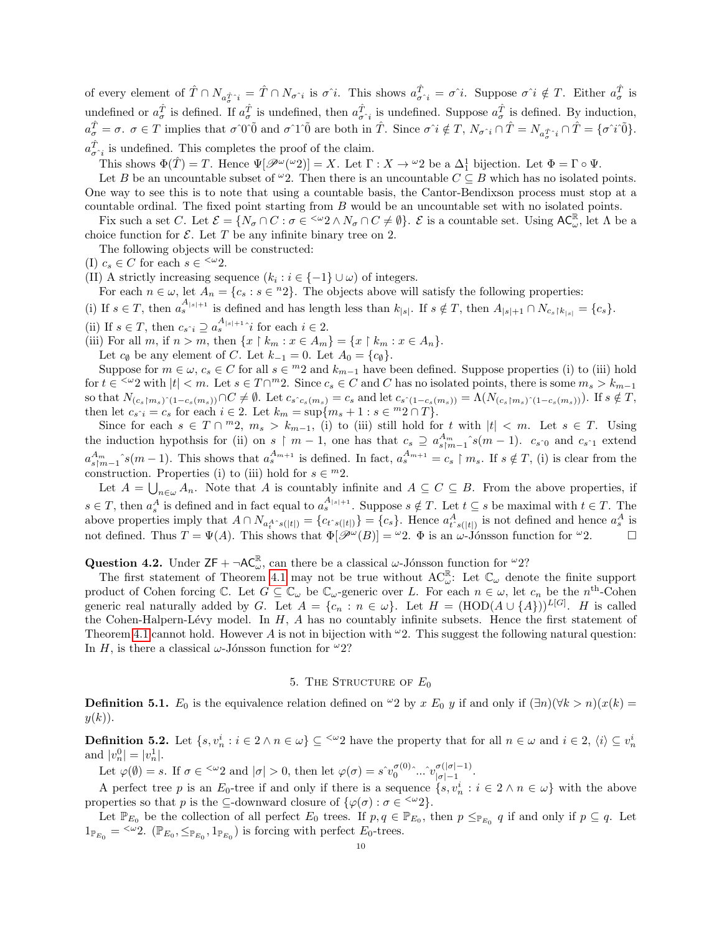of every element of  $\hat{T} \cap N_{a\hat{\tau}} i = \hat{T} \cap N_{\sigma} i$  is  $\sigma \hat{i}$ . This shows  $a_{\sigma}^{\hat{T}} i = \sigma \hat{i}$ . Suppose  $\sigma \hat{i} \notin T$ . Either  $a_{\sigma}^{\hat{T}}$  is undefined or  $a_{\sigma}^{\hat{T}}$  is defined. If  $a_{\sigma}^{\hat{T}}$  is undefined, then  $a_{\sigma}^{\hat{T}}$  is undefined. Suppose  $a_{\sigma}^{\hat{T}}$  is defined. By induction,  $a_{\sigma}^{\hat{T}} = \sigma$ ,  $\sigma \in T$  implies that  $\sigma \hat{0}$  and  $\sigma \hat{1} \hat{0}$  are both in  $\hat{T}$ . Since  $\sigma \hat{i} \notin T$ ,  $N_{\sigma} \hat{i} \cap \hat{T} = N_{a_{\sigma}^{\hat{T}} \hat{i}} \cap \hat{T} = {\sigma \hat{i} \hat{0}}$ .  $a_{\sigma \, \hat{i}}^{\hat{T}}$  is undefined. This completes the proof of the claim.

This shows  $\Phi(\hat{T}) = T$ . Hence  $\Psi[\mathscr{P}^{\omega}(\omega_2)] = X$ . Let  $\Gamma : X \to {}^{\omega}2$  be a  $\Delta_1^1$  bijection. Let  $\Phi = \Gamma \circ \Psi$ .

Let B be an uncountable subset of  $\omega_2$ . Then there is an uncountable  $C \subseteq B$  which has no isolated points. One way to see this is to note that using a countable basis, the Cantor-Bendixson process must stop at a countable ordinal. The fixed point starting from B would be an uncountable set with no isolated points.

Fix such a set C. Let  $\mathcal{E} = \{N_{\sigma} \cap C : \sigma \in \langle \omega_2 \wedge N_{\sigma} \cap C \neq \emptyset\}$ .  $\mathcal{E}$  is a countable set. Using  $AC_{\omega}^{\mathbb{R}}$ , let  $\Lambda$  be a choice function for  $\mathcal E$ . Let T be any infinite binary tree on 2.

The following objects will be constructed:

(I)  $c_s \in C$  for each  $s \in \frac{<\omega_2}{<\omega_3}$ .

(II) A strictly increasing sequence  $(k_i : i \in \{-1\} \cup \omega)$  of integers.

For each  $n \in \omega$ , let  $A_n = \{c_s : s \in {}^n2\}$ . The objects above will satisfy the following properties:

(i) If  $s \in T$ , then  $a_s^{A_{|s|+1}}$  is defined and has length less than  $k_{|s|}$ . If  $s \notin T$ , then  $A_{|s|+1} \cap N_{c_s \upharpoonright k_{|s|}} = \{c_s\}$ .

(ii) If  $s \in T$ , then  $c_{s \hat{i}} \supseteq a_s^{A_{|s|+1}} \hat{i}$  for each  $i \in 2$ .

(iii) For all m, if  $n > m$ , then  $\{x \restriction k_m : x \in A_m\} = \{x \restriction k_m : x \in A_n\}.$ 

Let  $c_{\emptyset}$  be any element of C. Let  $k_{-1} = 0$ . Let  $A_0 = \{c_{\emptyset}\}.$ 

Suppose for  $m \in \omega$ ,  $c_s \in C$  for all  $s \in {}^{m}2$  and  $k_{m-1}$  have been defined. Suppose properties (i) to (iii) hold for  $t \in \{1, \infty\}$  with  $|t| < m$ . Let  $s \in T \cap m$ ?. Since  $c_s \in C$  and C has no isolated points, there is some  $m_s > k_{m-1}$ so that  $N_{(c_s \upharpoonright m_s)^{\hat{}}(1-c_s(m_s))} \cap C \neq \emptyset$ . Let  $c_s \cdot_{c_s(m_s)} = c_s$  and let  $c_s \cdot_{(1-c_s(m_s))} = \Lambda(N_{(c_s \upharpoonright m_s)^{\hat{}}(1-c_s(m_s))})$ . If  $s \notin T$ , then let  $c_{s \hat{i}} = c_s$  for each  $i \in 2$ . Let  $k_m = \sup\{m_s + 1 : s \in {}^m 2 \cap T\}$ .

Since for each  $s \in T \cap {}^m_2$ ,  $m_s > k_{m-1}$ , (i) to (iii) still hold for t with  $|t| < m$ . Let  $s \in T$ . Using the induction hypothsis for (ii) on s  $\upharpoonright$  m − 1, one has that  $c_s \supseteq a_{s+m-1}^{A_m} s(m-1)$ .  $c_{s^0}$  and  $c_{s^0}$  extend  $a_{s\uparrow m-1}^{A_m}$  s(m - 1). This shows that  $a_s^{A_{m+1}}$  is defined. In fact,  $a_s^{A_{m+1}} = c_s \upharpoonright m_s$ . If  $s \notin T$ , (i) is clear from the construction. Properties (i) to (iii) hold for  $s \in {}^{m}2$ .

Let  $A = \bigcup_{n \in \omega} A_n$ . Note that A is countably infinite and  $A \subseteq C \subseteq B$ . From the above properties, if  $s \in T$ , then  $a_s^A$  is defined and in fact equal to  $a_s^{A_{|s|+1}}$ . Suppose  $s \notin T$ . Let  $t \subseteq s$  be maximal with  $t \in T$ . The above properties imply that  $A \cap N_{a_t^A \circ s(|t|)} = \{c_{t \circ s(|t|)}\} = \{c_s\}$ . Hence  $a_{t \circ s(|t|)}^A$  is not defined and hence  $a_s^A$  is not defined. Thus  $T = \Psi(A)$ . This shows that  $\Phi[\mathscr{P}^{\omega}(B)] = {}^{\omega}2$ .  $\Phi$  is an  $\omega$ -Jónsson function for  ${}^{\omega}2$ .

<span id="page-9-2"></span>**Question 4.2.** Under  $ZF + \neg AC_{\omega}^{\mathbb{R}}$ , can there be a classical  $\omega$ -Jónsson function for  $\omega_2$ ?

The first statement of Theorem [4.1](#page-8-2) may not be true without  $AC_{\omega}^{\mathbb{R}}$ : Let  $\mathbb{C}_{\omega}$  denote the finite support product of Cohen forcing  $\mathbb{C}$ . Let  $G \subseteq \mathbb{C}_{\omega}$  be  $\mathbb{C}_{\omega}$ -generic over L. For each  $n \in \omega$ , let  $c_n$  be the  $n^{\text{th}}$ -Cohen generic real naturally added by G. Let  $A = \{c_n : n \in \omega\}$ . Let  $H = (HOD(A \cup \{A\}))^{L[G]}$ . H is called the Cohen-Halpern-Lévy model. In  $H$ ,  $A$  has no countably infinite subsets. Hence the first statement of Theorem [4.1](#page-8-2) cannot hold. However A is not in bijection with  $\omega$ 2. This suggest the following natural question: In H, is there a classical  $\omega$ -Jónsson function for  $\omega_2$ ?

# 5. THE STRUCTURE OF  $E_0$

<span id="page-9-0"></span>**Definition 5.1.**  $E_0$  is the equivalence relation defined on  $\omega_2$  by x  $E_0$  y if and only if  $(\exists n)(\forall k > n)(x(k) =$  $y(k)$ ).

<span id="page-9-1"></span>**Definition 5.2.** Let  $\{s, v_n^i : i \in 2 \land n \in \omega\} \subseteq \langle \omega_2 \rangle$  have the property that for all  $n \in \omega$  and  $i \in 2$ ,  $\langle i \rangle \subseteq v_n^i$ and  $|v_n^0| = |v_n^1|$ .

Let  $\varphi(\emptyset) = s$ . If  $\sigma \in \langle \omega_2 \rangle$  and  $|\sigma| > 0$ , then let  $\varphi(\sigma) = s^{\gamma} v_0^{\sigma(0)} \sim \hat{v}_{|\sigma|-1}^{\sigma(|\sigma|-1)}$  $\sigma$ (|σ|−1).<br>|σ|−1

A perfect tree p is an  $E_0$ -tree if and only if there is a sequence  $\{s, v_n^i : i \in 2 \land n \in \omega\}$  with the above properties so that p is the  $\subseteq$ -downward closure of  $\{\varphi(\sigma) : \sigma \in \leq^{\omega}2\}.$ 

Let  $\mathbb{P}_{E_0}$  be the collection of all perfect  $E_0$  trees. If  $p, q \in \mathbb{P}_{E_0}$ , then  $p \leq_{\mathbb{P}_{E_0}} q$  if and only if  $p \subseteq q$ . Let  $1_{\mathbb{P}_{E_0}} = \langle \omega_2, \ (\mathbb{P}_{E_0}, \leq_{\mathbb{P}_{E_0}}, 1_{\mathbb{P}_{E_0}})$  is forcing with perfect  $E_0$ -trees.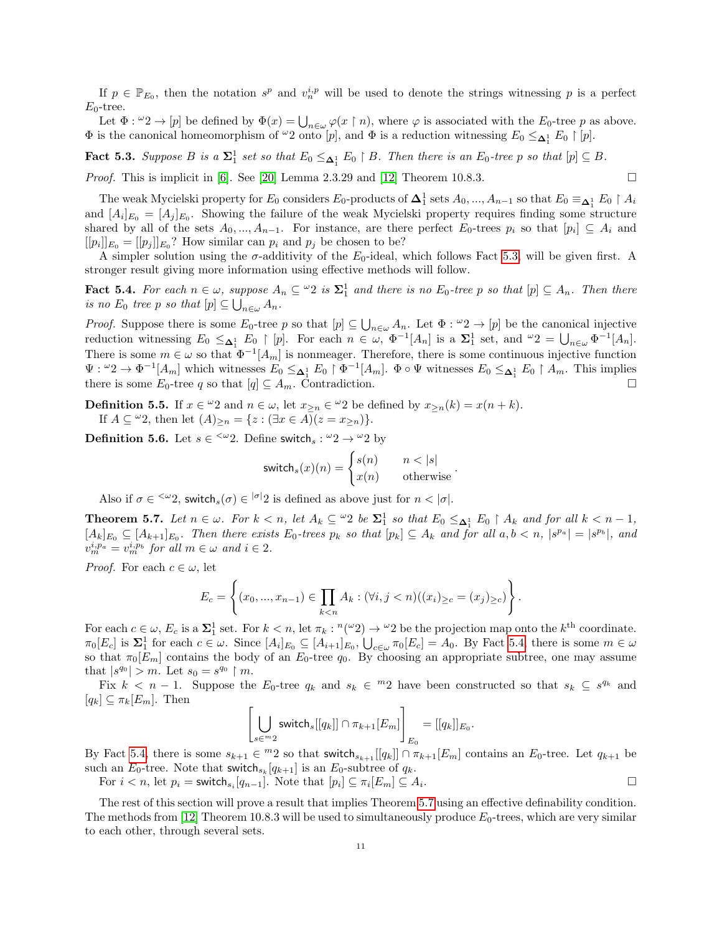If  $p \in \mathbb{P}_{E_0}$ , then the notation  $s^p$  and  $v_n^{i,p}$  will be used to denote the strings witnessing p is a perfect  $E_0$ -tree.

Let  $\Phi: {}^{\omega}2 \to [p]$  be defined by  $\Phi(x) = \bigcup_{n \in \omega} \varphi(x \restriction n)$ , where  $\varphi$  is associated with the  $E_0$ -tree p as above.  $\Phi$  is the canonical homeomorphism of  $\omega_2$  onto  $[p]$ , and  $\Phi$  is a reduction witnessing  $E_0 \leq_{\mathbf{\Delta}_1^1} E_0 \restriction [p]$ .

<span id="page-10-0"></span>**Fact 5.3.** Suppose B is a  $\Sigma_1^1$  set so that  $E_0 \leq_{\Delta_1^1} E_0 \restriction B$ . Then there is an  $E_0$ -tree p so that  $[p] \subseteq B$ .

*Proof.* This is implicit in [\[6\]](#page-34-6). See [\[20\]](#page-35-1) Lemma 2.3.29 and [\[12\]](#page-34-0) Theorem 10.8.3.

The weak Mycielski property for  $E_0$  considers  $E_0$ -products of  $\Delta_1^1$  sets  $A_0, ..., A_{n-1}$  so that  $E_0 \equiv_{\Delta_1^1} E_0 \restriction A_i$ and  $[A_i]_{E_0} = [A_j]_{E_0}$ . Showing the failure of the weak Mycielski property requires finding some structure shared by all of the sets  $A_0, ..., A_{n-1}$ . For instance, are there perfect  $E_0$ -trees  $p_i$  so that  $[p_i] \subseteq A_i$  and  $[[p_i]]_{E_0} = [[p_j]]_{E_0}$ ? How similar can  $p_i$  and  $p_j$  be chosen to be?

A simpler solution using the  $\sigma$ -additivity of the  $E_0$ -ideal, which follows Fact [5.3,](#page-10-0) will be given first. A stronger result giving more information using effective methods will follow.

<span id="page-10-1"></span>**Fact 5.4.** For each  $n \in \omega$ , suppose  $A_n \subseteq \omega_2$  is  $\Sigma_1^1$  and there is no  $E_0$ -tree p so that  $[p] \subseteq A_n$ . Then there is no  $E_0$  tree p so that  $[p] \subseteq \bigcup_{n \in \omega} A_n$ .

*Proof.* Suppose there is some  $E_0$ -tree p so that  $[p] \subseteq \bigcup_{n \in \omega} A_n$ . Let  $\Phi : \omega_2 \to [p]$  be the canonical injective reduction witnessing  $E_0 \leq_{\Delta_1^1} E_0 \restriction [p]$ . For each  $n \in \omega$ ,  $\Phi^{-1}[A_n]$  is a  $\Sigma_1^1$  set, and  $\omega_2 = \bigcup_{n \in \omega} \Phi^{-1}[A_n]$ . There is some  $m \in \omega$  so that  $\Phi^{-1}[A_m]$  is nonmeager. Therefore, there is some continuous injective function  $\Psi: {}^{\omega}2 \to \Phi^{-1}[A_m]$  which witnesses  $E_0 \leq_{\mathbf{\Delta}_1^1} E_0 \upharpoonright \Phi^{-1}[A_m]$ .  $\Phi \circ \Psi$  witnesses  $E_0 \leq_{\mathbf{\Delta}_1^1} E_0 \upharpoonright A_m$ . This implies there is some  $E_0$ -tree q so that  $[q] \subseteq A_m$ . Contradiction.

**Definition 5.5.** If  $x \in \omega$  and  $n \in \omega$ , let  $x_{\geq n} \in \omega$  be defined by  $x_{\geq n}(k) = x(n+k)$ . If  $A \subseteq \omega_2$ , then let  $(A)_{\geq n} = \{z : (\exists x \in A)(z = x_{\geq n})\}.$ 

**Definition 5.6.** Let  $s \in \infty$  2. Define switch<sub>s</sub>:  $\omega_2 \rightarrow \omega_2$  by

$$
\text{switch}_s(x)(n) = \begin{cases} s(n) & n < |s| \\ x(n) & \text{otherwise} \end{cases}.
$$

Also if  $\sigma \in \langle \omega_2, \text{ switch}_s(\sigma) \in |\sigma_2| \text{ is defined as above just for } n < |\sigma|$ .

<span id="page-10-2"></span>**Theorem 5.7.** Let  $n \in \omega$ . For  $k < n$ , let  $A_k \subseteq \omega_2$  be  $\Sigma_1^1$  so that  $E_0 \leq_{\Delta_1^1} E_0 \restriction A_k$  and for all  $k < n - 1$ ,  $[A_k]_{E_0} \subseteq [A_{k+1}]_{E_0}$ . Then there exists  $E_0$ -trees  $p_k$  so that  $[p_k] \subseteq A_k$  and for all  $a, b < n$ ,  $|s^{p_a}| = |s^{p_b}|$ , and  $v_m^{i,p_a} = v_m^{i,p_b}$  for all  $m \in \omega$  and  $i \in 2$ .

*Proof.* For each  $c \in \omega$ , let

$$
E_c = \left\{ (x_0, ..., x_{n-1}) \in \prod_{k < n} A_k : (\forall i, j < n)((x_i)_{\geq c} = (x_j)_{\geq c}) \right\}.
$$

For each  $c \in \omega$ ,  $E_c$  is a  $\Sigma_1^1$  set. For  $k < n$ , let  $\pi_k : \binom{n(\omega)}{2} \to \omega_2$  be the projection map onto the  $k^{\text{th}}$  coordinate.  $\pi_0[E_c]$  is  $\Sigma_1^1$  for each  $c \in \omega$ . Since  $[A_i]_{E_0} \subseteq [A_{i+1}]_{E_0}$ ,  $\bigcup_{c \in \omega} \pi_0[E_c] = A_0$ . By Fact [5.4,](#page-10-1) there is some  $m \in \omega$ so that  $\pi_0[E_m]$  contains the body of an  $E_0$ -tree  $q_0$ . By choosing an appropriate subtree, one may assume that  $|s^{q_0}| > m$ . Let  $s_0 = s^{q_0} \upharpoonright m$ .

Fix  $k < n-1$ . Suppose the  $E_0$ -tree  $q_k$  and  $s_k \in {}^{m_2}$  have been constructed so that  $s_k \subseteq s^{q_k}$  and  $[q_k] \subseteq \pi_k[E_m]$ . Then

$$
\left[\bigcup_{s\in{}^m2}\mathsf{switch}_s[[q_k]]\cap\pi_{k+1}[E_m]\right]_{E_0}=[[q_k]]_{E_0}.
$$

By Fact [5.4,](#page-10-1) there is some  $s_{k+1} \in {}^{m}2$  so that switch $s_{k+1}[[q_k]] \cap \pi_{k+1}[E_m]$  contains an  $E_0$ -tree. Let  $q_{k+1}$  be such an  $E_0$ -tree. Note that switch<sub>sk</sub>  $[q_{k+1}]$  is an  $E_0$ -subtree of  $q_k$ .

For  $i < n$ , let  $p_i = \textsf{switch}_{s_i}[q_{n-1}]$ . Note that  $[p_i] \subseteq \pi_i[E_m] \subseteq A_i$ . В последните последните под последните и последните под последните и последните под последните под последнит<br>В последните под последните под последните под под последните под под последните под под последните под под по

The rest of this section will prove a result that implies Theorem [5.7](#page-10-2) using an effective definability condition. The methods from [\[12\]](#page-34-0) Theorem 10.8.3 will be used to simultaneously produce  $E_0$ -trees, which are very similar to each other, through several sets.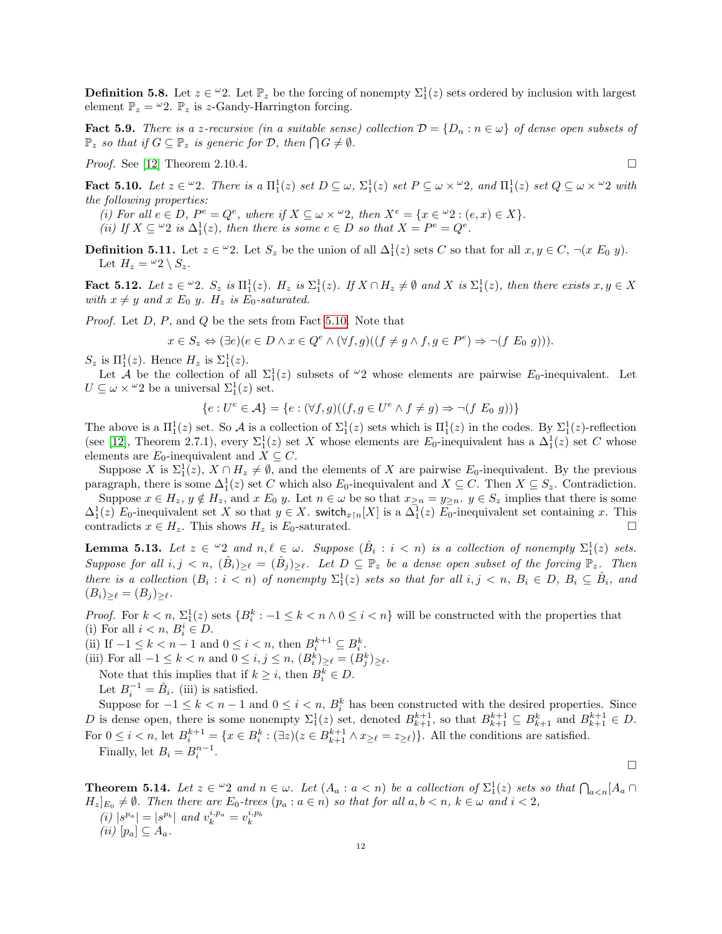**Definition 5.8.** Let  $z \in \omega$ . Let  $\mathbb{P}_z$  be the forcing of nonempty  $\Sigma_1^1(z)$  sets ordered by inclusion with largest element  $\mathbb{P}_z = \omega_2$ .  $\mathbb{P}_z$  is z-Gandy-Harrington forcing.

<span id="page-11-1"></span>**Fact 5.9.** There is a z-recursive (in a suitable sense) collection  $\mathcal{D} = \{D_n : n \in \omega\}$  of dense open subsets of  $\mathbb{P}_z$  so that if  $G \subseteq \mathbb{P}_z$  is generic for  $\mathcal{D}$ , then  $\bigcap G \neq \emptyset$ .

*Proof.* See [\[12\]](#page-34-0) Theorem 2.10.4.

<span id="page-11-0"></span>Fact 5.10. Let  $z \in \omega_2$ . There is a  $\Pi_1^1(z)$  set  $D \subseteq \omega$ ,  $\Sigma_1^1(z)$  set  $P \subseteq \omega \times \omega_2$ , and  $\Pi_1^1(z)$  set  $Q \subseteq \omega \times \omega_2$  with the following properties:

(i) For all  $e \in D$ ,  $P^e = Q^e$ , where if  $X \subseteq \omega \times \omega^2$ , then  $X^e = \{x \in \omega^2 : (e, x) \in X\}$ .

(ii) If  $X \subseteq \mathcal{L}^2$  is  $\Delta_1^1(z)$ , then there is some  $e \in D$  so that  $X = P^e = Q^e$ .

**Definition 5.11.** Let  $z \in \omega$ ?. Let  $S_z$  be the union of all  $\Delta_1^1(z)$  sets C so that for all  $x, y \in C$ ,  $\neg(x \ E_0 \ y)$ . Let  $H_z = \omega_2 \setminus S_z$ .

<span id="page-11-3"></span>Fact 5.12. Let  $z \in \omega_2$ .  $S_z$  is  $\Pi_1^1(z)$ .  $H_z$  is  $\Sigma_1^1(z)$ . If  $X \cap H_z \neq \emptyset$  and  $X$  is  $\Sigma_1^1(z)$ , then there exists  $x, y \in X$ with  $x \neq y$  and  $x E_0 y$ .  $H_z$  is  $E_0$ -saturated.

Proof. Let D, P, and Q be the sets from Fact [5.10.](#page-11-0) Note that

$$
x \in S_z \Leftrightarrow (\exists e)(e \in D \land x \in Q^e \land (\forall f, g)((f \neq g \land f, g \in P^e) \Rightarrow \neg(f \mathrel{E_0} g))).
$$

 $S_z$  is  $\Pi_1^1(z)$ . Hence  $H_z$  is  $\Sigma_1^1(z)$ .

Let A be the collection of all  $\Sigma_1^1(z)$  subsets of  $\omega_2$  whose elements are pairwise  $E_0$ -inequivalent. Let  $U \subseteq \omega \times \omega$  be a universal  $\Sigma_1^1(z)$  set.

$$
\{e: U^e \in \mathcal{A}\} = \{e: (\forall f, g)((f, g \in U^e \land f \neq g) \Rightarrow \neg(f \mathrel{E_0} g))\}
$$

The above is a  $\Pi_1^1(z)$  set. So A is a collection of  $\Sigma_1^1(z)$  sets which is  $\Pi_1^1(z)$  in the codes. By  $\Sigma_1^1(z)$ -reflection (see [\[12\]](#page-34-0), Theorem 2.7.1), every  $\Sigma_1^1(z)$  set X whose elements are  $E_0$ -inequivalent has a  $\Delta_1^1(z)$  set C whose elements are  $E_0$ -inequivalent and  $X \subseteq C$ .

Suppose X is  $\Sigma_1^1(z)$ ,  $X \cap H_z \neq \emptyset$ , and the elements of X are pairwise  $E_0$ -inequivalent. By the previous paragraph, there is some  $\Delta_1^1(z)$  set C which also E<sub>0</sub>-inequivalent and  $X \subseteq C$ . Then  $X \subseteq S_z$ . Contradiction.

Suppose  $x \in H_z$ ,  $y \notin H_z$ , and  $x E_0 y$ . Let  $n \in \omega$  be so that  $x_{\geq n} = y_{\geq n}$ .  $y \in S_z$  implies that there is some  $\Delta_1^1(z)$  E<sub>0</sub>-inequivalent set X so that  $y \in X$ . switch<sub>x|n</sub>[X] is a  $\Delta_1^1(z)$  E<sub>0</sub>-inequivalent set containing x. This contradicts  $x \in H_z$ . This shows  $H_z$  is  $E_0$ -saturated.

<span id="page-11-2"></span>**Lemma 5.13.** Let  $z \in \omega_2$  and  $n, \ell \in \omega$ . Suppose  $(\hat{B}_i : i < n)$  is a collection of nonempty  $\Sigma_1^1(z)$  sets. Suppose for all  $i, j < n$ ,  $(\hat{B}_i)_{\geq \ell} = (\hat{B}_j)_{\geq \ell}$ . Let  $D \subseteq \mathbb{P}_z$  be a dense open subset of the forcing  $\mathbb{P}_z$ . Then there is a collection  $(B_i : i < n)$  of nonempty  $\Sigma_1^1(z)$  sets so that for all  $i, j < n$ ,  $B_i \in D$ ,  $B_i \subseteq \hat{B}_i$ , and  $(B_i)_{\geq \ell} = (B_j)_{\geq \ell}.$ 

*Proof.* For  $k < n$ ,  $\Sigma_1^1(z)$  sets  $\{B_i^k : -1 \leq k < n \wedge 0 \leq i < n\}$  will be constructed with the properties that (i) For all  $i < n$ ,  $B_i^i \in D$ .

(ii) If  $-1 \leq k < n-1$  and  $0 \leq i < n$ , then  $B_i^{k+1} \subseteq B_i^k$ .

(iii) For all  $-1 \leq k < n$  and  $0 \leq i, j \leq n$ ,  $(B_i^k)_{\geq \ell} = (B_j^k)_{\geq \ell}$ .

Note that this implies that if  $k \geq i$ , then  $B_i^k \in D$ .

Let  $B_i^{-1} = \hat{B}_i$ . (iii) is satisfied.

Suppose for  $-1 \leq k < n-1$  and  $0 \leq i < n$ ,  $B_i^k$  has been constructed with the desired properties. Since D is dense open, there is some nonempty  $\Sigma_1^1(z)$  set, denoted  $B_{k+1}^{k+1}$ , so that  $B_{k+1}^{k+1} \subseteq B_{k+1}^k$  and  $B_{k+1}^{k+1} \in D$ . For  $0 \leq i < n$ , let  $B_i^{k+1} = \{x \in B_i^k : (\exists z)(z \in B_{k+1}^{k+1} \land x_{\geq \ell} = z_{\geq \ell})\}\.$  All the conditions are satisfied. Finally, let  $B_i = B_i^{n-1}$ .

**Theorem 5.14.** Let  $z \in \omega_2$  and  $n \in \omega$ . Let  $(A_a : a < n)$  be a collection of  $\Sigma_1^1(z)$  sets so that  $\bigcap_{a \leq n} [A_a \cap$  $H_z|_{E_0} \neq \emptyset$ . Then there are  $E_0$ -trees  $(p_a : a \in n)$  so that for all  $a, b < n$ ,  $k \in \omega$  and  $i < 2$ ,  $(i) |s^{p_a}| = |s^{p_b}|$  and  $v_k^{i, p_a} = v_k^{i, p_b}$ (ii)  $[p_a] \subseteq A_a$ .

$$
\mathbb{E}^{\mathbb{E}}
$$

 $\Box$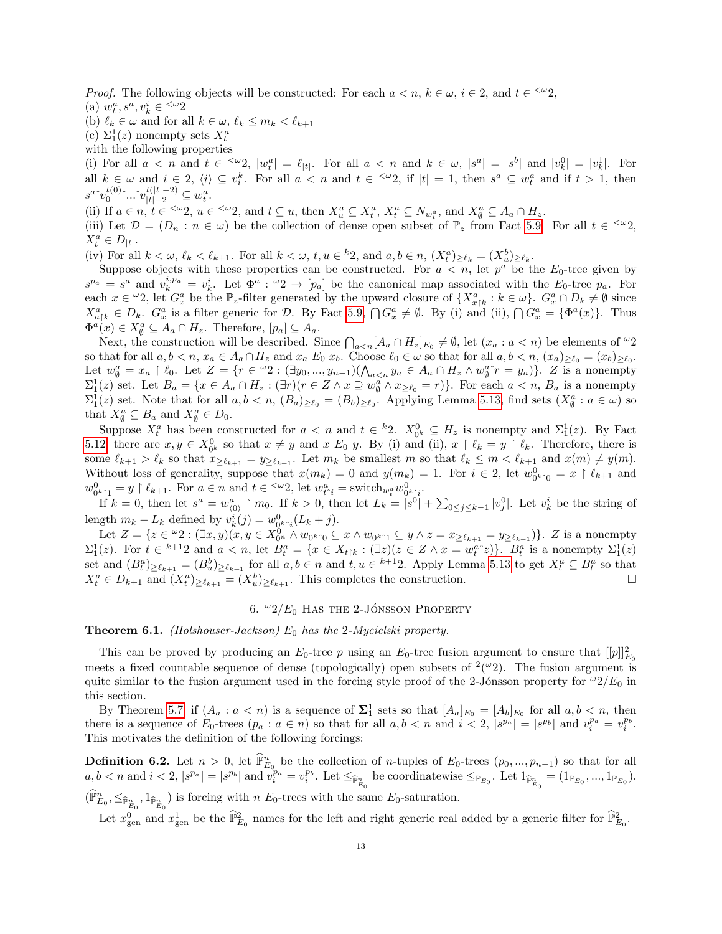*Proof.* The following objects will be constructed: For each  $a < n, k \in \omega, i \in \Omega$ , and  $t \in \frac{<\omega}{2}$ , (a)  $w_t^a, s^a, v_k^i \in \frac{<\omega_2}{ }$ 

(b)  $\ell_k \in \omega$  and for all  $k \in \omega, \ell_k \leq m_k < \ell_{k+1}$ 

- (c)  $\Sigma_1^1(z)$  nonempty sets  $X_t^a$
- with the following properties

(i) For all  $a < n$  and  $t \in \langle \omega_2, |\omega_t^a| = \ell_{|t|}$ . For all  $a < n$  and  $k \in \omega$ ,  $|s^a| = |s^b|$  and  $|v_k^0| = |v_k^1|$ . For all  $k \in \omega$  and  $i \in 2$ ,  $\langle i \rangle \subseteq v_i^k$ . For all  $a < n$  and  $t \in \langle \omega_2 \rangle$ , if  $|t| = 1$ , then  $s^a \subseteq w_i^a$  and if  $t > 1$ , then  $s^a{}^{\widehat{}}v^{t(0)}_0{}^{\widehat{}}...{}^{\widehat{}}v^{t(|t|-2)}_{|t|-2}\subseteq w^a_t.$ 

(ii) If  $a \in n$ ,  $t \in \langle \omega_2, u \in \langle \omega_2 \rangle$ , and  $t \subseteq u$ , then  $X_u^a \subseteq X_t^a$ ,  $X_t^a \subseteq N_{w_t^a}$ , and  $X_\emptyset^a \subseteq A_a \cap H_z$ .

(iii) Let  $\mathcal{D} = (D_n : n \in \omega)$  be the collection of dense open subset of  $\mathbb{P}_z$  from Fact [5.9.](#page-11-1) For all  $t \in \langle \omega_2, \ldots, \omega_n \rangle$  $X_t^a \in D_{|t|}.$ 

(iv) For all  $k < \omega, \ell_k < \ell_{k+1}$ . For all  $k < \omega$ ,  $t, u \in k$ , and  $a, b \in n$ ,  $(X_t^a)_{\geq \ell_k} = (X_u^b)_{\geq \ell_k}$ .

Suppose objects with these properties can be constructed. For  $a < n$ , let  $p^a$  be the  $E_0$ -tree given by  $s^{p_a} = s^a$  and  $v_k^{i,p_a} = v_k^i$ . Let  $\Phi^a : \omega_2 \to [p_a]$  be the canonical map associated with the  $E_0$ -tree  $p_a$ . For each  $x \in \omega_2$ , let  $G_x^a$  be the  $\mathbb{P}_z$ -filter generated by the upward closure of  $\{X_{x\upharpoonright k}^a : k \in \omega\}$ .  $G_x^a \cap D_k \neq \emptyset$  since  $X_{a\upharpoonright k}^a \in D_k$ .  $G_x^a$  is a filter generic for D. By Fact [5.9,](#page-11-1)  $\bigcap G_x^a \neq \emptyset$ . By (i) and (ii),  $\bigcap G_x^a = {\Phi^a(x)}$ . Thus  $\Phi^a(x) \in X^a_{\emptyset} \subseteq A_a \cap H_z$ . Therefore,  $[p_a] \subseteq A_a$ .

Next, the construction will be described. Since  $\bigcap_{a, let  $(x_a : a < n)$  be elements of  $\omega_2$$ so that for all  $a, b < n$ ,  $x_a \in A_a \cap H_z$  and  $x_a E_0 x_b$ . Choose  $\ell_0 \in \omega$  so that for all  $a, b < n$ ,  $(x_a)_{\geq \ell_0} = (x_b)_{\geq \ell_0}$ . Let  $w_{\emptyset}^a = x_a \restriction \ell_0$ . Let  $Z = \{r \in {}^{\omega}2 : (\exists y_0, ..., y_{n-1}) (\bigwedge_{a < n} y_a \in A_a \cap H_z \wedge w_{\emptyset}^a r = y_a)\}\.$  Z is a nonempty  $\Sigma_1^1(z)$  set. Let  $B_a = \{x \in A_a \cap H_z : (\exists r)(r \in Z \land x \supseteq w_0^a \land x_{\geq \ell_0} = r)\}\.$  For each  $a < n$ ,  $B_a$  is a nonempty  $\Sigma_1^1(z)$  set. Note that for all  $a, b < n$ ,  $(B_a)_{\geq \ell_0} = (B_b)_{\geq \ell_0}$ . Applying Lemma [5.13,](#page-11-2) find sets  $(X_\emptyset^a : a \in \omega)$  so that  $X_{\emptyset}^a \subseteq B_a$  and  $X_{\emptyset}^a \in D_0$ .

Suppose  $X_t^a$  has been constructed for  $a < n$  and  $t \in {^k}2$ .  $X_{0^k}^0 \subseteq H_z$  is nonempty and  $\Sigma_1^1(z)$ . By Fact [5.12,](#page-11-3) there are  $x, y \in X_{0^k}^0$  so that  $x \neq y$  and  $x E_0 y$ . By (i) and (ii),  $x \upharpoonright \ell_k = y \upharpoonright \ell_k$ . Therefore, there is some  $\ell_{k+1} > \ell_k$  so that  $x_{\geq \ell_{k+1}} = y_{\geq \ell_{k+1}}$ . Let  $m_k$  be smallest  $m$  so that  $\ell_k \leq m < \ell_{k+1}$  and  $x(m) \neq y(m)$ . Without loss of generality, suppose that  $x(m_k) = 0$  and  $y(m_k) = 1$ . For  $i \in 2$ , let  $w_{0^k \cap 0}^0 = x \restriction \ell_{k+1}$  and whilout loss of generatity, suppose that  $x(m_k) = 0$  and  $y(m_k) = 1$ . For  $i \in \mathbb{Z}$ , let  $w_0$ <br>  $w_{0^{k-1}}^0 = y \upharpoonright \ell_{k+1}$ . For  $a \in n$  and  $t \in \infty$ , let  $w_t^a = \text{switch}_{w_t^a} w_{0^{k-1}}^0$ .

If  $k = 0$ , then let  $s^a = w^a_{(0)} \restriction m_0$ . If  $k > 0$ , then let  $L_k = |s^0| + \sum_{0 \le j \le k-1} |v^0_j|$ . Let  $v^i_k$  be the string of length  $m_k - L_k$  defined by  $v_k^i(j) = w_{0^{k_i}i}^0(L_k + j)$ .

Let  $Z = \{z \in {}^{\omega}2 : (\exists x, y)(x, y \in X_{0^n}^0 \land w_{0^{k \wedge 0}} \subseteq x \land w_{0^{k \wedge 1}} \subseteq y \land z = x_{\geq \ell_{k+1}} = y_{\geq \ell_{k+1}})\}\.$  Z is a nonempty  $\Sigma_1^1(z)$ . For  $t \in {}^{k+1}2$  and  $a < n$ , let  $B_t^a = \{x \in X_{t\upharpoonright k} : (\exists z)(z \in Z \land x = w_t^{a\sim}z)\}\.$   $B_t^a$  is a nonempty  $\Sigma_1^1(z)$ set and  $(B_t^a)_{\geq \ell_{k+1}} = (B_u^b)_{\geq \ell_{k+1}}$  for all  $a, b \in n$  and  $t, u \in k+12$ . Apply Lemma [5.13](#page-11-2) to get  $X_t^a \subseteq B_t^a$  so that  $X_t^a \in D_{k+1}$  and  $(X_t^a)_{\geq \ell_{k+1}} = (X_u^b)_{\geq \ell_{k+1}}$ . This completes the construction.

6.  $\omega_2/E_0$  Has the 2-JÓNSSON PROPERTY

<span id="page-12-0"></span>**Theorem 6.1.** (Holshouser-Jackson)  $E_0$  has the 2-Mycielski property.

This can be proved by producing an  $E_0$ -tree p using an  $E_0$ -tree fusion argument to ensure that  $[[p]]_{E_0}^2$ meets a fixed countable sequence of dense (topologically) open subsets of  $(2\omega_2)$ . The fusion argument is quite similar to the fusion argument used in the forcing style proof of the 2-Jónsson property for  $\omega_2/E_0$  in this section.

By Theorem [5.7,](#page-10-2) if  $(A_a: a < n)$  is a sequence of  $\Sigma_1^1$  sets so that  $[A_a]_{E_0} = [A_b]_{E_0}$  for all  $a, b < n$ , then there is a sequence of  $E_0$ -trees  $(p_a : a \in n)$  so that for all  $a, b < n$  and  $i < 2$ ,  $|s^{p_a}| = |s^{p_b}|$  and  $v_i^{p_a} = v_i^{p_b}$ . This motivates the definition of the following forcings:

**Definition 6.2.** Let  $n > 0$ , let  $\widehat{\mathbb{P}}_{E_0}^n$  be the collection of *n*-tuples of  $E_0$ -trees  $(p_0, ..., p_{n-1})$  so that for all  $a, b < n$  and  $i < 2, |s^{p_a}| = |s^{p_b}|$  and  $\overline{v_i^{p_a}} = v_i^{p_b}$ . Let  $\leq_{\mathbb{P}_{E_0}}$  be coordinatewise  $\leq_{\mathbb{P}_{E_0}}$ . Let  $1_{\widehat{\mathbb{P}}_{E_0}^n} = (1_{\mathbb{P}_{E_0}}, ..., 1_{\mathbb{P}_{E_0}})$ .  $(\widehat{\mathbb{P}}_{E_0}^n, \leq_{\widehat{\mathbb{P}}_{E_0}^n}, 1_{\widehat{\mathbb{P}}_{E_0}^n})$  is forcing with n  $E_0$ -trees with the same  $E_0$ -saturation.

Let  $x_{\text{gen}}^0$  and  $x_{\text{gen}}^1$  be the  $\widehat{\mathbb{P}}_{E_0}^2$  names for the left and right generic real added by a generic filter for  $\widehat{\mathbb{P}}_{E_0}^2$ .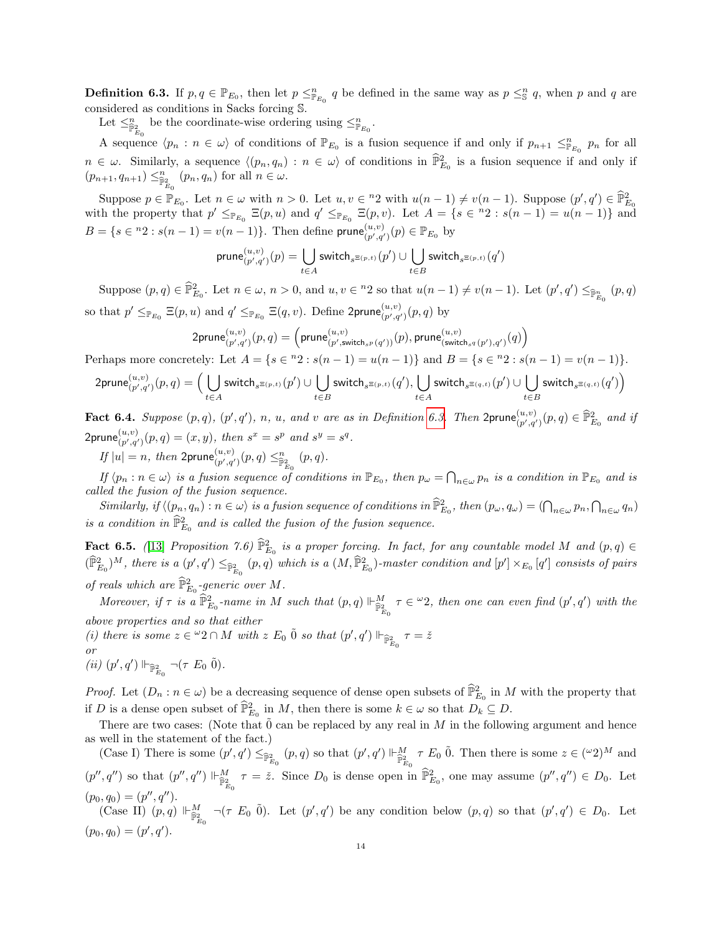<span id="page-13-0"></span>**Definition 6.3.** If  $p, q \in \mathbb{P}_{E_0}$ , then let  $p \leq_{\mathbb{P}_{E_0}}^n q$  be defined in the same way as  $p \leq_{\mathbb{S}}^n q$ , when p and q are considered as conditions in Sacks forcing S.

Let  $\leq^{\bar{n}}_{\bar{\mathbb{P}}^2_{E_0}}$  be the coordinate-wise ordering using  $\leq^{\bar{n}}_{\mathbb{P}_{E_0}}$ .

A sequence  $\langle p_n : n \in \omega \rangle$  of conditions of  $\mathbb{P}_{E_0}$  is a fusion sequence if and only if  $p_{n+1} \leq p_{E_0} p_n$  for all  $n \in \omega$ . Similarly, a sequence  $\langle (p_n, q_n) : n \in \omega \rangle$  of conditions in  $\widehat{\mathbb{P}}_{E_0}^2$  is a fusion sequence if and only if  $(p_{n+1}, q_{n+1}) \leq^{\{n\}}_{\widehat{\mathbb{P}}^2_{E_0}} (p_n, q_n)$  for all  $n \in \omega$ .

Suppose  $p \in \mathbb{P}_{E_0}$ . Let  $n \in \omega$  with  $n > 0$ . Let  $u, v \in \mathbb{P}_2$  with  $u(n-1) \neq v(n-1)$ . Suppose  $(p', q') \in \widehat{\mathbb{P}}_{E_0}^2$ with the property that  $p' \leq_{\mathbb{P}_{E_0}} \Xi(p, u)$  and  $q' \leq_{\mathbb{P}_{E_0}} \Xi(p, v)$ . Let  $A = \{s \in {}^{n_2} : s(n - 1) = u(n - 1)\}\$ and  $B = \{s \in {}^{n}2 : s(n-1) = v(n-1)\}\.$  Then define prune  $\binom{u,v}{v',v'}$  $(\begin{matrix} u,v \\ (p',q') \end{matrix}) (p) \in \mathbb{P}_{E_0}$  by

$$
\mathsf{prune}_{(p',q')}^{(u,v)}(p) = \bigcup_{t \in A} \mathsf{switch}_{s^{\Xi(p,t)}}(p') \cup \bigcup_{t \in B} \mathsf{switch}_{s^{\Xi(p,t)}}(q')
$$

Suppose  $(p, q) \in \hat{\mathbb{P}}_{E_0}^2$ . Let  $n \in \omega$ ,  $n > 0$ , and  $u, v \in {}^{n}2$  so that  $u(n-1) \neq v(n-1)$ . Let  $(p', q') \leq_{\hat{\mathbb{P}}_{E_0}} (p, q)$ so that  $p' \leq_{\mathbb{P}_{E_0}} \Xi(p, u)$  and  $q' \leq_{\mathbb{P}_{E_0}} \Xi(q, v)$ . Define 2prune $\binom{u, v}{p', q'}(p, q)$  by

$$
\mathsf{2prune}_{(p',q')}^{(u,v)}(p,q)=\left(\mathsf{prune}_{(p',\mathsf{switch}_{s^p}(q'))}^{(u,v)}(p),\mathsf{prune}_{(\mathsf{switch}_{s^q}(p'),q')}^{(u,v)}(q)\right)
$$

Perhaps more concretely: Let  $A = \{s \in {}^n 2 : s(n-1) = u(n-1)\}\$  and  $B = \{s \in {}^n 2 : s(n-1) = v(n-1)\}\$ .

$$
\mathsf{2prune}_{(p',q')}^{(u,v)}(p,q) = \Big(\bigcup_{t\in A}\mathsf{switch}_{s^{\Xi(p,t)}}(p')\cup \bigcup_{t\in B}\mathsf{switch}_{s^{\Xi(p,t)}}(q'), \bigcup_{t\in A}\mathsf{switch}_{s^{\Xi(q,t)}}(p')\cup \bigcup_{t\in B}\mathsf{switch}_{s^{\Xi(q,t)}}(q')\Big)
$$

Fact 6.4. Suppose  $(p, q)$ ,  $(p', q')$ , n, u, and v are as in Definition [6.3.](#page-13-0) Then  $2$ prune $\binom{u, v}{p', q'}(p, q) \in \widehat{\mathbb{P}}_{E_0}^2$  and if  $2$ prune $\binom{u,v}{p',q'}(p,q)=(x,y),$  then  $s^x=s^p$  and  $s^y=s^q$ .

If  $|u| = n$ , then  $2$ prune $\binom{u,v}{p',q'}(p,q) \leq^n_{\widehat{\mathbb{P}}^2_{E_0}} (p,q)$ .

If  $\langle p_n : n \in \omega \rangle$  is a fusion sequence of conditions in  $\mathbb{P}_{E_0}$ , then  $p_\omega = \bigcap_{n \in \omega} p_n$  is a condition in  $\mathbb{P}_{E_0}$  and is called the fusion of the fusion sequence.

 $Similarly, if \langle (p_n, q_n) : n \in \omega \rangle is a fusion sequence of conditions in  $\widehat{\mathbb{P}}_{E_0}^2$ , then  $(p_\omega, q_\omega) = (\bigcap_{n \in \omega} p_n, \bigcap_{n \in \omega} q_n)$$ is a condition in  $\widehat{\mathbb{P}}^2_{E_0}$  and is called the fusion of the fusion sequence.

<span id="page-13-1"></span>**Fact 6.5.** ([\[13\]](#page-35-0) Proposition 7.6)  $\widehat{\mathbb{P}}_{E_0}^2$  is a proper forcing. In fact, for any countable model M and  $(p,q) \in$  $(\widehat{\mathbb{P}}_{E_0}^2)^M$ , there is a  $(p', q') \leq_{\widehat{\mathbb{P}}_{E_0}^2} (p, q)$  which is a  $(M, \widehat{\mathbb{P}}_{E_0}^2)$ -master condition and  $[p'] \times_{E_0} [q']$  consists of pairs of reals which are  $\widehat{\mathbb{P}}_{E_0}^2$ -generic over M.

Moreover, if  $\tau$  is a  $\widehat{\mathbb{P}}_{E_0}^2$ -name in M such that  $(p, q) \Vdash_{\widehat{\mathbb{P}}_{E_0}^2}^M \tau \in \omega_2$ , then one can even find  $(p', q')$  with the above properties and so that either

(i) there is some  $z \in {}^{\omega}2 \cap M$  with  $z E_0 \tilde{0}$  so that  $(p', q') \Vdash_{\widehat{\mathbb{P}}_{E_0}^2} \tau = \check{z}$ or

(*ii*)  $(p', q') \Vdash_{\widehat{\mathbb{P}}_{E_0}^2} \neg(\tau \ E_0 \ \tilde{0}).$ 

*Proof.* Let  $(D_n : n \in \omega)$  be a decreasing sequence of dense open subsets of  $\widehat{\mathbb{P}}_{E_0}^2$  in M with the property that if D is a dense open subset of  $\widehat{\mathbb{P}}_{E_0}^2$  in M, then there is some  $k \in \omega$  so that  $D_k \subseteq D$ .

There are two cases: (Note that  $\hat{0}$  can be replaced by any real in M in the following argument and hence as well in the statement of the fact.)

(Case I) There is some  $(p', q') \leq_{\mathbb{P}^2_{E_0}} (p, q)$  so that  $(p', q') \Vdash_{\mathbb{P}^2_{E_0}}^M \tau E_0$  0. Then there is some  $z \in (\mathbb{C}^2)^M$  and  $(p'', q'')$  so that  $(p'', q'') \Vdash^M_{\widehat{\mathbb{P}}^2_{E_0}} \tau = \check{z}$ . Since  $D_0$  is dense open in  $\widehat{\mathbb{P}}^2_{E_0}$ , one may assume  $(p'', q'') \in D_0$ . Let  $(p_0, q_0) = (p'', q'').$ 

(Case II)  $(p, q) \Vdash_{\widehat{\mathbb{P}}_{E_0}^2}^M \neg (\tau E_0 \tilde{0})$ . Let  $(p', q')$  be any condition below  $(p, q)$  so that  $(p', q') \in D_0$ . Let  $(p_0, q_0) = (p', q').$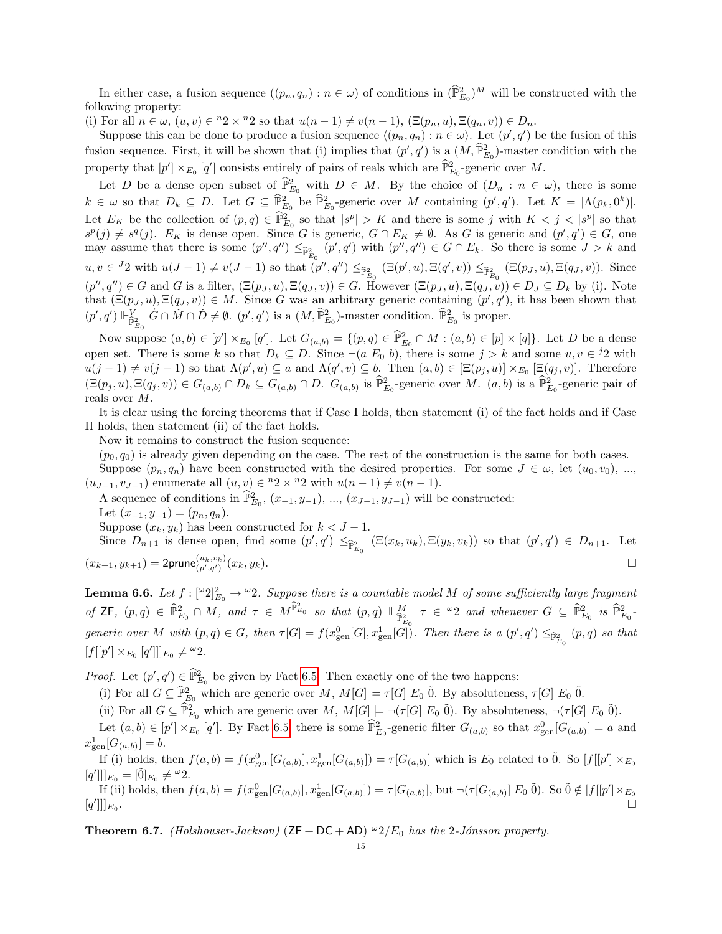In either case, a fusion sequence  $((p_n, q_n) : n \in \omega)$  of conditions in  $(\widehat{\mathbb{P}}_{E_0}^2)^M$  will be constructed with the following property:

(i) For all  $n \in \omega$ ,  $(u, v) \in {}^n 2 \times {}^n 2$  so that  $u(n-1) \neq v(n-1)$ ,  $(\Xi(p_n, u), \Xi(q_n, v)) \in D_n$ .

Suppose this can be done to produce a fusion sequence  $\langle (p_n, q_n) : n \in \omega \rangle$ . Let  $(p', q')$  be the fusion of this fusion sequence. First, it will be shown that (i) implies that  $(p', q')$  is a  $(M, \widehat{\mathbb{P}}_{E_0}^2)$ -master condition with the property that  $[p'] \times_{E_0} [q']$  consists entirely of pairs of reals which are  $\widehat{\mathbb{P}}_{E_0}^2$ -generic over M.

Let D be a dense open subset of  $\widehat{\mathbb{P}}_{E_0}^2$  with  $D \in M$ . By the choice of  $(D_n : n \in \omega)$ , there is some  $k \in \omega$  so that  $D_k \subseteq D$ . Let  $G \subseteq \widehat{\mathbb{P}}_{E_0}^2$  be  $\widehat{\mathbb{P}}_{E_0}^2$ -generic over M containing  $(p', q')$ . Let  $K = |\Lambda(p_k, 0^k)|$ . Let  $E_K$  be the collection of  $(p,q) \in \widehat{\mathbb{P}}_{E_0}^2$  so that  $|s^p| > K$  and there is some j with  $K < j < |s^p|$  so that  $s^p(j) \neq s^q(j)$ .  $E_K$  is dense open. Since G is generic,  $G \cap E_K \neq \emptyset$ . As G is generic and  $(p', q') \in G$ , one may assume that there is some  $(p'', q'') \leq_{\widehat{\mathbb{P}}_{E_0}^2} (p', q')$  with  $(p'', q'') \in G \cap E_k$ . So there is some  $J > k$  and  $u, v \in {}^{J_2}$  with  $u(J-1) \neq v(J-1)$  so that  $(p'', q'') \leq_{\widehat{\mathbb{P}}_{E_0}^2} (\Xi(p', u), \Xi(q', v)) \leq_{\widehat{\mathbb{P}}_{E_0}^2} (\Xi(p_J, u), \Xi(q_J, v))$ . Since  $(p'', q'') \in G$  and G is a filter,  $(\Xi(p_J, u), \Xi(q_J, v)) \in G$ . However  $(\Xi(p_J, u), \Xi(q_J, v)) \in D_J \subseteq D_k$  by (i). Note that  $(\Xi(p_J, u), \Xi(q_J, v)) \in M$ . Since G was an arbitrary generic containing  $(p', q')$ , it has been shown that  $(p', q') \Vdash_{\widehat{\mathbb{P}}^2_{E_0}}^V \dot{G} \cap \check{M} \cap \check{D} \neq \emptyset$ .  $(p', q')$  is a  $(M, \widehat{\mathbb{P}}^2_{E_0})$ -master condition.  $\widehat{\mathbb{P}}^2_{E_0}$  is proper.

Now suppose  $(a, b) \in [p'] \times_{E_0} [q']$ . Let  $G_{(a,b)} = \{(p,q) \in \widehat{\mathbb{P}}_{E_0}^2 \cap M : (a,b) \in [p] \times [q]\}$ . Let D be a dense open set. There is some k so that  $D_k \subseteq D$ . Since  $\neg(a \ E_0 \ b)$ , there is some  $j > k$  and some  $u, v \in {}^{j_2}$  with  $u(j-1) \neq v(j-1)$  so that  $\Lambda(p', u) \subseteq a$  and  $\Lambda(q', v) \subseteq b$ . Then  $(a, b) \in [\Xi(p_j, u)] \times_{E_0} [\Xi(q_j, v)]$ . Therefore  $(\Xi(p_j, u), \Xi(q_j, v)) \in G_{(a,b)} \cap D_k \subseteq G_{(a,b)} \cap D.$   $G_{(a,b)}$  is  $\widehat{\mathbb{P}}_{E_0}^2$ -generic over M.  $(a, b)$  is a  $\widehat{\mathbb{P}}_{E_0}^2$ -generic pair of reals over M.

It is clear using the forcing theorems that if Case I holds, then statement (i) of the fact holds and if Case II holds, then statement (ii) of the fact holds.

Now it remains to construct the fusion sequence:

 $(p_0, q_0)$  is already given depending on the case. The rest of the construction is the same for both cases.

Suppose  $(p_n, q_n)$  have been constructed with the desired properties. For some  $J \in \omega$ , let  $(u_0, v_0)$ , ...,  $(u_{J-1}, v_{J-1})$  enumerate all  $(u, v) \in {}^{n}2 \times {}^{n}2$  with  $u(n - 1) \neq v(n - 1)$ .

A sequence of conditions in  $\hat{\mathbb{P}}_{E_0}^2$ ,  $(x_{-1}, y_{-1}), ..., (x_{J-1}, y_{J-1})$  will be constructed:

Let  $(x_{-1}, y_{-1}) = (p_n, q_n)$ .

Suppose  $(x_k, y_k)$  has been constructed for  $k < J - 1$ .

Since  $D_{n+1}$  is dense open, find some  $(p', q') \leq_{\mathbb{P}^2_{E_0}} (\Xi(x_k, u_k), \Xi(y_k, v_k))$  so that  $(p', q') \in D_{n+1}$ . Let  $(x_{k+1}, y_{k+1}) = 2$ prune $\binom{u_k, v_k}{p', q'}(x_k, y_k)$ .

<span id="page-14-0"></span>**Lemma 6.6.** Let  $f: [\omega_2]_{E_0}^2 \to \omega_2$ . Suppose there is a countable model M of some sufficiently large fragment of ZF,  $(p,q) \in \hat{\mathbb{P}}_{E_0}^2 \cap M$ , and  $\tau \in M^{\hat{\mathbb{P}}_{E_0}^2}$  so that  $(p,q) \Vdash_{\hat{\mathbb{P}}_{E_0}^2}^M \tau \in {}^{\omega_2}$  and whenever  $G \subseteq \hat{\mathbb{P}}_{E_0}^2$  is  $\hat{\mathbb{P}}_{E_0}^2$ generic over M with  $(p,q) \in G$ , then  $\tau[G] = f(x_{gen}^0[G], x_{gen}^1[G])$ . Then there is a  $(p',q') \leq_{\widehat{\mathbb{P}}_{E_0}^2} (p,q)$  so that  $[f[[p'] \times_{E_0} [q']]]_{E_0} \neq \omega_2.$ 

*Proof.* Let  $(p', q') \in \widehat{\mathbb{P}}_{E_0}^2$  be given by Fact [6.5.](#page-13-1) Then exactly one of the two happens:

(i) For all  $G \subseteq \widehat{\mathbb{P}}_{E_0}^2$  which are generic over  $M$ ,  $M[G] \models \tau[G] E_0$   $\widetilde{0}$ . By absoluteness,  $\tau[G] E_0$   $\widetilde{0}$ .

(ii) For all  $G \subseteq \hat{\mathbb{P}}_{E_0}^2$  which are generic over M,  $M[G] \models \neg(\tau[G] \ E_0 \ \tilde{0})$ . By absoluteness,  $\neg(\tau[G] \ E_0 \ \tilde{0})$ .

Let  $(a, b) \in [p'] \times_{E_0} [q']$ . By Fact [6.5,](#page-13-1) there is some  $\widehat{\mathbb{P}}_{E_0}^2$ -generic filter  $G_{(a,b)}$  so that  $x_{gen}^0[G_{(a,b)}] = a$  and  $x_{\text{gen}}^1[G_{(a,b)}] = b.$ 

If (i) holds, then  $f(a,b) = f(x_{gen}^0[G_{(a,b)}], x_{gen}^1[G_{(a,b)}]) = \tau[G_{(a,b)}]$  which is  $E_0$  related to  $0$ . So  $[f[[p'] \times_{E_0} G_{(a,b)}]] = f[G_{(a,b)}]$  $[q']$ ] $_{E_0} = [\tilde{0}]_{E_0} \neq {}^{\omega}2.$ 

If (ii) holds, then  $f(a, b) = f(x_{gen}^0[G_{(a, b)}], x_{gen}^1[G_{(a, b)}]) = \tau[G_{(a, b)}],$  but  $\neg(\tau[G_{(a, b)}], E_0 \tilde{0})$ . So  $\tilde{0} \notin [f[[p'] \times_{E_0} E_0 \tilde{0})]$  $[q']$ ] $_{E_0}$ .

**Theorem 6.7.** (Holshouser-Jackson)  $(ZF + DC + AD)$   $\omega_2/E_0$  has the 2-Jónsson property.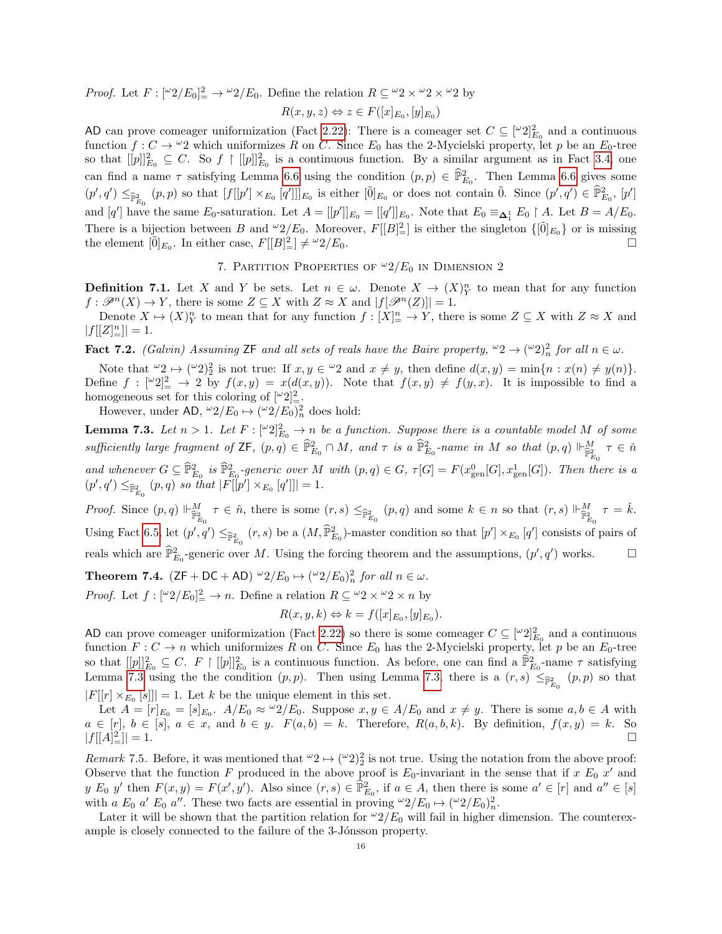*Proof.* Let  $F: [\omega 2/E_0]_2^2 \to \omega 2/E_0$ . Define the relation  $R \subseteq \omega_2 \times \omega_2 \times \omega_2$  by

$$
R(x, y, z) \Leftrightarrow z \in F([x]_{E_0}, [y]_{E_0})
$$

AD can prove comeager uniformization (Fact [2.22\)](#page-6-2): There is a comeager set  $C \subseteq [\omega_2]^2_{E_0}$  and a continuous function  $f: C \to \omega_2$  which uniformizes R on C. Since  $E_0$  has the 2-Mycielski property, let p be an  $E_0$ -tree so that  $[[p]]_{E_0}^2 \subseteq C$ . So  $f \mid [[p]]_{E_0}^2$  is a continuous function. By a similar argument as in Fact [3.4,](#page-8-1) one can find a name  $\tau$  satisfying Lemma [6.6](#page-14-0) using the condition  $(p, p) \in \widehat{\mathbb{P}}_{E_0}^2$ . Then Lemma 6.6 gives some  $(p', q') \leq_{\widehat{\mathbb{P}}_{E_0}^2} (p, p)$  so that  $[f[[p'] \times_{E_0} [q']]|_{E_0}$  is either  $[\tilde{0}]_{E_0}$  or does not contain  $\tilde{0}$ . Since  $(p', q') \in \widehat{\mathbb{P}}_{E_0}^2$ ,  $[p']$ and  $[q']$  have the same  $E_0$ -saturation. Let  $A = [[p']]_{E_0} = [[q']]_{E_0}$ . Note that  $E_0 \equiv_{\mathbf{\Delta}_1^1} E_0 \restriction A$ . Let  $B = A/E_0$ . There is a bijection between B and  $\omega_2/E_0$ . Moreover,  $F[[B]_2^2]$  is either the singleton  $\{\lbrack \tilde{0} \rbrack_{E_0}\}$  or is missing the element  $[0]_{E_0}$ . In either case,  $F[[B]_{=}^2] \neq {}^{\omega}2/E_0$ .

# 7. PARTITION PROPERTIES OF  $\omega_2/E_0$  in DIMENSION 2

<span id="page-15-0"></span>**Definition 7.1.** Let X and Y be sets. Let  $n \in \omega$ . Denote  $X \to (X)^n$  to mean that for any function  $f: \mathscr{P}^n(X) \to Y$ , there is some  $Z \subseteq X$  with  $Z \approx X$  and  $|f[\mathscr{P}^n(Z)]| = 1$ .

Denote  $X \mapsto (X)^n_Y$  to mean that for any function  $f : [X]^n \to Y$ , there is some  $Z \subseteq X$  with  $Z \approx X$  and  $|f[[Z] \underline{h}]] = 1.$ 

**Fact 7.2.** (Galvin) Assuming ZF and all sets of reals have the Baire property,  $\omega_2 \to (\omega_2)_n^2$  for all  $n \in \omega$ .

Note that  $\omega_2 \mapsto (\omega_2)_2^2$  is not true: If  $x, y \in \omega_2$  and  $x \neq y$ , then define  $d(x, y) = \min\{n : x(n) \neq y(n)\}.$ Define  $f : [\omega_2]^2 \to 2$  by  $f(x, y) = x(d(x, y))$ . Note that  $f(x, y) \neq f(y, x)$ . It is impossible to find a homogeneous set for this coloring of  $\lfloor \omega_2 \rfloor^2$ .

However, under AD,  $\omega_2/E_0 \mapsto (\omega_2/E_0)_n^2$  does hold:

<span id="page-15-1"></span>**Lemma 7.3.** Let  $n > 1$ . Let  $F : [\lceil \omega_2 \rceil_{E_0}^2 \rightarrow n$  be a function. Suppose there is a countable model M of some sufficiently large fragment of  $\mathsf{ZF}, (p,q) \in \widehat{\mathbb{P}}_{E_0}^2 \cap M$ , and  $\tau$  is a  $\widehat{\mathbb{P}}_{E_0}^2$ -name in  $M$  so that  $(p,q) \Vdash_{\widehat{\mathbb{P}}_{E_0}^2}^M \tau \in \check{n}$ and whenever  $G \subseteq \widehat{\mathbb{P}}_{E_0}^2$  is  $\widehat{\mathbb{P}}_{E_0}^2$ -generic over M with  $(p,q) \in G$ ,  $\tau[G] = F(x_{\text{gen}}^0[G], x_{\text{gen}}^1[G])$ . Then there is a  $(p', q') \leq_{\widehat{\mathbb{P}}_{E_0}^2} (p, q)$  so that  $|F[[p'] \times_{E_0} [q']]| = 1$ .

Proof. Since  $(p, q) \Vdash_{\widehat{\mathbb{P}}_{E_0}^2}^M \tau \in \hat{n}$ , there is some  $(r, s) \leq_{\widehat{\mathbb{P}}_{E_0}^2} (p, q)$  and some  $k \in n$  so that  $(r, s) \Vdash_{\widehat{\mathbb{P}}_{E_0}^2}^M \tau = \check{k}$ . Using Fact [6.5,](#page-13-1) let  $(p', q') \leq_{\widehat{\mathbb{P}}_{E_0}^2} (r, s)$  be a  $(M, \widehat{\mathbb{P}}_{E_0}^2)$ -master condition so that  $[p'] \times_{E_0} [q']$  consists of pairs of reals which are  $\widehat{\mathbb{P}}_{E_0}^2$ -generic over M. Using the forcing theorem and the assumptions,  $(p', q')$  works.

**Theorem 7.4.**  $(ZF + DC + AD) \omega_2/E_0 \mapsto (\omega_2/E_0)_n^2$  for all  $n \in \omega$ .

*Proof.* Let  $f : [\omega 2/E_0] \to n$ . Define a relation  $R \subseteq \omega 2 \times \omega 2 \times n$  by

$$
R(x, y, k) \Leftrightarrow k = f([x]_{E_0}, [y]_{E_0}).
$$

AD can prove comeager uniformization (Fact [2.22\)](#page-6-2) so there is some comeager  $C \subseteq [\omega_2]^2_{E_0}$  and a continuous function  $F: C \to n$  which uniformizes R on C. Since  $E_0$  has the 2-Mycielski property, let p be an  $E_0$ -tree so that  $[[p]]_{E_0}^2 \subseteq C$ .  $F \upharpoonright [[p]]_{E_0}^2$  is a continuous function. As before, one can find a  $\widehat{\mathbb{P}}_{E_0}^2$ -name  $\tau$  satisfying Lemma [7.3](#page-15-1) using the the condition  $(p, p)$ . Then using Lemma [7.3,](#page-15-1) there is a  $(r, s) \leq_{\mathbb{P}^2_{E_0}} (p, p)$  so that  $|F[[r] \times_{E_0} [s]]| = 1.$  Let k be the unique element in this set.

Let  $A = [r]_{E_0} = [s]_{E_0}$ .  $A/E_0 \approx {}^{\omega}2/E_0$ . Suppose  $x, y \in A/E_0$  and  $x \neq y$ . There is some  $a, b \in A$  with  $a \in [r], b \in [s], a \in x$ , and  $b \in y$ .  $F(a, b) = k$ . Therefore,  $R(a, b, k)$ . By definition,  $f(x, y) = k$ . So  $|f|[A]_-^2$  $\left| \frac{2}{m} \right| = 1.$ 

Remark 7.5. Before, it was mentioned that  $\omega_2 \mapsto (\omega_2)_2^2$  is not true. Using the notation from the above proof: Observe that the function F produced in the above proof is  $E_0$ -invariant in the sense that if x  $E_0$  x' and y E<sub>0</sub> y' then  $F(x, y) = F(x', y')$ . Also since  $(r, s) \in \widehat{\mathbb{P}}_{E_0}^2$ , if  $a \in A$ , then there is some  $a' \in [r]$  and  $a'' \in [s]$ with a  $E_0$  a'  $E_0$  a''. These two facts are essential in proving  $\omega^2/E_0 \mapsto (\omega^2/E_0)_n^2$ .

Later it will be shown that the partition relation for  $\omega/2/E_0$  will fail in higher dimension. The counterexample is closely connected to the failure of the 3-Jónsson property.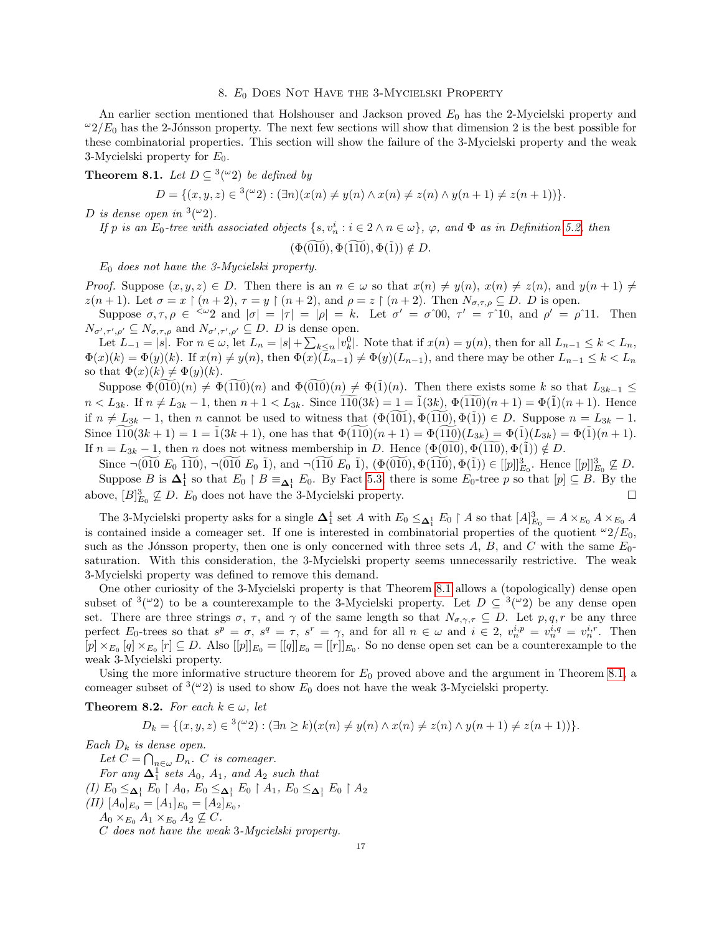### 8.  $E_0$  Does Not Have the 3-Mycielski Property

<span id="page-16-1"></span>An earlier section mentioned that Holshouser and Jackson proved  $E_0$  has the 2-Mycielski property and  $\omega_2/E_0$  has the 2-Jónsson property. The next few sections will show that dimension 2 is the best possible for these combinatorial properties. This section will show the failure of the 3-Mycielski property and the weak 3-Mycielski property for  $E_0$ .

<span id="page-16-0"></span>**Theorem 8.1.** Let  $D \subseteq {}^{3}({}^{\omega}2)$  be defined by

$$
D = \{(x, y, z) \in {}^{3}(\omega 2) : (\exists n)(x(n) \neq y(n) \land x(n) \neq z(n) \land y(n+1) \neq z(n+1))\}.
$$

D is dense open in  $\frac{3(\omega_2)}{\omega_1}$ .

If p is an  $E_0$ -tree with associated objects  $\{s, v_n^i : i \in 2 \land n \in \omega\}$ ,  $\varphi$ , and  $\Phi$  as in Definition [5.2,](#page-9-1) then

$$
(\Phi(\widetilde{010}), \Phi(\widetilde{110}), \Phi(\widetilde{1})) \notin D
$$

 $E_0$  does not have the 3-Mycielski property.

*Proof.* Suppose  $(x, y, z) \in D$ . Then there is an  $n \in \omega$  so that  $x(n) \neq y(n)$ ,  $x(n) \neq z(n)$ , and  $y(n + 1) \neq z(n)$  $z(n+1)$ . Let  $\sigma = x \restriction (n+2)$ ,  $\tau = y \restriction (n+2)$ , and  $\rho = z \restriction (n+2)$ . Then  $N_{\sigma,\tau,\rho} \subseteq D$ . D is open.

Suppose  $\sigma, \tau, \rho \in \langle \omega_2 \rangle$  and  $|\sigma| = |\tau| = |\rho| = k$ . Let  $\sigma' = \sigma^0 0$ ,  $\tau' = \tau^0 10$ , and  $\rho' = \rho^0 11$ . Then  $N_{\sigma',\tau',\rho'} \subseteq N_{\sigma,\tau,\rho}$  and  $N_{\sigma',\tau',\rho'} \subseteq D$ . D is dense open.

Let  $L_{-1} = |s|$ . For  $n \in \omega$ , let  $L_n = |s| + \sum_{k \leq n} |v_k^0|$ . Note that if  $x(n) = y(n)$ , then for all  $L_{n-1} \leq k < L_n$ ,  $\Phi(x)(k) = \Phi(y)(k)$ . If  $x(n) \neq y(n)$ , then  $\Phi(x)(\overline{L}_{n-1}) \neq \Phi(y)(L_{n-1})$ , and there may be other  $L_{n-1} \leq k < L_n$ so that  $\Phi(x)(k) \neq \Phi(y)(k)$ .

Suppose  $\Phi(010)(n) \neq \Phi(110)(n)$  and  $\Phi(010)(n) \neq \Phi(1)(n)$ . Then there exists some k so that  $L_{3k-1} \leq$  $n < L_{3k}$ . If  $n \neq L_{3k} - 1$ , then  $n + 1 < L_{3k}$ . Since  $\widetilde{110}(3k) = 1 = \widetilde{1}(3k)$ ,  $\Phi(\widetilde{110})(n + 1) = \Phi(\widetilde{1})(n + 1)$ . Hence if  $n \neq L_{3k} - 1$ , then n cannot be used to witness that  $(\Phi(101), \Phi(110), \Phi(1)) \in D$ . Suppose  $n = L_{3k} - 1$ . Since  $\widetilde{110}(3k+1) = 1 = \widetilde{1}(3k+1)$ , one has that  $\Phi(\widetilde{110})(n+1) = \Phi(\widetilde{110})(L_{3k}) = \Phi(\widetilde{1})(L_{3k}) = \Phi(\widetilde{1})(n+1)$ . If  $n = L_{3k} - 1$ , then n does not witness membership in D. Hence  $(\Phi(010), \Phi(110), \Phi(1)) \notin D$ .

Since  $\neg(\widetilde{010} E_0 \ \widetilde{110}), \neg(\widetilde{010} E_0 \ \widetilde{1}), \text{ and } \neg(\widetilde{110} E_0 \ \widetilde{1}), (\Phi(\widetilde{010}), \Phi(\widetilde{110}), \Phi(\widetilde{1})) \in [[p]]_{E_0}^3$ . Hence  $[[p]]_{E_0}^3 \not\subseteq D$ . Suppose B is  $\Delta_1^1$  so that  $E_0 \upharpoonright B \equiv_{\Delta_1^1} E_0$ . By Fact [5.3,](#page-10-0) there is some  $E_0$ -tree p so that  $[p] \subseteq B$ . By the above,  $[B]_{E_0}^3 \nsubseteq D$ .  $E_0$  does not have the 3-Mycielski property.

The 3-Mycielski property asks for a single  $\Delta_1^1$  set A with  $E_0 \leq_{\Delta_1^1} E_0 \restriction A$  so that  $[A]_{E_0}^3 = A \times_{E_0} A \times_{E_0} A$ is contained inside a comeager set. If one is interested in combinatorial properties of the quotient  $\frac{1}{2}E_0$ , such as the Jónsson property, then one is only concerned with three sets A, B, and C with the same  $E_0$ saturation. With this consideration, the 3-Mycielski property seems unnecessarily restrictive. The weak 3-Mycielski property was defined to remove this demand.

One other curiosity of the 3-Mycielski property is that Theorem [8.1](#page-16-0) allows a (topologically) dense open subset of  $\frac{3(\omega_2)}{\omega_1}$  to be a counterexample to the 3-Mycielski property. Let  $D \subseteq \frac{3(\omega_2)}{\omega_1}$  be any dense open set. There are three strings  $\sigma$ ,  $\tau$ , and  $\gamma$  of the same length so that  $N_{\sigma,\gamma,\tau} \subseteq D$ . Let  $p,q,r$  be any three perfect  $E_0$ -trees so that  $s^p = \sigma$ ,  $s^q = \tau$ ,  $s^r = \gamma$ , and for all  $n \in \omega$  and  $i \in 2$ ,  $v_n^{i,p} = v_n^{i,q} = v_n^{i,r}$ . Then  $[p] \times_{E_0} [q] \times_{E_0} [r] \subseteq D$ . Also  $[[p]]_{E_0} = [[q]]_{E_0} = [[r]]_{E_0}$ . So no dense open set can be a counterexample to the weak 3-Mycielski property.

Using the more informative structure theorem for  $E_0$  proved above and the argument in Theorem [8.1,](#page-16-0) a comeager subset of <sup>3</sup>(<sup> $\omega$ </sup>2) is used to show  $E_0$  does not have the weak 3-Mycielski property.

**Theorem 8.2.** For each  $k \in \omega$ , let

$$
D_k = \{(x, y, z) \in {}^3(\omega_2) : (\exists n \ge k)(x(n) \ne y(n) \land x(n) \ne z(n) \land y(n+1) \ne z(n+1))\}.
$$

Each  $D_k$  is dense open.

Let  $C = \bigcap_{n \in \omega} D_n$ . C is comeager. For any  $\Delta_1^1$  sets  $A_0$ ,  $A_1$ , and  $A_2$  such that (I)  $E_0 \leq_{\Delta_1^1} E_0 \restriction A_0$ ,  $E_0 \leq_{\Delta_1^1} E_0 \restriction A_1$ ,  $E_0 \leq_{\Delta_1^1} E_0 \restriction A_2$ (II)  $[A_0]_{E_0} = [A_1]_{E_0} = [A_2]_{E_0}$  $A_0 \times_{E_0} A_1 \times_{E_0} A_2 \nsubseteq C$ . C does not have the weak 3-Mycielski property.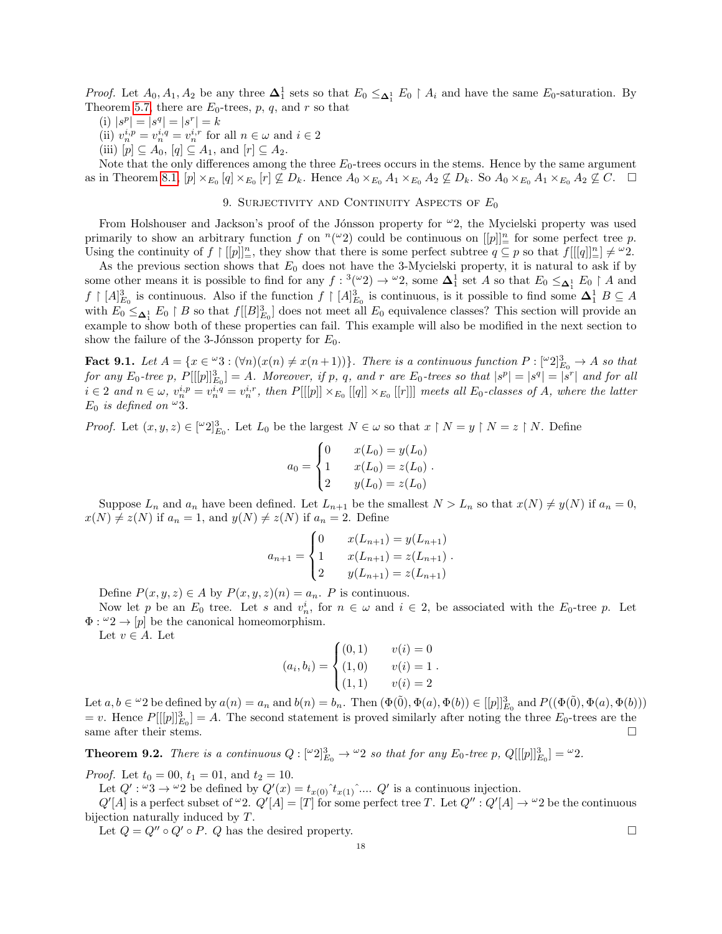*Proof.* Let  $A_0, A_1, A_2$  be any three  $\Delta_1^1$  sets so that  $E_0 \leq_{\Delta_1^1} E_0 \restriction A_i$  and have the same  $E_0$ -saturation. By Theorem [5.7,](#page-10-2) there are  $E_0$ -trees, p, q, and r so that

- (i)  $|s^p| = |s^q| = |s^r| = k$
- (ii)  $v_n^{i,p} = v_n^{i,q} = v_n^{i,r}$  for all  $n \in \omega$  and  $i \in 2$
- (iii)  $[p] \subseteq A_0$ ,  $[q] \subseteq A_1$ , and  $[r] \subseteq A_2$ .

Note that the only differences among the three  $E_0$ -trees occurs in the stems. Hence by the same argument as in Theorem [8.1,](#page-16-0)  $[p] \times_{E_0} [q] \times_{E_0} [r] \nsubseteq D_k$ . Hence  $A_0 \times_{E_0} A_1 \times_{E_0} A_2 \nsubseteq D_k$ . So  $A_0 \times_{E_0} A_1 \times_{E_0} A_2 \nsubseteq C$ .  $\Box$ 

# 9. SURJECTIVITY AND CONTINUITY ASPECTS OF  $E_0$

<span id="page-17-0"></span>From Holshouser and Jackson's proof of the Jónsson property for  $\omega_2$ , the Mycielski property was used primarily to show an arbitrary function f on  $(n^{\omega}2)$  could be continuous on  $[[p]]_{=}^n$  for some perfect tree p. Using the continuity of  $f \mid [[p]]_{=}^n$ , they show that there is some perfect subtree  $q \subseteq p$  so that  $f[[[q]]_{=}^n] \neq \omega_2$ .

As the previous section shows that  $E_0$  does not have the 3-Mycielski property, it is natural to ask if by some other means it is possible to find for any  $f: {}^3({}^\omega 2) \to {}^{\omega}2$ , some  $\mathbf{\Delta}_1^1$  set A so that  $E_0 \leq_{\mathbf{\Delta}_1^1} E_0 \restriction A$  and  $f \restriction [A]_{E_0}^3$  is continuous. Also if the function  $f \restriction [A]_{E_0}^3$  is continuous, is it possible to find some  $\Delta_1^1 B \subseteq A$ with  $E_0 \leq_{\Delta_1^1} E_0 \restriction B$  so that  $f[[B]_{E_0}^3]$  does not meet all  $E_0$  equivalence classes? This section will provide an example to show both of these properties can fail. This example will also be modified in the next section to show the failure of the 3-Jónsson property for  $E_0$ .

<span id="page-17-1"></span>**Fact 9.1.** Let  $A = \{x \in {}^{\omega}3 : (\forall n)(x(n) \neq x(n+1))\}$ . There is a continuous function  $P : [{}^{\omega}2]_{E_0}^3 \to A$  so that for any  $E_0$ -tree p,  $P[[[p]]_{E_0}^3] = A$ . Moreover, if p, q, and r are  $E_0$ -trees so that  $|s^p| = |s^q| = |s^r|$  and for all  $i \in 2$  and  $n \in \omega$ ,  $v_n^{i,p} = v_n^{i,q} = v_n^{i,r}$ , then  $P[[[p]] \times_{E_0} [[q]] \times_{E_0} [[r]]]$  meets all  $E_0$ -classes of A, where the latter  $E_0$  is defined on  $\omega_3$ .

*Proof.* Let  $(x, y, z) \in [\lbrack \lbrack 2 \rbrack \rbrack_{E_0}^3$ . Let  $L_0$  be the largest  $N \in \omega$  so that  $x \restriction N = y \restriction N = z \restriction N$ . Define

$$
a_0 = \begin{cases} 0 & x(L_0) = y(L_0) \\ 1 & x(L_0) = z(L_0) \\ 2 & y(L_0) = z(L_0) \end{cases}.
$$

Suppose  $L_n$  and  $a_n$  have been defined. Let  $L_{n+1}$  be the smallest  $N > L_n$  so that  $x(N) \neq y(N)$  if  $a_n = 0$ ,  $x(N) \neq z(N)$  if  $a_n = 1$ , and  $y(N) \neq z(N)$  if  $a_n = 2$ . Define

$$
a_{n+1} = \begin{cases} 0 & x(L_{n+1}) = y(L_{n+1}) \\ 1 & x(L_{n+1}) = z(L_{n+1}) \\ 2 & y(L_{n+1}) = z(L_{n+1}) \end{cases}.
$$

Define  $P(x, y, z) \in A$  by  $P(x, y, z)(n) = a_n$ . P is continuous.

Now let p be an  $E_0$  tree. Let s and  $v_n^i$ , for  $n \in \omega$  and  $i \in 2$ , be associated with the  $E_0$ -tree p. Let  $\Phi: \omega_2 \to [p]$  be the canonical homeomorphism.

Let  $v \in A$ . Let

$$
(a_i, b_i) = \begin{cases} (0, 1) & v(i) = 0 \\ (1, 0) & v(i) = 1 \\ (1, 1) & v(i) = 2 \end{cases}
$$

Let  $a, b \in \mathcal{L}^2$  be defined by  $a(n) = a_n$  and  $b(n) = b_n$ . Then  $(\Phi(\tilde{0}), \Phi(a), \Phi(b)) \in [[p]]_{E_0}^3$  and  $P((\Phi(\tilde{0}), \Phi(a), \Phi(b)))$  $= v$ . Hence  $P[[p]]_{E_0}^3 = A$ . The second statement is proved similarly after noting the three  $E_0$ -trees are the same after their stems.  $\Box$ 

<span id="page-17-2"></span>**Theorem 9.2.** There is a continuous  $Q: [\omega_2]^3_{E_0} \to \omega_2$  so that for any  $E_0$ -tree p,  $Q[[[p]]^3_{E_0}] = \omega_2$ .

*Proof.* Let  $t_0 = 00$ ,  $t_1 = 01$ , and  $t_2 = 10$ .

Let  $Q' : \omega_3 \to \omega_2$  be defined by  $Q'(x) = t_{x(0)}^t t_{x(1)}^t \dots Q'$  is a continuous injection.

 $Q'[A]$  is a perfect subset of  $\omega_2$ .  $Q'[A] = [T]$  for some perfect tree T. Let  $Q'' : Q'[A] \to \omega_2$  be the continuous bijection naturally induced by T.

Let  $Q = Q'' \circ Q' \circ P$ . Q has the desired property.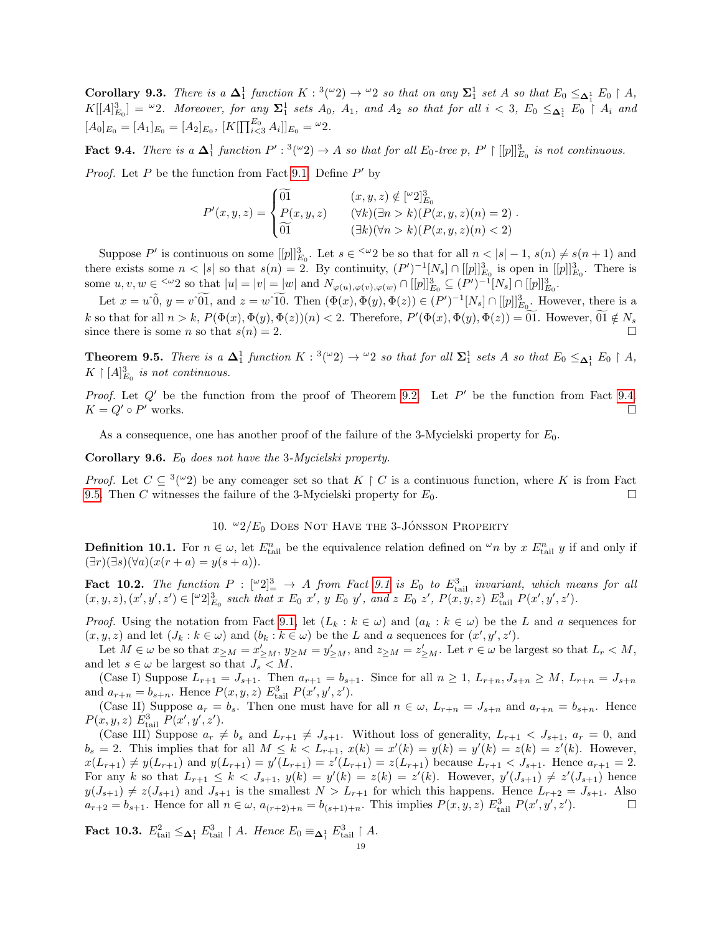**Corollary 9.3.** There is a  $\Delta_1^1$  function  $K: {}^3({}^{\omega}2) \rightarrow {}^{\omega}2$  so that on any  $\Sigma_1^1$  set A so that  $E_0 \leq_{\Delta_1^1} E_0 \restriction A$ ,  $K[[A]_{E_0}^3] = \omega_2$ . Moreover, for any  $\Sigma_1^1$  sets  $A_0$ ,  $A_1$ , and  $A_2$  so that for all  $i < 3$ ,  $E_0 \leq_{\pmb{\Delta}_1^1} E_0 \restriction A_i$  and  $[A_0]_{E_0} = [A_1]_{E_0} = [A_2]_{E_0}, [K[\prod_{i<3}^{E_0} A_i]]_{E_0} = \omega_2.$ 

<span id="page-18-1"></span>**Fact 9.4.** There is a  $\Delta_1^1$  function  $P': {}^3({}^\omega 2) \to A$  so that for all  $E_0$ -tree p,  $P' \upharpoonright [[p]]_{E_0}^3$  is not continuous.

*Proof.* Let  $P$  be the function from Fact [9.1.](#page-17-1) Define  $P'$  by

$$
P'(x,y,z) = \begin{cases} \widetilde{01} & (x,y,z) \notin [^\omega 2]_{E_0}^3 \\ P(x,y,z) & (\forall k)(\exists n > k)(P(x,y,z)(n) = 2) \\ \widetilde{01} & (\exists k)(\forall n > k)(P(x,y,z)(n) < 2) \end{cases}.
$$

Suppose P' is continuous on some  $[[p]]_{E_0}^3$ . Let  $s \in \infty$  be so that for all  $n < |s| - 1$ ,  $s(n) \neq s(n + 1)$  and there exists some  $n < |s|$  so that  $s(n) = 2$ . By continuity,  $(P')^{-1}[N_s] \cap [[p]]_{E_0}^3$  is open in  $[[p]]_{E_0}^3$ . There is some  $u, v, w \in \{^\infty 2 \text{ so that } |u| = |v| = |w| \text{ and } N_{\varphi(u), \varphi(v), \varphi(w)} \cap [[p]]_{E_0}^3 \subseteq (P')^{-1}[N_s] \cap [[p]]_{E_0}^3$ .

Let  $x = u\tilde{0}$ ,  $y = v\tilde{01}$ , and  $z = w\tilde{10}$ . Then  $(\Phi(x), \Phi(y), \Phi(z)) \in (P')^{-1}[N_s] \cap [[p]]_{E_0}^3$ . However, there is a k so that for all  $n > k$ ,  $P(\Phi(x), \Phi(y), \Phi(z))(n) < 2$ . Therefore,  $P'(\Phi(x), \Phi(y), \Phi(z)) = 0$ . However,  $0.1 \notin N_s$ since there is some n so that  $s(n) = 2$ .

<span id="page-18-2"></span>**Theorem 9.5.** There is a  $\Delta_1^1$  function  $K: {}^3({}^\omega 2) \to {}^{\omega 2}$  so that for all  $\Sigma_1^1$  sets A so that  $E_0 \leq_{\Delta_1^1} E_0 \restriction A$ ,  $K \restriction [A]_{E_0}^3$  is not continuous.

Proof. Let  $Q'$  be the function from the proof of Theorem [9.2.](#page-17-2) Let  $P'$  be the function from Fact [9.4.](#page-18-1)  $K = Q' \circ P'$  works. works.  $\hfill \square$ 

As a consequence, one has another proof of the failure of the 3-Mycielski property for  $E_0$ .

**Corollary 9.6.**  $E_0$  does not have the 3-Mycielski property.

*Proof.* Let  $C \subseteq {}^{3}(\omega_2)$  be any comeager set so that  $K \upharpoonright C$  is a continuous function, where K is from Fact [9.5.](#page-18-2) Then C witnesses the failure of the 3-Mycielski property for  $E_0$ .

# 10.  $\omega_2/E_0$  Does Not Have the 3-Jónsson Property

<span id="page-18-0"></span>**Definition 10.1.** For  $n \in \omega$ , let  $E_{tail}^n$  be the equivalence relation defined on  $\omega_n$  by x  $E_{tail}^n$  y if and only if  $(\exists r)(\exists s)(\forall a)(x(r+a) = y(s+a)).$ 

<span id="page-18-3"></span>**Fact 10.2.** The function  $P: [\omega_2]^3 \to A$  from Fact [9.1](#page-17-1) is  $E_0$  to  $E_{\text{tail}}^3$  invariant, which means for all  $(x, y, z), (x', y', z') \in [\omega_2]^3_{E_0}$  such that  $x \n\mathrel{E}_0 x', y \n\mathrel{E}_0 y',$  and  $z \n\mathrel{E}_0 z', P(x, y, z) \n\mathrel{E}_{\text{tail}}^3 P(x', y', z').$ 

*Proof.* Using the notation from Fact [9.1,](#page-17-1) let  $(L_k : k \in \omega)$  and  $(a_k : k \in \omega)$  be the L and a sequences for  $(x, y, z)$  and let  $(J_k : k \in \omega)$  and  $(b_k : k \in \omega)$  be the L and a sequences for  $(x', y', z')$ .

Let  $M \in \omega$  be so that  $x_{\geq M} = x'_{\geq M}$ ,  $y_{\geq M} = y'_{\geq M}$ , and  $z_{\geq M} = z'_{\geq M}$ . Let  $r \in \omega$  be largest so that  $L_r < M$ , and let  $s \in \omega$  be largest so that  $J_s < M$ .

(Case I) Suppose  $L_{r+1} = J_{s+1}$ . Then  $a_{r+1} = b_{s+1}$ . Since for all  $n \geq 1$ ,  $L_{r+n}$ ,  $J_{s+n} \geq M$ ,  $L_{r+n} = J_{s+n}$ and  $a_{r+n} = b_{s+n}$ . Hence  $P(x, y, z) E_{tail}^3 P(x', y', z')$ .

(Case II) Suppose  $a_r = b_s$ . Then one must have for all  $n \in \omega$ ,  $L_{r+n} = J_{s+n}$  and  $a_{r+n} = b_{s+n}$ . Hence  $P(x, y, z) E_{\text{tail}}^3 P(x', y', z').$ 

(Case III) Suppose  $a_r \neq b_s$  and  $L_{r+1} \neq J_{s+1}$ . Without loss of generality,  $L_{r+1} < J_{s+1}$ ,  $a_r = 0$ , and  $b_s = 2$ . This implies that for all  $M \le k < L_{r+1}$ ,  $x(k) = x'(k) = y(k) = y'(k) = z(k) = z'(k)$ . However,  $x(L_{r+1}) \neq y(L_{r+1})$  and  $y(L_{r+1}) = y'(L_{r+1}) = z'(L_{r+1}) = z(L_{r+1})$  because  $L_{r+1} < J_{s+1}$ . Hence  $a_{r+1} = 2$ . For any k so that  $L_{r+1} \leq k < J_{s+1}, y(k) = y'(k) = z(k) = z'(k)$ . However,  $y'(J_{s+1}) \neq z'(J_{s+1})$  hence  $y(J_{s+1}) \neq z(J_{s+1})$  and  $J_{s+1}$  is the smallest  $N > L_{r+1}$  for which this happens. Hence  $L_{r+2} = J_{s+1}$ . Also  $a_{r+2} = b_{s+1}$ . Hence for all  $n \in \omega$ ,  $a_{(r+2)+n} = b_{(s+1)+n}$ . This implies  $P(x, y, z) E_{\text{tail}}^3 P(x', y', z')$  $\Box$ 

<span id="page-18-4"></span>Fact 10.3.  $E_{\text{tail}}^2 \leq_{\Delta_1^1} E_{\text{tail}}^3 \restriction A$ . Hence  $E_0 \equiv_{\Delta_1^1} E_{\text{tail}}^3 \restriction A$ .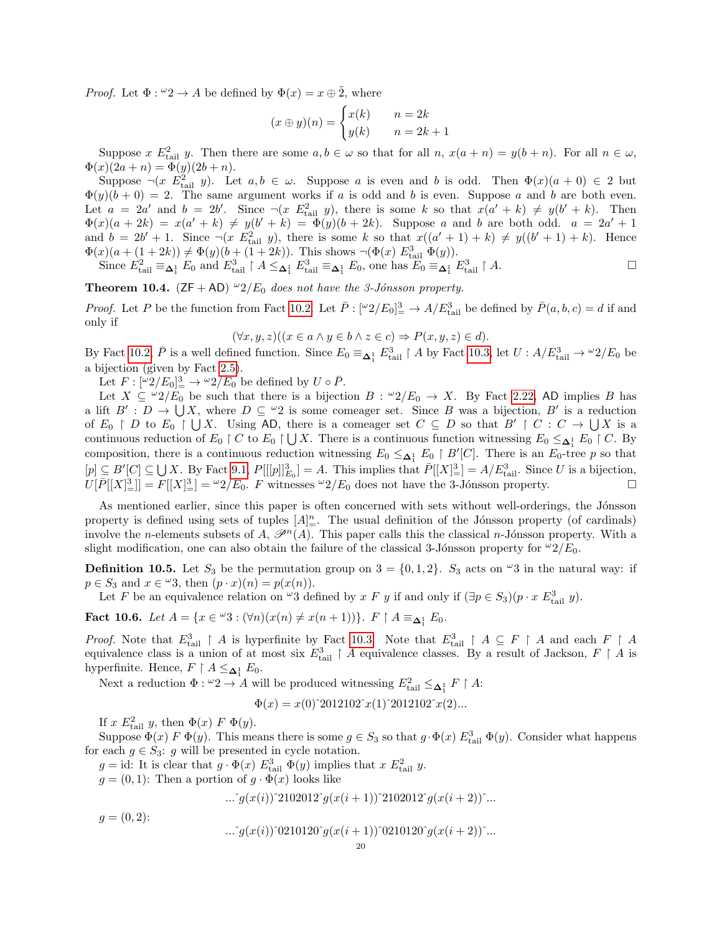*Proof.* Let  $\Phi : \omega_2 \to A$  be defined by  $\Phi(x) = x \oplus \tilde{2}$ , where

$$
(x \oplus y)(n) = \begin{cases} x(k) & n = 2k \\ y(k) & n = 2k + 1 \end{cases}
$$

Suppose x  $E_{\text{tail}}^2$  y. Then there are some  $a, b \in \omega$  so that for all  $n, x(a+n) = y(b+n)$ . For all  $n \in \omega$ ,  $\Phi(x)(2a + n) = \Phi(y)(2b + n).$ 

Suppose  $\neg(x \ E_{tail}^2 y)$ . Let  $a, b \in \omega$ . Suppose a is even and b is odd. Then  $\Phi(x)(a + 0) \in 2$  but  $\Phi(y)(b+0) = 2$ . The same argument works if a is odd and b is even. Suppose a and b are both even. Let  $a = 2a'$  and  $b = 2b'$ . Since  $\neg(x \ E_{tail}^2 y)$ , there is some k so that  $x(a'+k) \neq y(b'+k)$ . Then  $\Phi(x)(a+2k) = x(a'+k) \neq y(b'+k) = \Phi(y)(b+2k)$ . Suppose a and b are both odd.  $a = 2a' + 1$ and  $b = 2b' + 1$ . Since  $\neg(x \ E_{tail}^2 y)$ , there is some k so that  $x((a'+1) + k) \neq y((b'+1) + k)$ . Hence  $\Phi(x)(a + (1+2k)) \neq \Phi(y)(b + (1+2k))$ . This shows  $\neg(\Phi(x) E_{\text{tail}}^3 \ \Phi(y))$ .

Since  $E_{\text{tail}}^2 \equiv_{\Delta_1^1} E_0$  and  $E_{\text{tail}}^3 \restriction A \leq_{\Delta_1^1} E_{\text{tail}}^3 \equiv_{\Delta_1^1} E_0$ , one has  $E_0 \equiv_{\Delta_1^1} E_{\text{tail}}^3 \restriction A$ .

<span id="page-19-0"></span>**Theorem 10.4.** ( $ZF + AD$ )  $^{\omega}2/E_0$  does not have the 3-Jónsson property.

*Proof.* Let P be the function from Fact [10.2.](#page-18-3) Let  $\bar{P}: [\omega_2/E_0]_+^3 \to A/E_{\text{tail}}^3$  be defined by  $\bar{P}(a, b, c) = d$  if and only if

$$
(\forall x, y, z)((x \in a \land y \in b \land z \in c) \Rightarrow P(x, y, z) \in d).
$$

By Fact [10.2,](#page-18-3)  $\bar{P}$  is a well defined function. Since  $E_0 \equiv_{\Delta_1^1} E_{\text{tail}}^3 \restriction A$  by Fact [10.3,](#page-18-4) let  $U : A/E_{\text{tail}}^3 \to {}^{\omega}2/E_0$  be a bijection (given by Fact [2.5\)](#page-3-1).

Let  $F: [\omega 2/E_0]_{{}^{\underline{3}}}^{\underline{3}} \to \omega 2/E_0$  be defined by  $U \circ \overline{P}$ .

Let  $X \subseteq {}^{\omega}2/E_0$  be such that there is a bijection  $B : {}^{\omega}2/E_0 \to X$ . By Fact [2.22,](#page-6-2) AD implies B has a lift  $B': D \to \bigcup X$ , where  $D \subseteq {}^{\omega}2$  is some comeager set. Since B was a bijection, B' is a reduction of  $E_0 \restriction D$  to  $E_0 \restriction \bigcup X$ . Using AD, there is a comeager set  $C \subseteq D$  so that  $B' \restriction C : C \to \bigcup X$  is a continuous reduction of  $E_0 \restriction C$  to  $E_0 \restriction \bigcup X$ . There is a continuous function witnessing  $E_0 \leq_{\mathbf{\Delta}_1^1} E_0 \restriction C$ . By composition, there is a continuous reduction witnessing  $E_0 \leq_{\Delta_1^1} E_0 \restriction B'[C]$ . There is an  $E_0$ -tree p so that  $[p] \subseteq B'[C] \subseteq \bigcup X$ . By Fact [9.1,](#page-17-1)  $P[[p]]_{E_0}^3 = A$ . This implies that  $\overline{P}[[X]_{=}^3 = A/E_{\text{tail}}^3$ . Since U is a bijection,  $U[P[[X]_1^3]] = F[[X]_2^3] = {}^{\omega}2/E_0$ . F witnesses  ${}^{\omega}2/E_0$  does not have the 3-Jónsson property.

As mentioned earlier, since this paper is often concerned with sets without well-orderings, the Jónsson property is defined using sets of tuples  $[A]_{\equiv}^n$ . The usual definition of the Jónsson property (of cardinals) involve the n-elements subsets of A,  $\mathscr{P}^n(A)$ . This paper calls this the classical n-Jónsson property. With a slight modification, one can also obtain the failure of the classical 3-Jónsson property for  $\frac{1}{2}E_0$ .

**Definition 10.5.** Let  $S_3$  be the permutation group on  $3 = \{0, 1, 2\}$ .  $S_3$  acts on  $\omega$ 3 in the natural way: if  $p \in S_3$  and  $x \in \omega$ 3, then  $(p \cdot x)(n) = p(x(n)).$ 

Let F be an equivalence relation on  $\omega_3$  defined by x F y if and only if  $(\exists p \in S_3)(p \cdot x E_{\text{tail}}^3 y)$ .

<span id="page-19-1"></span>Fact 10.6. Let  $A = \{x \in {}^{\omega}3 : (\forall n)(x(n) \neq x(n+1))\}$ .  $F \upharpoonright A \equiv_{\Delta_1^1} E_0$ .

*Proof.* Note that  $E_{tail}^3 \restriction A$  is hyperfinite by Fact [10.3.](#page-18-4) Note that  $E_{tail}^3 \restriction A \subseteq F \restriction A$  and each  $F \restriction A$ equivalence class is a union of at most six  $E_{\text{tail}}^3 \restriction A$  equivalence classes. By a result of Jackson,  $F \restriction A$  is hyperfinite. Hence,  $F \upharpoonright A \leq_{\Delta_1^1} E_0$ .

Next a reduction  $\Phi: {}^{\omega}2 \to A$  will be produced witnessing  $E_{\text{tail}}^2 \leq_{\mathbf{\Delta}_1^1} F \upharpoonright A$ :

 $\Phi(x) = x(0)^2 2012102^x (1)^2 2012102^x (2) ...$ 

If x  $E_{\text{tail}}^2$  y, then  $\Phi(x)$  F  $\Phi(y)$ .

Suppose  $\Phi(x) \ F \ \Phi(y)$ . This means there is some  $g \in S_3$  so that  $g \cdot \Phi(x) E_{\text{tail}}^3 \ \Phi(y)$ . Consider what happens for each  $g \in S_3$ : g will be presented in cycle notation.

 $g = id$ : It is clear that  $g \cdot \Phi(x) E_{tail}^3 \Phi(y)$  implies that  $x E_{tail}^2 y$ .  $g = (0, 1)$ : Then a portion of  $g \cdot \Phi(x)$  looks like

...<sup>^</sup>g(x(i))^2102012^g(x(i + 1))^2102012^g(x(i + 2))^...

$$
g = (0, 2):
$$
  
 
$$
\dots \hat{g}(x(i))^{\hat{}}0210120^{\hat{}}g(x(i+1))^{\hat{}}0210120^{\hat{}}g(x(i+2))^{\hat{}}...
$$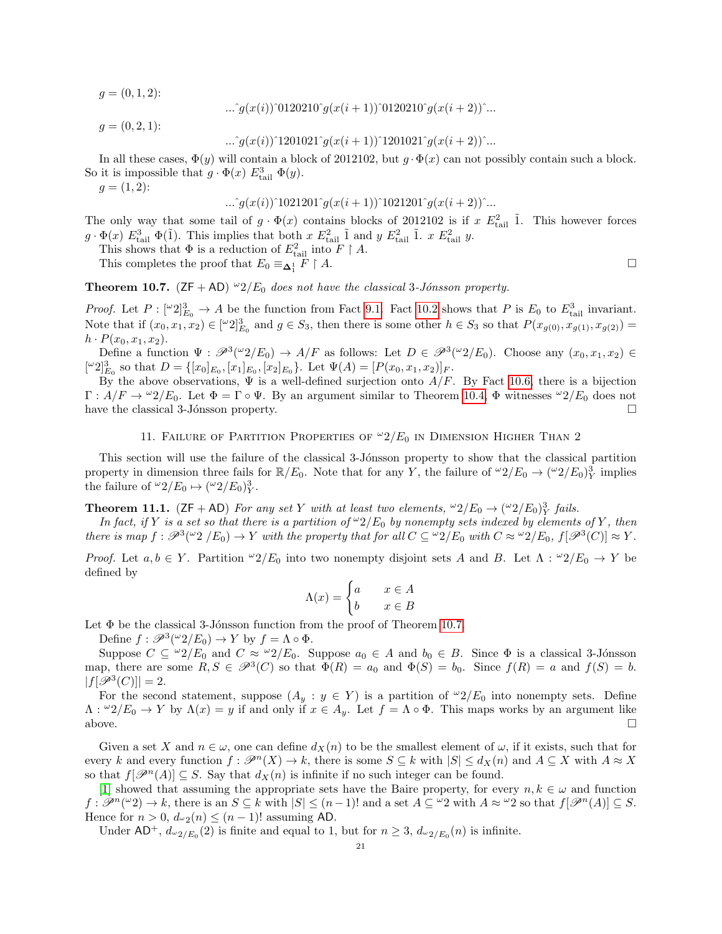$q = (0, 1, 2)$ :

$$
...\hat{ }g(x(i))^{\hat{ }}0120210^{\hat{}}g(x(i+1))^{\hat{}}0120210^{\hat{}}g(x(i+2))^{\hat{}}..
$$

 $g = (0, 2, 1)$ :

$$
...`g(x(i))`1201021`g(x(i+1))`1201021`g(x(i+2))`...
$$

In all these cases,  $\Phi(y)$  will contain a block of 2012102, but  $g \cdot \Phi(x)$  can not possibly contain such a block. So it is impossible that  $g \cdot \Phi(x) E_{\text{tail}}^3 \Phi(y)$ .

 $g = (1, 2)$ :

$$
...\hat{g}(x(i))^1021201^{\hat{g}}(x(i+1))^1021201^{\hat{g}}(x(i+2))^{\hat{g}}...
$$

The only way that some tail of  $g \cdot \Phi(x)$  contains blocks of 2012102 is if  $x E_{\text{tail}}^2$  1. This however forces  $g \cdot \Phi(x) E_{\text{tail}}^3 \Phi(\tilde{1})$ . This implies that both  $x E_{\text{tail}}^2 \tilde{1}$  and  $y E_{\text{tail}}^2 \tilde{1}$ .  $x E_{\text{tail}}^2 y$ .

This shows that  $\Phi$  is a reduction of  $E_{\text{tail}}^2$  into  $F \upharpoonright A$ .

This completes the proof that  $E_0 \equiv \underline{\mathbf{\Delta}}_1^1$  $F \upharpoonright A.$ 

<span id="page-20-1"></span>**Theorem 10.7.** ( $ZF + AD$ )  $^{\omega}2/E_0$  does not have the classical 3-Jónsson property.

*Proof.* Let  $P: [\omega_2]^3_{E_0} \to A$  be the function from Fact [9.1.](#page-17-1) Fact [10.2](#page-18-3) shows that P is  $E_0$  to  $E_{\text{tail}}^3$  invariant. Note that if  $(x_0, x_1, x_2) \in [\omega_2]^3_{E_0}$  and  $g \in S_3$ , then there is some other  $h \in S_3$  so that  $P(x_{g(0)}, x_{g(1)}, x_{g(2)}) =$  $h \cdot P(x_0, x_1, x_2).$ 

Define a function  $\Psi : \mathscr{P}^3({}^\omega 2/E_0) \to A/F$  as follows: Let  $D \in \mathscr{P}^3({}^\omega 2/E_0)$ . Choose any  $(x_0, x_1, x_2) \in$  $[{}^{\omega}2]_{E_0}^3$  so that  $D = \{ [x_0]_{E_0}, [x_1]_{E_0}, [x_2]_{E_0} \}$ . Let  $\Psi(A) = [P(x_0, x_1, x_2)]_F$ .

By the above observations,  $\Psi$  is a well-defined surjection onto  $A/F$ . By Fact [10.6,](#page-19-1) there is a bijection  $\Gamma: A/F \to {}^{\omega}2/E_0$ . Let  $\Phi = \Gamma \circ \Psi$ . By an argument similar to Theorem [10.4,](#page-19-0)  $\Phi$  witnesses  ${}^{\omega}2/E_0$  does not have the classical 3-Jónsson property.  $\Box$ 

### 11. FAILURE OF PARTITION PROPERTIES OF  $\omega_2/E_0$  in Dimension Higher Than 2

<span id="page-20-0"></span>This section will use the failure of the classical 3-Jónsson property to show that the classical partition property in dimension three fails for  $\mathbb{R}/E_0$ . Note that for any Y, the failure of  $\omega_2/E_0 \to (\omega_2/E_0)_Y^3$  implies the failure of  $^{\omega}2/E_0 \mapsto (^{\omega}2/E_0)_Y^3$ .

**Theorem 11.1.** ( $ZF + AD$ ) For any set Y with at least two elements,  $\omega_2/E_0 \rightarrow (\omega_2/E_0)_Y^3$  fails.

In fact, if Y is a set so that there is a partition of  $\omega_2/E_0$  by nonempty sets indexed by elements of Y, then there is map  $f : \mathscr{P}^3(\omega_2 \nvert E_0) \to Y$  with the property that for all  $C \subseteq \omega_2/E_0$  with  $C \approx \omega_2/E_0$ ,  $f[\mathscr{P}^3(C)] \approx Y$ .

*Proof.* Let  $a, b \in Y$ . Partition  $\omega_2/E_0$  into two nonempty disjoint sets A and B. Let  $\Lambda : \omega_2/E_0 \to Y$  be defined by

$$
\Lambda(x) = \begin{cases} a & x \in A \\ b & x \in B \end{cases}
$$

Let  $\Phi$  be the classical 3-Jónsson function from the proof of Theorem [10.7.](#page-20-1)

Define  $f : \mathscr{P}^3({}^\omega 2/E_0) \to Y$  by  $f = \Lambda \circ \Phi$ .

Suppose  $C \subseteq {}^{\omega}2/E_0$  and  $C \approx {}^{\omega}2/E_0$ . Suppose  $a_0 \in A$  and  $b_0 \in B$ . Since  $\Phi$  is a classical 3-Jónsson map, there are some  $R, S \in \mathcal{P}^3(C)$  so that  $\Phi(R) = a_0$  and  $\Phi(S) = b_0$ . Since  $f(R) = a$  and  $f(S) = b$ .  $|f[\mathscr{P}^3(C)]| = 2.$ 

For the second statement, suppose  $(A_y : y \in Y)$  is a partition of  $\omega/2/E_0$  into nonempty sets. Define  $\Lambda$ :  $\omega^2/E_0 \to Y$  by  $\Lambda(x) = y$  if and only if  $x \in A_y$ . Let  $f = \Lambda \circ \Phi$ . This maps works by an argument like above.  $\square$ 

Given a set X and  $n \in \omega$ , one can define  $d_X(n)$  to be the smallest element of  $\omega$ , if it exists, such that for every k and every function  $f: \mathscr{P}^n(X) \to k$ , there is some  $S \subseteq k$  with  $|S| \le d_X(n)$  and  $A \subseteq X$  with  $A \approx X$ so that  $f[\mathcal{P}^n(A)] \subseteq S$ . Say that  $d_X(n)$  is infinite if no such integer can be found.

[\[1\]](#page-34-7) showed that assuming the appropriate sets have the Baire property, for every  $n, k \in \omega$  and function  $f: \mathscr{P}^n(\omega_2) \to k$ , there is an  $S \subseteq k$  with  $|S| \leq (n-1)!$  and a set  $A \subseteq \omega_2$  with  $A \approx \omega_2$  so that  $f[\mathscr{P}^n(A)] \subseteq S$ . Hence for  $n > 0$ ,  $d_{\omega_2}(n) \leq (n-1)!$  assuming AD.

Under  $AD^+$ ,  $d_{\omega_2/E_0}(2)$  is finite and equal to 1, but for  $n \geq 3$ ,  $d_{\omega_2/E_0}(n)$  is infinite.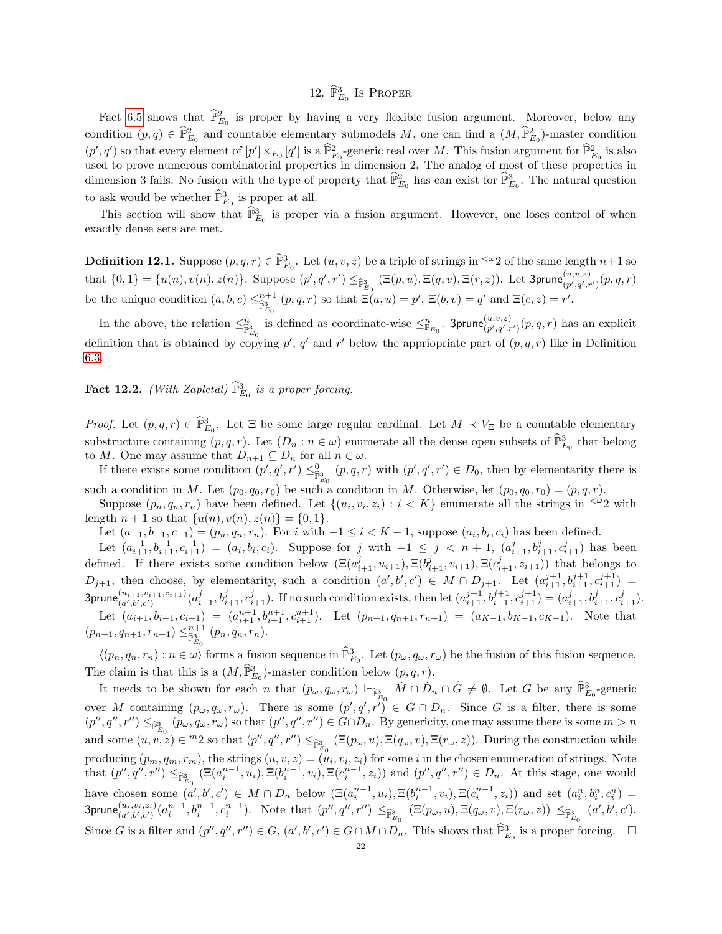# 12.  $\widehat{\mathbb{P}}_{E_0}^3$  Is Proper

<span id="page-21-0"></span>Fact [6.5](#page-13-1) shows that  $\hat{\mathbb{P}}_{E_0}^2$  is proper by having a very flexible fusion argument. Moreover, below any condition  $(p, q) \in \hat{\mathbb{P}}_{E_0}^2$  and countable elementary submodels M, one can find a  $(M, \hat{\mathbb{P}}_{E_0}^2)$ -master condition  $(p', q')$  so that every element of  $[p'] \times_{E_0} [q']$  is a  $\widehat{\mathbb{P}}_{E_0}^2$ -generic real over M. This fusion argument for  $\widehat{\mathbb{P}}_{E_0}^2$  is also used to prove numerous combinatorial properties in dimension 2. The analog of most of these properties in dimension 3 fails. No fusion with the type of property that  $\widehat{\mathbb{P}}_{E_0}^2$  has can exist for  $\widehat{\mathbb{P}}_{E_0}^3$ . The natural question to ask would be whether  $\widehat{\mathbb{P}}_{E_0}^3$  is proper at all.

This section will show that  $\widehat{\mathbb{P}}_{E_0}^3$  is proper via a fusion argument. However, one loses control of when exactly dense sets are met.

**Definition 12.1.** Suppose  $(p, q, r) \in \widehat{\mathbb{P}}_{E_0}^3$ . Let  $(u, v, z)$  be a triple of strings in <sup> $\leq \omega$ </sup> 2 of the same length  $n+1$  so that  $\{0,1\} = \{u(n), v(n), z(n)\}$ . Suppose  $(p', q', r') \leq_{\widehat{\mathbb{P}}^3_{E_0}} (\Xi(p, u), \Xi(q, v), \Xi(r, z))$ . Let 3prune $\binom{u, v, z}{p', q', r'}(p, q, r)$ be the unique condition  $(a, b, c) \leq_{\mathbb{P}^3_{\geq 0}}^{n+1} (p, q, r)$  so that  $\Xi(a, u) = p', \Xi(b, v) = q'$  and  $\Xi(c, z) = r'.$ 

In the above, the relation  $\leq_{\mathbb{P}_{E_0}^2}^n$  is defined as coordinate-wise  $\leq_{\mathbb{P}_{E_0}}^n$ . 3prune $\binom{u,v,z}{p',q',r'}(p,q,r)$  has an explicit definition that is obtained by copying  $p'$ ,  $q'$  and  $r'$  below the appriopriate part of  $(p, q, r)$  like in Definition [6.3.](#page-13-0)

**Fact 12.2.** (With Zapletal)  $\widehat{\mathbb{P}}_{E_0}^3$  is a proper forcing.

*Proof.* Let  $(p, q, r) \in \widehat{\mathbb{P}}_{E_0}^3$ . Let  $\Xi$  be some large regular cardinal. Let  $M \prec V_{\Xi}$  be a countable elementary substructure containing  $(p, q, r)$ . Let  $(D_n : n \in \omega)$  enumerate all the dense open subsets of  $\widehat{\mathbb{P}}^3_{E_0}$  that belong to M. One may assume that  $D_{n+1} \subseteq D_n$  for all  $n \in \omega$ .

If there exists some condition  $(p', q', r') \leq_{\widehat{\mathbb{P}}_{E_0}^3}^{\mathbb{Q}} (p, q, r)$  with  $(p', q', r') \in D_0$ , then by elementarity there is such a condition in M. Let  $(p_0, q_0, r_0)$  be such a condition in M. Otherwise, let  $(p_0, q_0, r_0) = (p, q, r)$ .

Suppose  $(p_n, q_n, r_n)$  have been defined. Let  $\{(u_i, v_i, z_i) : i \lt K\}$  enumerate all the strings in  $\leq 2$  with length  $n + 1$  so that  $\{u(n), v(n), z(n)\} = \{0, 1\}.$ 

Let  $(a_{-1}, b_{-1}, c_{-1}) = (p_n, q_n, r_n)$ . For i with  $-1 \le i < K - 1$ , suppose  $(a_i, b_i, c_i)$  has been defined.

Let  $(a_{i+1}^{-1}, b_{i+1}^{-1}, c_{i+1}^{-1}) = (a_i, b_i, c_i)$ . Suppose for j with  $-1 \leq j \leq n+1$ ,  $(a_{i+1}^j, b_{i+1}^j, c_{i+1}^j)$  has been defined. If there exists some condition below  $(\Xi(a_{i+1}^j, u_{i+1}), \Xi(b_{i+1}^j, v_{i+1}), \Xi(c_{i+1}^j, z_{i+1}))$  that belongs to  $D_{j+1}$ , then choose, by elementarity, such a condition  $(a',b',c') \in M \cap D_{j+1}$ . Let  $(a_{i+1}^{j+1},b_{i+1}^{j+1},c_{i+1}^{j+1}) =$  $3prune_{(a',b',c')}^{(u_{i+1},v_{i+1},z_{i+1})}(a_{i+1}^j, b_{i+1}^j, c_{i+1}^j)$ . If no such condition exists, then let  $(a_{i+1}^{j+1}, b_{i+1}^{j+1}, c_{i+1}^{j+1}) = (a_{i+1}^j, b_{i+1}^j, c_{i+1}^j)$ . Let  $(a_{i+1}, b_{i+1}, c_{i+1}) = (a_{i+1}^{n+1}, b_{i+1}^{n+1}, c_{i+1}^{n+1})$ . Let  $(p_{n+1}, q_{n+1}, r_{n+1}) = (a_{K-1}, b_{K-1}, c_{K-1})$ . Note that  $(p_{n+1}, q_{n+1}, r_{n+1}) \leq^{n+1}_{\widehat{\mathbb{P}}^3_{E_0}} (p_n, q_n, r_n).$ 

 $\langle (p_n, q_n, r_n) : n \in \omega \rangle$  forms a fusion sequence in  $\widehat{\mathbb{P}}_{E_0}^3$ . Let  $(p_\omega, q_\omega, r_\omega)$  be the fusion of this fusion sequence. The claim is that this is a  $(M, \widehat{\mathbb{P}}_{E_0}^3)$ -master condition below  $(p, q, r)$ .

It needs to be shown for each n that  $(p_{\omega}, q_{\omega}, r_{\omega}) \Vdash_{\widehat{\mathbb{P}}_{E_0}^3} \check{M} \cap \check{D}_n \cap \dot{G} \neq \emptyset$ . Let G be any  $\widehat{\mathbb{P}}_{E_0}^3$ -generic over M containing  $(p_\omega, q_\omega, r_\omega)$ . There is some  $(p', q', r') \in G \cap D_n$ . Since G is a filter, there is some  $(p'', q'', r'') \leq_{\widehat{\mathbb{P}}_{E_0}^3} (p_\omega, q_\omega, r_\omega)$  so that  $(p'', q'', r'') \in G \cap D_n$ . By genericity, one may assume there is some  $m > n$ and some  $(u, v, z) \in {}^{m}2$  so that  $(p'', q'', r'') \leq_{\widehat{\mathbb{P}}_{E_0}^3} (\Xi(p_\omega, u), \Xi(q_\omega, v), \Xi(r_\omega, z))$ . During the construction while producing  $(p_m, q_m, r_m)$ , the strings  $(u, v, z) = (u_i, v_i, z_i)$  for some i in the chosen enumeration of strings. Note that  $(p'', q'', r'') \leq_{\widehat{\mathbb{P}}_{E_0}^3} (\Xi(a_i^{n-1}, u_i), \Xi(b_i^{n-1}, v_i), \Xi(c_i^{n-1}, z_i))$  and  $(p'', q'', r'') \in D_n$ . At this stage, one would have chosen some  $(a',b',c') \in M \cap D_n$  below  $(\Xi(a_i^{n-1}, u_i), \Xi(b_i^{n-1}, v_i), \Xi(c_i^{n-1}, z_i))$  and set  $(a_i^n, b_i^n, c_i^n)$  $\text{3prune}_{(a',b',c')}^{(u_i,v_i,z_i)}(a_i^{n-1},b_i^{n-1},c_i^{n-1})$ . Note that  $(p'',q'',r'') \leq_{\widehat{\mathbb{P}}^3_{E_0}} (\Xi(p_\omega,u),\Xi(q_\omega,v),\Xi(r_\omega,z)) \leq_{\widehat{\mathbb{P}}^3_{E_0}} (a',b',c').$ Since G is a filter and  $(p'', q'', r'') \in G$ ,  $(a', b', c') \in G \cap M \cap D_n$ . This shows that  $\widehat{\mathbb{P}}_{E_0}^3$  is a proper forcing.  $\Box$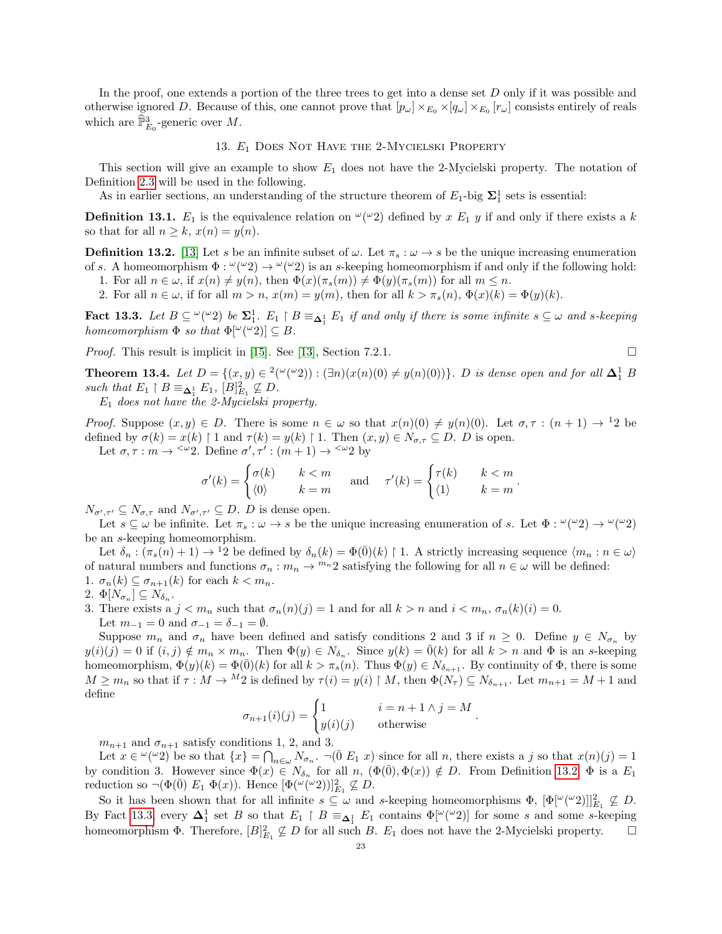In the proof, one extends a portion of the three trees to get into a dense set D only if it was possible and otherwise ignored D. Because of this, one cannot prove that  $[p_\omega] \times_{E_0} \times [q_\omega] \times_{E_0} [r_\omega]$  consists entirely of reals which are  $\widehat{\mathbb{P}}_{E_0}^3$ -generic over M.

### 13. E<sup>1</sup> Does Not Have the 2-Mycielski Property

<span id="page-22-1"></span>This section will give an example to show  $E_1$  does not have the 2-Mycielski property. The notation of Definition [2.3](#page-3-2) will be used in the following.

As in earlier sections, an understanding of the structure theorem of  $E_1$ -big  $\Sigma_1^1$  sets is essential:

**Definition 13.1.**  $E_1$  is the equivalence relation on  $\omega(\omega_2)$  defined by x  $E_1$  y if and only if there exists a k so that for all  $n \geq k$ ,  $x(n) = y(n)$ .

<span id="page-22-2"></span>**Definition 13.2.** [\[13\]](#page-35-0) Let s be an infinite subset of  $\omega$ . Let  $\pi_s : \omega \to s$  be the unique increasing enumeration of s. A homeomorphism  $\Phi: \omega(\omega_2) \to \omega(\omega_2)$  is an s-keeping homeomorphism if and only if the following hold:

- 1. For all  $n \in \omega$ , if  $x(n) \neq y(n)$ , then  $\Phi(x)(\pi_s(m)) \neq \Phi(y)(\pi_s(m))$  for all  $m \leq n$ .
- 2. For all  $n \in \omega$ , if for all  $m > n$ ,  $x(m) = y(m)$ , then for all  $k > \pi_s(n)$ ,  $\Phi(x)(k) = \Phi(y)(k)$ .

<span id="page-22-3"></span>Fact 13.3. Let  $B \subseteq \mathbb{C}(\mathbb{Z}_2)$  be  $\Sigma_1^1$ .  $E_1 \restriction B \equiv_{\Delta_1^1} E_1$  if and only if there is some infinite  $s \subseteq \omega$  and s-keeping homeomorphism  $\Phi$  so that  $\Phi[\omega(\omega_2)] \subseteq B$ .

Proof. This result is implicit in [\[15\]](#page-35-8). See [\[13\]](#page-35-0), Section 7.2.1.

$$
\square
$$

<span id="page-22-0"></span>**Theorem 13.4.** Let  $D = \{(x, y) \in {}^{2}(\mathcal{C}(2)) : (\exists n)(x(n)(0) \neq y(n)(0))\}$ . D is dense open and for all  $\Delta_1^1$  B such that  $E_1 \upharpoonright B \equiv_{\pmb{\Delta}_1^1} E_1, \, [B]_{E_1}^2 \not\subseteq D.$ 

 $E_1$  does not have the 2-Mycielski property.

*Proof.* Suppose  $(x, y) \in D$ . There is some  $n \in \omega$  so that  $x(n)(0) \neq y(n)(0)$ . Let  $\sigma, \tau : (n + 1) \to 12$  be defined by  $\sigma(k) = x(k) \restriction 1$  and  $\tau(k) = y(k) \restriction 1$ . Then  $(x, y) \in N_{\sigma, \tau} \subseteq D$ . D is open.

Let  $\sigma, \tau : m \to \infty$  2. Define  $\sigma', \tau' : (m + 1) \to \infty$  by

$$
\sigma'(k) = \begin{cases} \sigma(k) & k < m \\ \langle 0 \rangle & k = m \end{cases} \quad \text{and} \quad \tau'(k) = \begin{cases} \tau(k) & k < m \\ \langle 1 \rangle & k = m \end{cases}.
$$

 $N_{\sigma',\tau'} \subseteq N_{\sigma,\tau}$  and  $N_{\sigma',\tau'} \subseteq D$ . D is dense open.

Let  $s \subseteq \omega$  be infinite. Let  $\pi_s : \omega \to s$  be the unique increasing enumeration of s. Let  $\Phi : \omega(\omega_2) \to \omega(\omega_2)$ be an s-keeping homeomorphism.

Let  $\delta_n : (\pi_s(n) + 1) \to 12$  be defined by  $\delta_n(k) = \Phi(0)(k) \upharpoonright 1$ . A strictly increasing sequence  $\langle m_n : n \in \omega \rangle$ of natural numbers and functions  $\sigma_n : m_n \to {}^{m_n}2$  satisfying the following for all  $n \in \omega$  will be defined: 1.  $\sigma_n(k) \subseteq \sigma_{n+1}(k)$  for each  $k < m_n$ .

$$
2. \ \Phi[N_{\sigma_n}] \subseteq N_{\delta_n}.
$$

3. There exists a  $j < m_n$  such that  $\sigma_n(n)(j) = 1$  and for all  $k > n$  and  $i < m_n$ ,  $\sigma_n(k)(i) = 0$ . Let  $m_{-1} = 0$  and  $\sigma_{-1} = \delta_{-1} = \emptyset$ .

Suppose  $m_n$  and  $\sigma_n$  have been defined and satisfy conditions 2 and 3 if  $n \geq 0$ . Define  $y \in N_{\sigma_n}$  by  $y(i)(j) = 0$  if  $(i, j) \notin m_n \times m_n$ . Then  $\Phi(y) \in N_{\delta_n}$ . Since  $y(k) = \overline{0}(k)$  for all  $k > n$  and  $\Phi$  is an s-keeping homeomorphism,  $\Phi(y)(k) = \Phi(\bar{0})(k)$  for all  $k > \pi_s(n)$ . Thus  $\Phi(y) \in N_{\delta_{n+1}}$ . By continuity of  $\Phi$ , there is some  $M \geq m_n$  so that if  $\tau : M \to M_2$  is defined by  $\tau(i) = y(i) \upharpoonright M$ , then  $\Phi(N_\tau) \subseteq N_{\delta_{n+1}}$ . Let  $m_{n+1} = M + 1$  and define

$$
\sigma_{n+1}(i)(j) = \begin{cases} 1 & i = n+1 \land j = M \\ y(i)(j) & \text{otherwise} \end{cases}
$$

.

 $m_{n+1}$  and  $\sigma_{n+1}$  satisfy conditions 1, 2, and 3.

Let  $x \in \alpha(\alpha, 2)$  be so that  $\{x\} = \bigcap_{n \in \omega} N_{\sigma_n}$ .  $\neg(\overline{0} E_1 x)$  since for all n, there exists a j so that  $x(n)(j) = 1$ by condition 3. However since  $\Phi(x) \in N_{\delta_n}$  for all n,  $(\Phi(\overline{0}), \Phi(x)) \notin D$ . From Definition [13.2,](#page-22-2)  $\Phi$  is a  $E_1$ reduction so  $\neg(\Phi(\bar{0}) E_1 \Phi(x))$ . Hence  $[\Phi(\omega(\omega 2))]_{E_1}^2 \not\subseteq D$ .

So it has been shown that for all infinite  $s \subseteq \omega$  and s-keeping homeomorphisms  $\Phi$ ,  $[\Phi[^{\omega}({}^{\omega}2))]_{E_1}^2 \nsubseteq D$ . By Fact [13.3,](#page-22-3) every  $\Delta_1^1$  set B so that  $E_1 \upharpoonright B \equiv_{\Delta_1^1} E_1$  contains  $\Phi[\omega(\omega_2)]$  for some s and some s-keeping homeomorphism  $\Phi$ . Therefore,  $[B]_{E_1}^2 \nsubseteq D$  for all such B.  $E_1$  does not have the 2-Mycielski property.  $\square$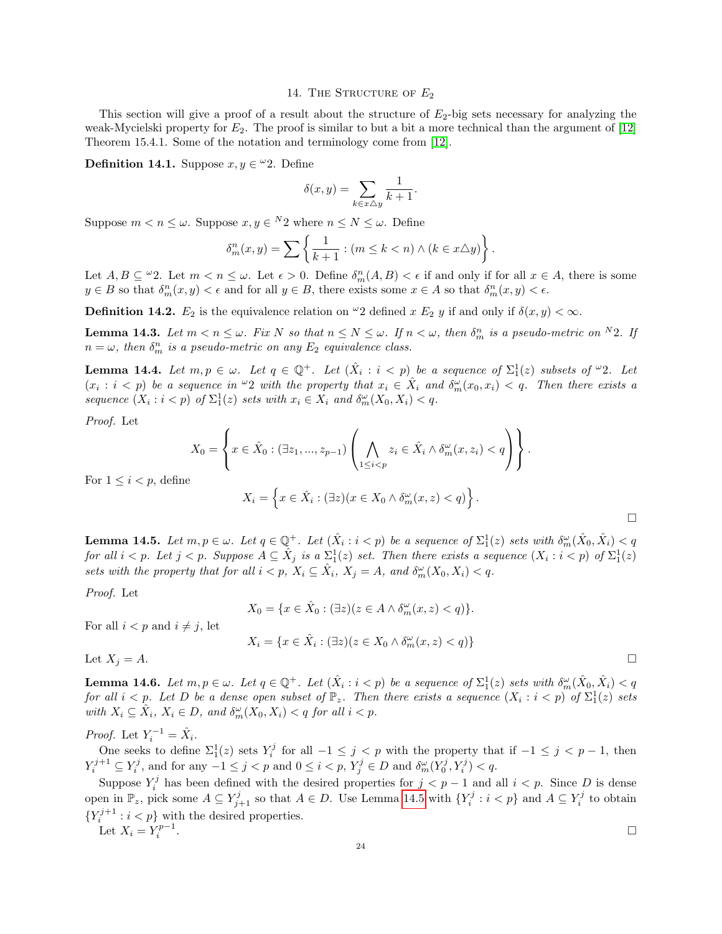### 14. THE STRUCTURE OF  $E_2$

<span id="page-23-0"></span>This section will give a proof of a result about the structure of  $E_2$ -big sets necessary for analyzing the weak-Mycielski property for  $E_2$ . The proof is similar to but a bit a more technical than the argument of [\[12\]](#page-34-0) Theorem 15.4.1. Some of the notation and terminology come from [\[12\]](#page-34-0).

**Definition 14.1.** Suppose  $x, y \in \omega$  2. Define

$$
\delta(x,y) = \sum_{k \in x \triangle y} \frac{1}{k+1}.
$$

Suppose  $m < n \leq \omega$ . Suppose  $x, y \in {}^N2$  where  $n \leq N \leq \omega$ . Define

$$
\delta_m^n(x,y) = \sum \left\{ \frac{1}{k+1} : (m \le k < n) \land (k \in x \triangle y) \right\}.
$$

Let  $A, B \subseteq \omega$ . Let  $m < n \leq \omega$ . Let  $\epsilon > 0$ . Define  $\delta_m^n(A, B) < \epsilon$  if and only if for all  $x \in A$ , there is some  $y \in B$  so that  $\delta_m^n(x, y) < \epsilon$  and for all  $y \in B$ , there exists some  $x \in A$  so that  $\delta_m^n(x, y) < \epsilon$ .

**Definition 14.2.**  $E_2$  is the equivalence relation on <sup>ω</sup>2 defined x  $E_2$  y if and only if  $\delta(x, y) < \infty$ .

**Lemma 14.3.** Let  $m < n \leq \omega$ . Fix N so that  $n \leq N \leq \omega$ . If  $n < \omega$ , then  $\delta_m^n$  is a pseudo-metric on <sup>N</sup>2. If  $n = \omega$ , then  $\delta_m^n$  is a pseudo-metric on any  $E_2$  equivalence class.

<span id="page-23-2"></span>**Lemma 14.4.** Let  $m, p \in \omega$ . Let  $q \in \mathbb{Q}^+$ . Let  $(\hat{X}_i : i < p)$  be a sequence of  $\Sigma_1^1(z)$  subsets of  $\omega_2$ . Let  $(x_i : i < p)$  be a sequence in  $\omega_2$  with the property that  $x_i \in \hat{X}_i$  and  $\delta_m^{\omega}(x_0, x_i) < q$ . Then there exists a sequence  $(X_i : i < p)$  of  $\Sigma_1^1(z)$  sets with  $x_i \in X_i$  and  $\delta_m^{\omega}(X_0, X_i) < q$ .

Proof. Let

$$
X_0 = \left\{ x \in \hat{X}_0 : (\exists z_1, ..., z_{p-1}) \left( \bigwedge_{1 \le i < p} z_i \in \hat{X}_i \land \delta_m^{\omega}(x, z_i) < q \right) \right\}.
$$

For  $1 \leq i < p$ , define

$$
X_i = \left\{ x \in \hat{X}_i : (\exists z)(x \in X_0 \land \delta_m^{\omega}(x, z) < q) \right\}.
$$

<span id="page-23-1"></span>**Lemma 14.5.** Let  $m, p \in \omega$ . Let  $q \in \mathbb{Q}^+$ . Let  $(\hat{X}_i : i < p)$  be a sequence of  $\Sigma_1^1(z)$  sets with  $\delta_m^{\omega}(\hat{X}_0, \hat{X}_i) < q$ for all  $i < p$ . Let  $j < p$ . Suppose  $A \subseteq \hat{X}_j$  is a  $\Sigma_1^1(z)$  set. Then there exists a sequence  $(X_i : i < p)$  of  $\Sigma_1^1(z)$ sets with the property that for all  $i < p$ ,  $X_i \subseteq \hat{X}_i$ ,  $X_j = A$ , and  $\delta_m^{\omega}(X_0, X_i) < q$ .

Proof. Let

$$
X_0 = \{ x \in \hat{X}_0 : (\exists z)(z \in A \land \delta_m^{\omega}(x, z) < q) \}.
$$

For all  $i < p$  and  $i \neq j$ , let

$$
X_i = \{ x \in \hat{X}_i : (\exists z)(z \in X_0 \land \delta_m^{\omega}(x, z) < q) \}
$$

Let  $X_j = A$ .

<span id="page-23-3"></span>**Lemma 14.6.** Let  $m, p \in \omega$ . Let  $q \in \mathbb{Q}^+$ . Let  $(\hat{X}_i : i < p)$  be a sequence of  $\Sigma_1^1(z)$  sets with  $\delta_m^{\omega}(\hat{X}_0, \hat{X}_i) < q$ for all  $i < p$ . Let D be a dense open subset of  $\mathbb{P}_z$ . Then there exists a sequence  $(X_i : i < p)$  of  $\Sigma_1^1(z)$  sets with  $X_i \subseteq \hat{X}_i$ ,  $X_i \in D$ , and  $\delta_m^{\omega}(X_0, X_i) < q$  for all  $i < p$ .

*Proof.* Let  $Y_i^{-1} = \hat{X}_i$ .

One seeks to define  $\Sigma_1^1(z)$  sets  $Y_i^j$  for all  $-1 \leq j < p$  with the property that if  $-1 \leq j < p-1$ , then  $Y_i^{j+1} \subseteq Y_i^j$ , and for any  $-1 \leq j < p$  and  $0 \leq i < p$ ,  $Y_j^j \in D$  and  $\delta_m^{\omega}(Y_0^j, Y_i^j) < q$ .

Suppose  $Y_i^j$  has been defined with the desired properties for  $j < p-1$  and all  $i < p$ . Since D is dense open in  $\mathbb{P}_z$ , pick some  $A \subseteq Y_{j+1}^j$  so that  $A \in D$ . Use Lemma [14.5](#page-23-1) with  $\{Y_i^j : i < p\}$  and  $A \subseteq Y_i^j$  to obtain  ${Y_i^{j+1} : i < p}$  with the desired properties.

Let  $X_i = Y_i^{p-1}$ 

 $\Box$ 

.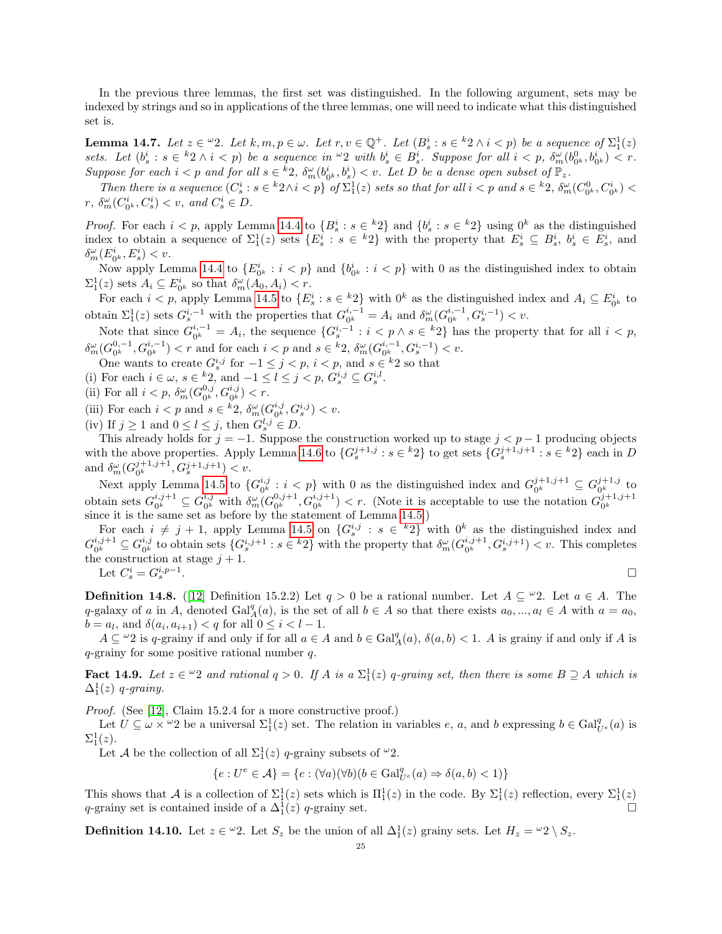In the previous three lemmas, the first set was distinguished. In the following argument, sets may be indexed by strings and so in applications of the three lemmas, one will need to indicate what this distinguished set is.

<span id="page-24-0"></span>**Lemma 14.7.** Let  $z \in \omega$ ?. Let  $k, m, p \in \omega$ . Let  $r, v \in \mathbb{Q}^+$ . Let  $(B_s^i : s \in {^k}2 \wedge i < p)$  be a sequence of  $\Sigma_1^1(z)$ sets. Let  $(b_s^i : s \in {}^k2 \wedge i < p)$  be a sequence in  ${}^{\omega}2$  with  $b_s^i \in B_s^i$ . Suppose for all  $i < p$ ,  $\delta_m^{\omega}(b_{0^k}^0, b_{0^k}^i) < r$ . Suppose for each  $i < p$  and for all  $s \in {^k}2$ ,  $\delta_m^{\omega}(b_{0^k}^i, b_s^i) < v$ . Let D be a dense open subset of  $\mathbb{P}_z$ .

Then there is a sequence  $(C_s^i : s \in {}^k 2 \wedge i < p)$  of  $\Sigma_1^1(z)$  sets so that for all  $i < p$  and  $s \in {}^k 2$ ,  $\delta_m^{\omega}(C_{0^k}^0, C_{0^k}^i) <$  $r, \delta_m^{\omega}(C_{0^k}^i, C_s^i) < v, \text{ and } C_s^i \in D.$ 

*Proof.* For each  $i < p$ , apply Lemma [14.4](#page-23-2) to  ${B_s^i : s \in {k_2} \text{ and } {b_s^i : s \in {k_2} \text{ using } 0^k \text{ as the distinguished}}}$ index to obtain a sequence of  $\Sigma_1^1(z)$  sets  $\{E_s^i : s \in {}^k2\}$  with the property that  $E_s^i \subseteq B_s^i$ ,  $b_s^i \in E_s^i$ , and  $\delta^\omega_m(E^i_{0^k},E^i_s) < v.$ 

Now apply Lemma [14.4](#page-23-2) to  $\{E_{0^k}^i : i < p\}$  and  $\{b_{0^k}^i : i < p\}$  with 0 as the distinguished index to obtain  $\Sigma_1^1(z)$  sets  $A_i \subseteq E_{0^k}^i$  so that  $\delta_m^{\omega}(A_0, A_i) < r$ .

For each  $i < p$ , apply Lemma [14.5](#page-23-1) to  $\{E_s^i : s \in {}^k2\}$  with  $0^k$  as the distinguished index and  $A_i \subseteq E_{0^k}^i$  to obtain  $\Sigma_1^1(z)$  sets  $G_s^{i,-1}$  with the properties that  $G_{0^k}^{i,-1}$  $_{0^{k}}^{i,-1} = A_{i}$  and  $_{_{m}}^{0} (G_{0^{k}}^{i,-1})$  $\frac{i, -1}{0^k}, G_s^{i, -1}) < v.$ 

Note that since  $G_{0k}^{i,-1}$  $a_0^{i,-1} = A_i$ , the sequence  $\{G_s^{i,-1} : i < p \wedge s \in {}^k2\}$  has the property that for all  $i < p$ ,  $\delta^{\omega}_m({G}_{0^{k}}^{0,-1}% )\rightarrow\delta^{\omega}({G}_{0^{k}}^{0,-1}% ),\qquad\delta^{\omega}(\omega)$  $\{G_0^{0,-1}, G_{0^k}^{i,-1}\} < r$  and for each  $i < p$  and  $s \in {^k}2$ ,  $\delta^{\omega}_m(G_{0^k}^{i,-1})$  $a_0^{i,-1}, G_s^{i,-1}) < v.$ 

One wants to create  $G_s^{i,j}$  for  $-1 \leq j < p, i < p$ , and  $s \in {}^k2$  so that

(i) For each  $i \in \omega$ ,  $s \in \frac{k}{2}$ , and  $-1 \leq l \leq j < p$ ,  $G_s^{i,j} \subseteq G_s^{i,l}$ .

(ii) For all  $i < p$ ,  $\delta_m^{\omega}(G_{0^k}^{0,j})$  $_{0^{k}}^{0,j},G_{0^{k}}^{i,j})< r.$ 

(iii) For each  $i < p$  and  $s \in {^k}2$ ,  $\delta_m^{\omega}(G_{0^k}^{i,j})$  $_{0^{k}}^{i,j},G_{s}^{i,j}) < v.$ 

(iv) If  $j \ge 1$  and  $0 \le l \le j$ , then  $G_s^{l,j} \in D$ .

This already holds for  $j = -1$ . Suppose the construction worked up to stage  $j < p - 1$  producing objects with the above properties. Apply Lemma [14.6](#page-23-3) to  $\{G_s^{j+1,j}: s \in {}^k2\}$  to get sets  $\{G_s^{j+1,j+1}: s \in {}^k2\}$  each in D and  $\delta_m^{\omega}(G_{0^k}^{j+1,j+1}, G_s^{j+1,j+1}) < v.$ 

Next apply Lemma [14.5](#page-23-1) to  $\{G_{0k}^{i,j}\}$  $\{b_i, b_j : i < p\}$  with 0 as the distinguished index and  $G_{0^k}^{j+1,j+1}$  $a_0^{j+1,j+1} \subseteq G_{0^k}^{j+1,j}$  $\frac{\partial f}{\partial x}^{0}$  to obtain sets  $G_{0k}^{i,j+1}$  $a_0^{i,j+1} \subseteq G_{0^k}^{i,j}$  $\frac{i,j}{0^k}$  with  $\delta_m^{\omega}$   $(G_{0^k}^{0,j+1})$  $\binom{0,j+1}{0^k}, G_{0^k}^{i,j+1}) < r.$  (Note it is acceptable to use the notation  $G_{0^k}^{j+1,j+1}$ since it is the same set as before by the statement of Lemma [14.5.](#page-23-1))

For each  $i \neq j + 1$ , apply Lemma [14.5](#page-23-1) on  $\{G_s^{i,j}: s \in {}^k2\}$  with  $0^k$  as the distinguished index and  $G^{i,j+1}_{0k}$  $a_0^{i,j+1} \subseteq G_{0^k}^{i,j}$  $i,j \nabla_{0^k}$  to obtain sets  $\{G_s^{i,j+1} : s \in {}^k 2\}$  with the property that  $\delta_m^{\omega}(G_{0^k}^{i,j+1})$  $\binom{i,j+1}{0^k}$ ,  $G_s^{i,j+1}$   $\lt v$ . This completes the construction at stage  $j + 1$ . .

Let 
$$
C_s^i = G_s^{i,p-1}
$$
.

**Definition 14.8.** ([\[12\]](#page-34-0) Definition 15.2.2) Let  $q > 0$  be a rational number. Let  $A \subseteq \mathcal{A}$ . Let  $a \in A$ . The q-galaxy of a in A, denoted  $Gal_A^q(a)$ , is the set of all  $b \in A$  so that there exists  $a_0, ..., a_l \in A$  with  $a = a_0$ ,  $b = a_l$ , and  $\delta(a_i, a_{i+1}) < q$  for all  $0 \le i < l-1$ .

 $A \subseteq \omega_2$  is q-grainy if and only if for all  $a \in A$  and  $b \in \text{Gal}_A^q(a)$ ,  $\delta(a, b) < 1$ . A is grainy if and only if A is q-grainy for some positive rational number q.

**Fact 14.9.** Let  $z \in \omega_2$  and rational  $q > 0$ . If A is a  $\Sigma_1^1(z)$  q-grainy set, then there is some  $B \supseteq A$  which is  $\Delta_1^1(z)$  q-grainy.

Proof. (See [\[12\]](#page-34-0), Claim 15.2.4 for a more constructive proof.)

Let  $U \subseteq \omega \times \omega_2$  be a universal  $\Sigma_1^1(z)$  set. The relation in variables e, a, and b expressing  $b \in \text{Gal}_{U^e}^q(a)$  is  $\Sigma^1_1(z)$ .

Let A be the collection of all  $\Sigma_1^1(z)$  q-grainy subsets of  $\omega_2$ .

$$
\{e: U^e \in \mathcal{A}\} = \{e: (\forall a)(\forall b)(b \in \text{Gal}_{U^e}^q(a) \Rightarrow \delta(a, b) < 1)\}
$$

This shows that A is a collection of  $\Sigma_1^1(z)$  sets which is  $\Pi_1^1(z)$  in the code. By  $\Sigma_1^1(z)$  reflection, every  $\Sigma_1^1(z)$ q-grainy set is contained inside of a  $\Delta_1^1(z)$  q-grainy set.

**Definition 14.10.** Let  $z \in \omega$ ?. Let  $S_z$  be the union of all  $\Delta_1^1(z)$  grainy sets. Let  $H_z = \omega_2 \setminus S_z$ .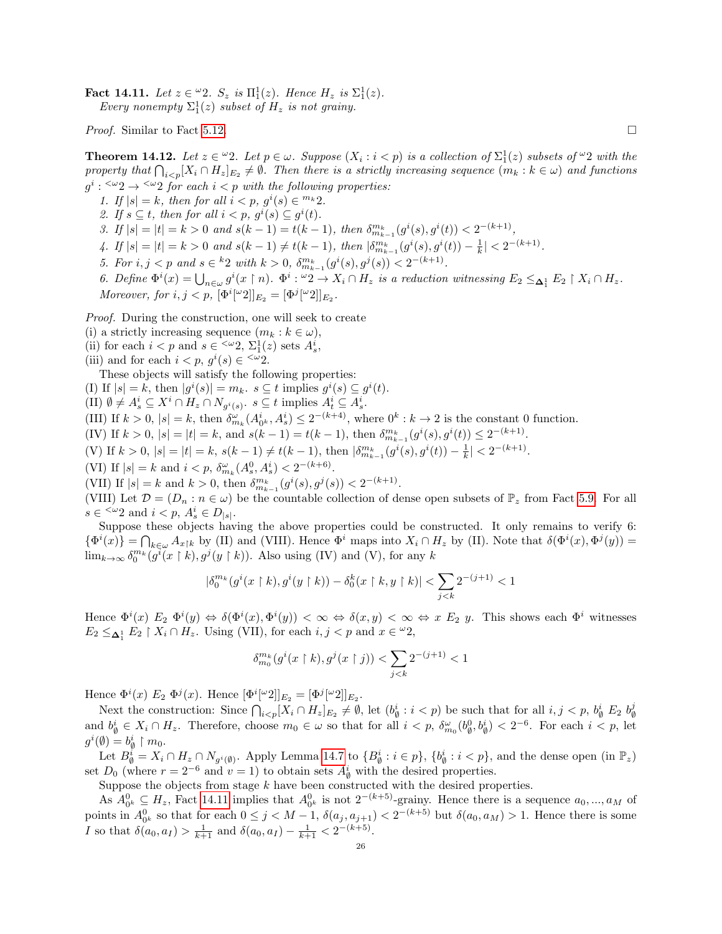<span id="page-25-0"></span>**Fact 14.11.** Let  $z \in \mathcal{L}2$ .  $S_z$  is  $\Pi_1^1(z)$ . Hence  $H_z$  is  $\Sigma_1^1(z)$ . Every nonempty  $\Sigma_1^1(z)$  subset of  $H_z$  is not grainy.

*Proof.* Similar to Fact [5.12.](#page-11-3)

<span id="page-25-1"></span>**Theorem 14.12.** Let  $z \in \omega$ ?. Let  $p \in \omega$ . Suppose  $(X_i : i < p)$  is a collection of  $\Sigma_1^1(z)$  subsets of  $\omega$ ? with the property that  $\bigcap_{i. Then there is a strictly increasing sequence  $(m_k : k \in \omega)$  and functions$  $g^i: \langle \omega_2 \rangle \rightarrow \langle \omega_2 \rangle$  for each  $i < p$  with the following properties:

1. If  $|s| = k$ , then for all  $i < p$ ,  $g^{i}(s) \in {}^{m_k}2$ . 2. If  $s \subseteq t$ , then for all  $i < p$ ,  $g^{i}(s) \subseteq g^{i}(t)$ .

3. If  $|s| = |t| = k > 0$  and  $s(k-1) = t(k-1)$ , then  $\delta_{m_{k-1}}^{m_k}(g^i(s), g^i(t)) < 2^{-(k+1)}$ ,

4. If  $|s| = |t| = k > 0$  and  $s(k-1) \neq t(k-1)$ , then  $\left|\delta_{m_{k-1}}^{m_k}(g^i(s), g^i(t)) - \frac{1}{k}\right| < 2^{-(k+1)}$ .

5. For  $i, j < p$  and  $s \in {^k}2$  with  $k > 0$ ,  $\delta^{m_k}_{m_{k-1}}(g^i(s), g^j(s)) < 2^{-(k+1)}$ .

6. Define  $\Phi^i(x) = \bigcup_{n \in \omega} g^i(x \restriction n)$ .  $\Phi^i : "2 \to X_i \cap H_z$  is a reduction witnessing  $E_2 \leq_{\Delta_1^1} E_2 \restriction X_i \cap H_z$ . Moreover, for  $i, j < p$ ,  $[\Phi^i[{}^{\omega}2]]_{E_2} = [\Phi^j[{}^{\omega}2]]_{E_2}$ .

Proof. During the construction, one will seek to create

(i) a strictly increasing sequence  $(m_k : k \in \omega)$ ,

(ii) for each  $i < p$  and  $s \in \langle \omega_2, \Sigma_1^1(z) \text{ sets } A_s^i,$ 

(iii) and for each  $i < p, g^i(s) \in \langle \omega_2 \rangle$ .

These objects will satisfy the following properties:

(I) If  $|s| = k$ , then  $|g^{i}(s)| = m_{k}$ .  $s \subseteq t$  implies  $g^{i}(s) \subseteq g^{i}(t)$ .

(II)  $\emptyset \neq A_s^i \subseteq X^i \cap H_z \cap N_{g^i(s)}$ .  $s \subseteq t$  implies  $A_t^i \subseteq A_s^i$ .

(III) If  $k > 0$ ,  $|s| = k$ , then  $\delta_{m_k}^{\omega}(A_0^i, A_s^i) \leq 2^{-(k+4)}$ , where  $0^k : k \to 2$  is the constant 0 function.

- (IV) If  $k > 0$ ,  $|s| = |t| = k$ , and  $s(k 1) = t(k 1)$ , then  $\delta_{m_{k-1}}^{m_k}(g^i(s), g^i(t)) \leq 2^{-(k+1)}$ .
- (V) If  $k > 0$ ,  $|s| = |t| = k$ ,  $s(k-1) \neq t(k-1)$ , then  $\left|\delta_{m_{k-1}}^{m_k}(g^i(s), g^i(t)) \frac{1}{k}\right| < 2^{-(k+1)}$ .

(VI) If  $|s| = k$  and  $i < p$ ,  $\delta_{m_k}^{\omega}(A_s^0, A_s^i) < 2^{-(k+6)}$ .

(VII) If 
$$
|s| = k
$$
 and  $k > 0$ , then  $\delta_{m_{k-1}}^{m_k}(g^i(s), g^j(s)) < 2^{-(k+1)}$ .

(VIII) Let  $\mathcal{D} = (D_n : n \in \omega)$  be the countable collection of dense open subsets of  $\mathbb{P}_z$  from Fact [5.9.](#page-11-1) For all  $s \in \langle \omega_2 \text{ and } i < p, A_s^i \in D_{|s|}.$ 

Suppose these objects having the above properties could be constructed. It only remains to verify 6:  $\{\Phi^i(x)\} = \bigcap_{k \in \omega} A_{x|k}$  by (II) and (VIII). Hence  $\Phi^i$  maps into  $X_i \cap H_z$  by (II). Note that  $\delta(\Phi^i(x), \Phi^j(y)) =$  $\lim_{k\to\infty} \delta_0^{m_k}(\tilde{g}^i(x\restriction k), g^j(y\restriction k)).$  Also using (IV) and (V), for any k

$$
|\delta_0^{m_k}(g^i(x \restriction k), g^i(y \restriction k)) - \delta_0^k(x \restriction k, y \restriction k)| < \sum_{j < k} 2^{-(j+1)} < 1
$$

Hence  $\Phi^i(x)$   $E_2$   $\Phi^i(y) \Leftrightarrow \delta(\Phi^i(x), \Phi^i(y)) < \infty \Leftrightarrow \delta(x, y) < \infty \Leftrightarrow x \ E_2$  y. This shows each  $\Phi^i$  witnesses  $E_2 \leq_{\Delta_1^1} E_2 \restriction X_i \cap H_z$ . Using (VII), for each  $i, j < p$  and  $x \in \omega_2$ ,

$$
\delta_{m_0}^{m_k}(g^i(x\restriction k), g^j(x\restriction j)) < \sum_{j < k} 2^{-(j+1)} < 1
$$

Hence  $\Phi^{i}(x)$   $E_2 \Phi^{j}(x)$ . Hence  $[\Phi^{i}[\omega 2]]_{E_2} = [\Phi^{j}[\omega 2]]_{E_2}$ .

Next the construction: Since  $\bigcap_{i, let  $(b^i_{\emptyset} : i < p)$  be such that for all  $i, j < p$ ,  $b^i_{\emptyset}$   $E_2$   $b^j_{\emptyset}$$ ∅ and  $b^i_{\emptyset} \in X_i \cap H_z$ . Therefore, choose  $m_0 \in \omega$  so that for all  $i < p$ ,  $\delta_{m_0}^{\omega}(b_{\emptyset}^0, b_{\emptyset}^i) < 2^{-6}$ . For each  $i < p$ , let  $g^i(\emptyset) = b^i_{\emptyset} \restriction m_0.$ 

Let  $B_{\emptyset}^{i} = X_i \cap H_z \cap N_{g^{i}(\emptyset)}$ . Apply Lemma [14.7](#page-24-0) to  $\{B_{\emptyset}^{i} : i \in p\}$ ,  $\{b_{\emptyset}^{i} : i < p\}$ , and the dense open (in  $\mathbb{P}_z$ ) set  $D_0$  (where  $r = 2^{-6}$  and  $v = 1$ ) to obtain sets  $A^i_{\emptyset}$  with the desired properties.

Suppose the objects from stage  $k$  have been constructed with the desired properties.

As  $A_{0^k}^0 \subseteq H_z$ , Fact [14.11](#page-25-0) implies that  $A_{0^k}^0$  is not  $2^{-(k+5)}$ -grainy. Hence there is a sequence  $a_0, ..., a_M$  of points in  $A_{0^k}^0$  so that for each  $0 \leq j < M-1$ ,  $\delta(a_j, a_{j+1}) < 2^{-(k+5)}$  but  $\delta(a_0, a_M) > 1$ . Hence there is some *I* so that  $\delta(a_0, a_I) > \frac{1}{k+1}$  and  $\delta(a_0, a_I) - \frac{1}{k+1} < 2^{-(k+5)}$ .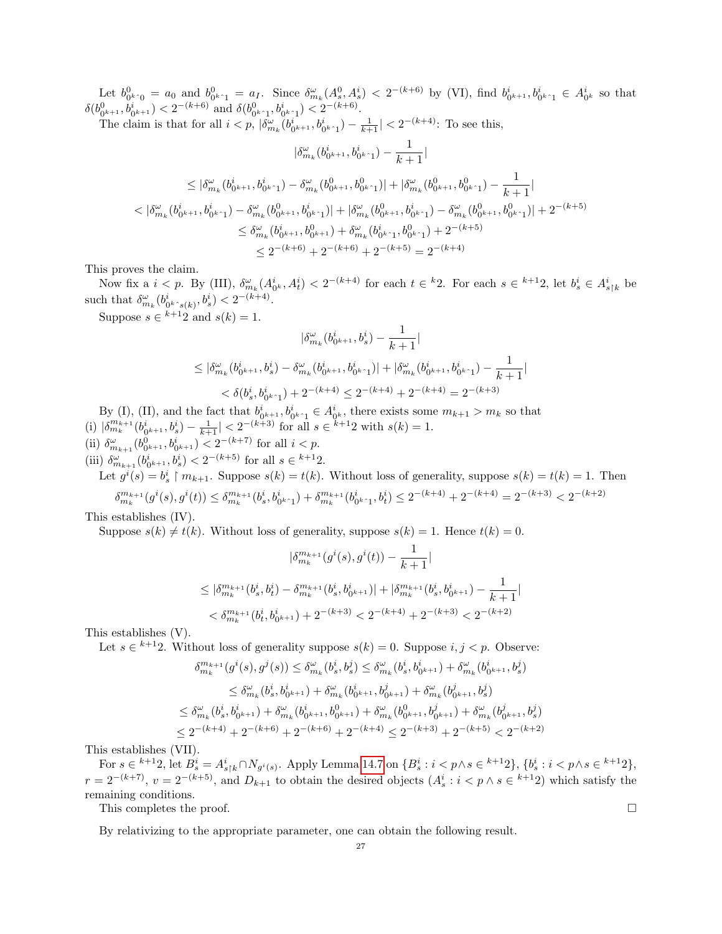Let  $b_{0^{k}}^{0} = a_0$  and  $b_{0^{k}}^{0} = a_I$ . Since  $\delta_{m_k}^{\omega}(A_s^0, A_s^i) < 2^{-(k+6)}$  by (VI), find  $b_{0^{k+1}}^i, b_{0^{k+1}}^i \in A_{0^k}^i$  so that  $\delta(b_{0^{k+1}}^0, b_{0^{k+1}}^i) < 2^{-(k+6)}$  and  $\delta(b_{0^{k}+1}^0, b_{0^{k+1}}^i) < 2^{-(k+6)}$ .

The claim is that for all  $i < p$ ,  $|\delta_{m_k}^{\omega}(b_{0^{k+1}}^i, b_{0^{k-1}}^i) - \frac{1}{k+1}| < 2^{-(k+4)}$ : To see this,

$$
|\delta_{m_k}^{\omega}(b_{0^{k+1}}^i, b_{0^{k+1}}^i) - \frac{1}{k+1}|
$$
  
\n
$$
\leq |\delta_{m_k}^{\omega}(b_{0^{k+1}}^i, b_{0^{k+1}}^i) - \delta_{m_k}^{\omega}(b_{0^{k+1}}^0, b_{0^{k+1}}^0)| + |\delta_{m_k}^{\omega}(b_{0^{k+1}}^0, b_{0^{k+1}}^0) - \frac{1}{k+1}|
$$
  
\n
$$
< |\delta_{m_k}^{\omega}(b_{0^{k+1}}^i, b_{0^{k+1}}^i) - \delta_{m_k}^{\omega}(b_{0^{k+1}}^0, b_{0^{k+1}}^i)| + |\delta_{m_k}^{\omega}(b_{0^{k+1}}^0, b_{0^{k+1}}^i) - \delta_{m_k}^{\omega}(b_{0^{k+1}}^0, b_{0^{k+1}}^0)| + 2^{-(k+5)}
$$
  
\n
$$
\leq \delta_{m_k}^{\omega}(b_{0^{k+1}}^i, b_{0^{k+1}}^0) + \delta_{m_k}^{\omega}(b_{0^{k+1}}^i, b_{0^{k+1}}^0) + 2^{-(k+5)}
$$
  
\n
$$
\leq 2^{-(k+6)} + 2^{-(k+6)} + 2^{-(k+5)} = 2^{-(k+4)}
$$

This proves the claim.

Now fix a  $i < p$ . By (III),  $\delta_{m_k}^{\omega}(A_0^i, A_t^i) < 2^{-(k+4)}$  for each  $t \in {}^k 2$ . For each  $s \in {}^{k+1} 2$ , let  $b_s^i \in A_{s \upharpoonright k}^i$  be such that  $\delta_{m_k}^{\omega}(b_{0^{k} \cdot s(k)}^i, b_s^i) < 2^{-(k+4)}$ .

Suppose  $s \in k+1$  and  $s(k) = 1$ .

$$
\begin{aligned} |\delta_{m_k}^\omega(b_{0^{k+1}}^i,b_s^i)-\frac{1}{k+1}|\\ \leq |\delta_{m_k}^\omega(b_{0^{k+1}}^i,b_s^i)-\delta_{m_k}^\omega(b_{0^{k+1}}^i,b_{0^{k+1}}^i)|+|\delta_{m_k}^\omega(b_{0^{k+1}}^i,b_{0^{k+1}}^i)-\frac{1}{k+1}|\\ < \delta(b_s^i,b_{0^{k+1}}^i)+2^{-(k+4)}\leq 2^{-(k+4)}+2^{-(k+4)}=2^{-(k+3)} \end{aligned}
$$

By (I), (II), and the fact that  $b_0^i{}_{k+1}, b_0^i{}_{k+1} \in A_0^i{}_{k}$ , there exists some  $m_{k+1} > m_k$  so that (i)  $|\delta_{m_k}^{m_{k+1}}(b_{0^{k+1}}^i, b_s^i) - \frac{1}{k+1}| < 2^{-(k+3)}$  for all  $s \in k+1$  with  $s(k) = 1$ . (ii)  $\delta_{m_{k+1}}^{\omega}(b_{0^{k+1}}^0, b_{0^{k+1}}^i) < 2^{-(k+7)}$  for all  $i < p$ .

(iii)  $\delta_{m_{k+1}}^{\omega}(b_{0^{k+1}}^i, b_s^i) < 2^{-(k+5)}$  for all  $s \in {^{k+1}2}$ .

Let  $g^{i}(s) = b_s^{i} \upharpoonright m_{k+1}$ . Suppose  $s(k) = t(k)$ . Without loss of generality, suppose  $s(k) = t(k) = 1$ . Then  $\delta_{m_k}^{m_{k+1}}(g^i(s),g^i(t))\leq \delta_{m_k}^{m_{k+1}}(b^i_s,b^i_{0^{k^*}1})+\delta_{m_k}^{m_{k+1}}(b^i_{0^{k^*}1},b^i_t)\leq 2^{-(k+4)}+2^{-(k+4)}=2^{-(k+3)}<2^{-(k+2)}$ 

This establishes (IV).

Suppose  $s(k) \neq t(k)$ . Without loss of generality, suppose  $s(k) = 1$ . Hence  $t(k) = 0$ .

$$
|\delta_{m_k}^{m_{k+1}}(g^i(s), g^i(t)) - \frac{1}{k+1}|
$$
  
\n
$$
\leq |\delta_{m_k}^{m_{k+1}}(b_s^i, b_t^i) - \delta_{m_k}^{m_{k+1}}(b_s^i, b_{0^{k+1}}^i)| + |\delta_{m_k}^{m_{k+1}}(b_s^i, b_{0^{k+1}}^i) - \frac{1}{k+1}|
$$
  
\n
$$
< \delta_{m_k}^{m_{k+1}}(b_t^i, b_{0^{k+1}}^i) + 2^{-(k+3)} < 2^{-(k+4)} + 2^{-(k+3)} < 2^{-(k+2)}
$$

This establishes (V).

Let  $s \in k+12$ . Without loss of generality suppose  $s(k) = 0$ . Suppose  $i, j < p$ . Observe:

$$
\delta_{m_k}^{m_{k+1}}(g^i(s), g^j(s)) \leq \delta_{m_k}^{\omega}(b_s^i, b_s^j) \leq \delta_{m_k}^{\omega}(b_s^i, b_{0^{k+1}}^i) + \delta_{m_k}^{\omega}(b_{0^{k+1}}^i, b_s^j)
$$
  
\n
$$
\leq \delta_{m_k}^{\omega}(b_s^i, b_{0^{k+1}}^i) + \delta_{m_k}^{\omega}(b_{0^{k+1}}^i, b_{0^{k+1}}^j) + \delta_{m_k}^{\omega}(b_{0^{k+1}}^j, b_s^j)
$$
  
\n
$$
\leq \delta_{m_k}^{\omega}(b_s^i, b_{0^{k+1}}^i) + \delta_{m_k}^{\omega}(b_{0^{k+1}}^i, b_{0^{k+1}}^0) + \delta_{m_k}^{\omega}(b_{0^{k+1}}^0, b_{0^{k+1}}^j) + \delta_{m_k}^{\omega}(b_{0^{k+1}}^j, b_s^j)
$$
  
\n
$$
\leq 2^{-(k+4)} + 2^{-(k+6)} + 2^{-(k+6)} + 2^{-(k+4)} \leq 2^{-(k+3)} + 2^{-(k+5)} < 2^{-(k+2)}
$$

This establishes (VII).

For  $s \in {}^{k+1}2$ , let  $B_s^i = A_{s \restriction k}^i ∩ N_{g^i(s)}$ . Apply Lemma [14.7](#page-24-0) on  $\{B_s^i : i < p \land s \in {}^{k+1}2\}$ ,  $\{b_s^i : i < p \land s \in {}^{k+1}2\}$ ,  $r = 2^{-(k+7)}$ ,  $v = 2^{-(k+5)}$ , and  $D_{k+1}$  to obtain the desired objects  $(A_s^i : i < p \wedge s \in {}^{k+1}2)$  which satisfy the remaining conditions.

This completes the proof.  $\Box$ 

By relativizing to the appropriate parameter, one can obtain the following result.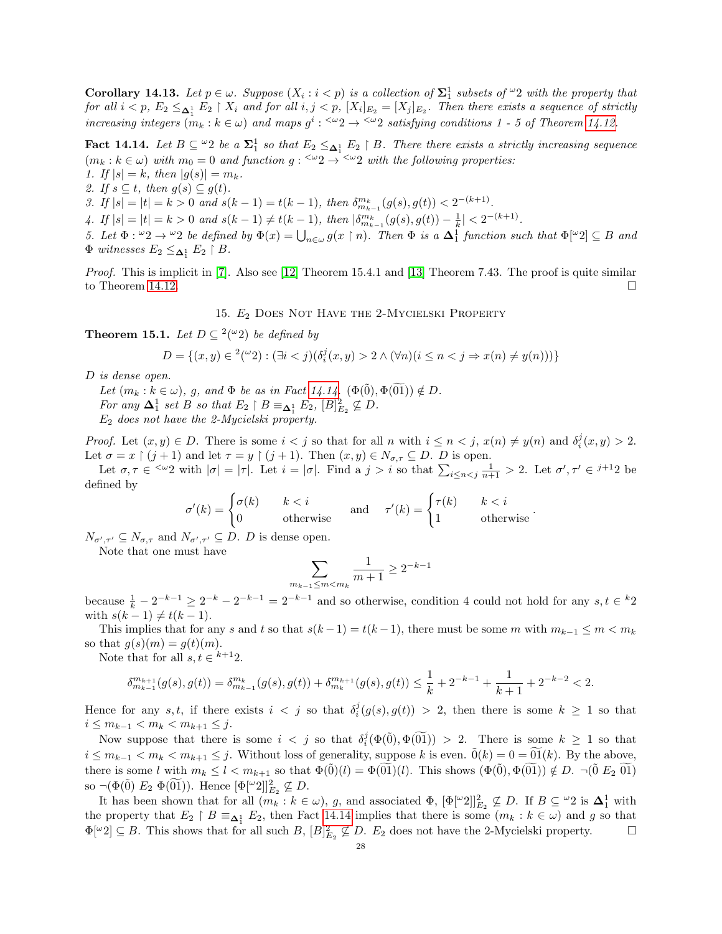<span id="page-27-3"></span>**Corollary 14.13.** Let  $p \in \omega$ . Suppose  $(X_i : i < p)$  is a collection of  $\Sigma_1^1$  subsets of  $\omega_2$  with the property that for all  $i < p$ ,  $E_2 \leq_{\Delta_1^1} E_2 \restriction X_i$  and for all  $i, j < p$ ,  $[X_i]_{E_2} = [X_j]_{E_2}$ . Then there exists a sequence of strictly increasing integers  $(m_k : k \in \omega)$  and maps  $g^i : \langle \omega_2 \rangle \rightarrow \langle \omega_2 \rangle$  satisfying conditions 1 - 5 of Theorem [14.12.](#page-25-1)

<span id="page-27-2"></span>Fact 14.14. Let  $B \subseteq \{0, 2\}$  be a  $\Sigma_1^1$  so that  $E_2 \leq_{\Delta_1^1} E_2 \upharpoonright B$ . There there exists a strictly increasing sequence  $(m_k : k \in \omega)$  with  $m_0 = 0$  and function  $g: \langle \omega_2 \rangle \rightarrow \langle \omega_2 \rangle$  with the following properties: 1. If  $|s| = k$ , then  $|g(s)| = m_k$ .

- 
- 2. If  $s \subseteq t$ , then  $g(s) \subseteq g(t)$ .

3. If  $|s| = |t| = k > 0$  and  $s(k-1) = t(k-1)$ , then  $\delta_{m_{k-1}}^{m_k}(g(s), g(t)) < 2^{-(k+1)}$ .

4. If  $|s| = |t| = k > 0$  and  $s(k-1) \neq t(k-1)$ , then  $\left|\delta_{m_{k-1}}^{m_k}(g(s), g(t)) - \frac{1}{k}\right| < 2^{-(k+1)}$ .

5. Let  $\Phi: {}^{\omega}2 \to {}^{\omega}2$  be defined by  $\Phi(x) = \bigcup_{n \in \omega} g(x \restriction n)$ . Then  $\Phi$  is a  $\Delta_1^1$  function such that  $\Phi[{}^{\omega}2] \subseteq B$  and  $\Phi$  witnesses  $E_2 \leq_{\pmb{\Delta}_1^1} E_2 \restriction B$ .

Proof. This is implicit in [\[7\]](#page-34-8). Also see [\[12\]](#page-34-0) Theorem 15.4.1 and [\[13\]](#page-35-0) Theorem 7.43. The proof is quite similar to Theorem [14.12.](#page-25-1)

15. E<sup>2</sup> Does Not Have the 2-Mycielski Property

<span id="page-27-1"></span><span id="page-27-0"></span>**Theorem 15.1.** Let  $D \subseteq \{a^2 \mid a^2 \}$  be defined by

$$
D = \{(x,y) \in {}^2({}^\omega 2) : (\exists i < j)(\delta_i^j(x,y) > 2 \land (\forall n)(i \leq n < j \Rightarrow x(n) \neq y(n)))\}
$$

D is dense open.

Let  $(m_k : k \in \omega)$ , g, and  $\Phi$  be as in Fact [14.14.](#page-27-2)  $(\Phi(\vec{0}), \Phi(01)) \notin D$ .

For any  $\Delta_1^1$  set B so that  $E_2 \restriction B \equiv_{\Delta_1^1} E_2$ ,  $[B]_{E_2}^2 \not\subseteq D$ .

 $E_2$  does not have the 2-Mycielski property.

Proof. Let  $(x, y) \in D$ . There is some  $i < j$  so that for all n with  $i \leq n < j$ ,  $x(n) \neq y(n)$  and  $\delta_i^j(x, y) > 2$ . Let  $\sigma = x \restriction (j+1)$  and let  $\tau = y \restriction (j+1)$ . Then  $(x, y) \in N_{\sigma, \tau} \subseteq D$ . D is open.

Let  $\sigma, \tau \in \langle \omega_2 \rangle$  with  $|\sigma| = |\tau|$ . Let  $i = |\sigma|$ . Find a  $j > i$  so that  $\sum_{i \leq n < j} \frac{1}{n+1} > 2$ . Let  $\sigma', \tau' \in i+1$  be defined by

$$
\sigma'(k) = \begin{cases} \sigma(k) & k < i \\ 0 & \text{otherwise} \end{cases} \quad \text{and} \quad \tau'(k) = \begin{cases} \tau(k) & k < i \\ 1 & \text{otherwise} \end{cases}
$$

 $N_{\sigma',\tau'} \subseteq N_{\sigma,\tau}$  and  $N_{\sigma',\tau'} \subseteq D$ . D is dense open.

Note that one must have

$$
\sum_{m_{k-1}\leq m
$$

.

because  $\frac{1}{k} - 2^{-k-1} \geq 2^{-k} - 2^{-k-1} = 2^{-k-1}$  and so otherwise, condition 4 could not hold for any  $s, t \in {^k}2$ with  $s(k - 1) \neq t(k - 1)$ .

This implies that for any s and t so that  $s(k-1) = t(k-1)$ , there must be some m with  $m_{k-1} \leq m < m_k$ so that  $g(s)(m) = g(t)(m)$ .

Note that for all  $s, t \in k+1$ .

$$
\delta_{m_{k-1}}^{m_{k+1}}(g(s),g(t)) = \delta_{m_{k-1}}^{m_k}(g(s),g(t)) + \delta_{m_k}^{m_{k+1}}(g(s),g(t)) \le \frac{1}{k} + 2^{-k-1} + \frac{1}{k+1} + 2^{-k-2} < 2.
$$

Hence for any s, t, if there exists  $i < j$  so that  $\delta_i^j(g(s),g(t)) > 2$ , then there is some  $k \geq 1$  so that  $i \le m_{k-1} < m_k < m_{k+1} \le j$ .

Now suppose that there is some  $i < j$  so that  $\delta_i^j(\Phi(\tilde{0}), \Phi(\tilde{0})) > 2$ . There is some  $k \geq 1$  so that  $i \leq m_{k-1} < m_k < m_{k+1} \leq j$ . Without loss of generality, suppose k is even.  $\tilde{0}(k) = 0 = \tilde{0}(k)$ . By the above, there is some l with  $m_k \leq l < m_{k+1}$  so that  $\Phi(\vec{0})$  (l) =  $\Phi(01)$ (l). This shows  $(\Phi(\vec{0}), \Phi(01)) \notin D$ .  $\neg (\vec{0} E_2 01)$ so  $\neg(\Phi(\tilde{0})\ E_2 \ \Phi(\tilde{01})).$  Hence  $[\Phi[\omega_2]]_{E_2}^2 \not\subseteq D.$ 

It has been shown that for all  $(m_k : k \in \omega)$ , g, and associated  $\Phi$ ,  $[\Phi[$ <sup>ω</sup>2 $]]_{E_2}^2 \nsubseteq D$ . If  $B \subseteq {}^{\omega}2$  is  $\Delta_1^1$  with the property that  $E_2 \upharpoonright B \equiv_{\Delta_1^1} E_2$ , then Fact [14.14](#page-27-2) implies that there is some  $(m_k : k \in \omega)$  and g so that  $\Phi[\omega_2] \subseteq B$ . This shows that for all such B,  $[B]_{E_2}^2 \nsubseteq D$ .  $E_2$  does not have the 2-Mycielski property.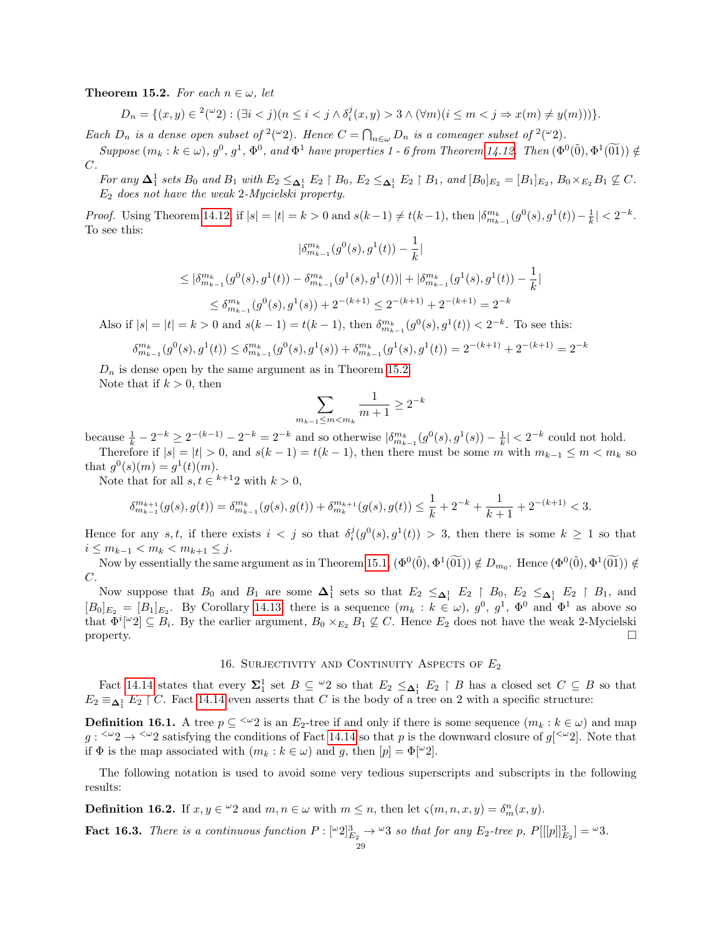<span id="page-28-1"></span>**Theorem 15.2.** For each  $n \in \omega$ , let

$$
D_n = \{(x, y) \in {}^2(\omega_2) : (\exists i < j)(n \le i < j \land \delta_i^j(x, y) > 3 \land (\forall m)(i \le m < j \Rightarrow x(m) \neq y(m)))\}.
$$

Each  $D_n$  is a dense open subset of <sup>2</sup>(<sup>ω</sup>2). Hence  $C = \bigcap_{n \in \omega} D_n$  is a comeager subset of <sup>2</sup>(<sup>ω</sup>2).

 $Suppose (m_k : k \in \omega), g^0, g^1, \Phi^0, and \Phi^1 have \ properties 1 - 6 from Theorem 14.12. Then  $(\Phi^0(\tilde{0}), \Phi^1(\tilde{01})) \notin$$  $Suppose (m_k : k \in \omega), g^0, g^1, \Phi^0, and \Phi^1 have \ properties 1 - 6 from Theorem 14.12. Then  $(\Phi^0(\tilde{0}), \Phi^1(\tilde{01})) \notin$$  $Suppose (m_k : k \in \omega), g^0, g^1, \Phi^0, and \Phi^1 have \ properties 1 - 6 from Theorem 14.12. Then  $(\Phi^0(\tilde{0}), \Phi^1(\tilde{01})) \notin$$  $C$ .

For any  $\Delta_1^1$  sets  $B_0$  and  $B_1$  with  $E_2 \leq_{\Delta_1^1} E_2 \restriction B_0$ ,  $E_2 \leq_{\Delta_1^1} E_2 \restriction B_1$ , and  $[B_0]_{E_2} = [B_1]_{E_2}$ ,  $B_0 \times_{E_2} B_1 \nsubseteq C$ .  $E_2$  does not have the weak 2-Mycielski property.

Proof. Using Theorem [14.12,](#page-25-1) if  $|s| = |t| = k > 0$  and  $s(k-1) \neq t(k-1)$ , then  $\left|\delta_{m_{k-1}}^{m_k}(g^0(s), g^1(t)) - \frac{1}{k}\right| < 2^{-k}$ . To see this: 1

$$
|\delta_{m_{k-1}}^{m_k}(g^0(s), g^1(t)) - \frac{1}{k}|
$$
  
\n
$$
\leq |\delta_{m_{k-1}}^{m_k}(g^0(s), g^1(t)) - \delta_{m_{k-1}}^{m_k}(g^1(s), g^1(t))| + |\delta_{m_{k-1}}^{m_k}(g^1(s), g^1(t)) - \frac{1}{k}|
$$
  
\n
$$
\leq \delta_{m_{k-1}}^{m_k}(g^0(s), g^1(s)) + 2^{-(k+1)} \leq 2^{-(k+1)} + 2^{-(k+1)} = 2^{-k}
$$

Also if  $|s| = |t| = k > 0$  and  $s(k-1) = t(k-1)$ , then  $\delta_{m_{k-1}}^{m_k}(g^0(s), g^1(t)) < 2^{-k}$ . To see this:

$$
\delta_{m_{k-1}}^{m_k}(g^0(s),g^1(t))\leq \delta_{m_{k-1}}^{m_k}(g^0(s),g^1(s))+\delta_{m_{k-1}}^{m_k}(g^1(s),g^1(t))=2^{-(k+1)}+2^{-(k+1)}=2^{-k}
$$

 $D_n$  is dense open by the same argument as in Theorem [15.2.](#page-28-1)

Note that if  $k > 0$ , then

$$
\sum_{m_{k-1}\leq m
$$

because  $\frac{1}{k} - 2^{-k} \ge 2^{-(k-1)} - 2^{-k} = 2^{-k}$  and so otherwise  $|\delta_{m_{k-1}}^{m_k}(g^0(s), g^1(s)) - \frac{1}{k}| < 2^{-k}$  could not hold. Therefore if  $|s| = |t| > 0$ , and  $s(k-1) = t(k-1)$ , then there must be some m with  $m_{k-1} \le m < m_k$  so

that  $g^0(s)(m) = g^1(t)(m)$ .

Note that for all  $s, t \in k+12$  with  $k > 0$ ,

$$
\delta_{m_{k-1}}^{m_{k+1}}(g(s),g(t)) = \delta_{m_{k-1}}^{m_k}(g(s),g(t)) + \delta_{m_k}^{m_{k+1}}(g(s),g(t)) \le \frac{1}{k} + 2^{-k} + \frac{1}{k+1} + 2^{-(k+1)} < 3.
$$

Hence for any  $s, t$ , if there exists  $i < j$  so that  $\delta_i^j(g^0(s), g^1(t)) > 3$ , then there is some  $k \ge 1$  so that  $i \le m_{k-1} < m_k < m_{k+1} \le j$ .

Now by essentially the same argument as in Theorem [15.1,](#page-27-0)  $(\Phi^0(\tilde{0}), \Phi^1(\tilde{01})) \notin D_{m_0}$ . Hence  $(\Phi^0(\tilde{0}), \Phi^1(\tilde{01})) \notin$ C.

Now suppose that  $B_0$  and  $B_1$  are some  $\Delta_1^1$  sets so that  $E_2 \leq_{\Delta_1^1} E_2 \upharpoonright B_0$ ,  $E_2 \leq_{\Delta_1^1} E_2 \upharpoonright B_1$ , and  $[B_0]_{E_2} = [B_1]_{E_2}$ . By Corollary [14.13,](#page-27-3) there is a sequence  $(m_k : k \in \omega)$ ,  $g^0$ ,  $g^1$ ,  $\Phi^0$  and  $\Phi^1$  as above so that  $\Phi^i[\omega_2] \subseteq B_i$ . By the earlier argument,  $B_0 \times_{E_2} B_1 \nsubseteq C$ . Hence  $E_2$  does not have the weak 2-Mycielski property.  $\Box$ 

### 16. SURJECTIVITY AND CONTINUITY ASPECTS OF  $E_2$

<span id="page-28-0"></span>Fact [14.14](#page-27-2) states that every  $\Sigma_1^1$  set  $B \subseteq {}^{\omega_2}$  so that  $E_2 \leq_{\Delta_1^1} E_2 \upharpoonright B$  has a closed set  $C \subseteq B$  so that  $E_2 \equiv_{\Delta_1^1} E_2 \upharpoonright C$ . Fact [14.14](#page-27-2) even asserts that C is the body of a tree on 2 with a specific structure:

**Definition 16.1.** A tree  $p \subseteq \langle \omega_2 \rangle$  is an  $E_2$ -tree if and only if there is some sequence  $(m_k : k \in \omega)$  and map  $g: \langle \omega_2 \rangle \to \langle \omega_2 \rangle$  satisfying the conditions of Fact [14.14](#page-27-2) so that p is the downward closure of  $g[<sup>{\omega_2}</sup>]$ . Note that if  $\Phi$  is the map associated with  $(m_k : k \in \omega)$  and g, then  $[p] = \Phi[\omega_2]$ .

The following notation is used to avoid some very tedious superscripts and subscripts in the following results:

**Definition 16.2.** If  $x, y \in \mathcal{L}^2$  and  $m, n \in \omega$  with  $m \leq n$ , then let  $\varsigma(m, n, x, y) = \delta_m^n(x, y)$ .

<span id="page-28-2"></span>**Fact 16.3.** There is a continuous function  $P: [\omega_2]_{E_2}^3 \to \omega_3$  so that for any  $E_2$ -tree p,  $P[[[p]]_{E_2}^3] = \omega_3$ .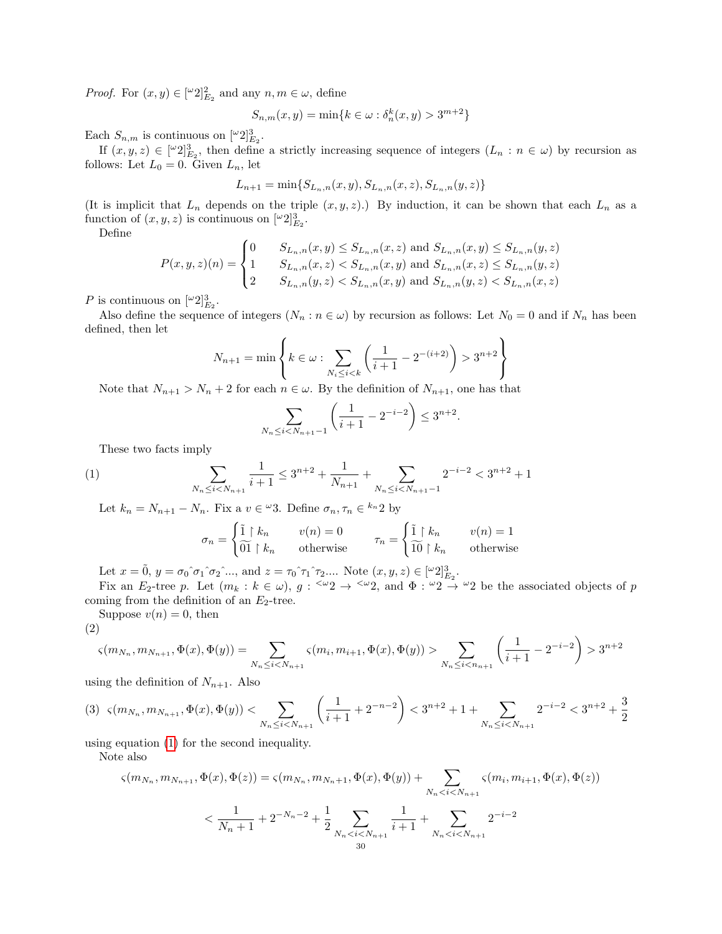*Proof.* For  $(x, y) \in [\lbrack \lbrack \lbrack 2 \rbrack \rbrack_{E_2}$  and any  $n, m \in \omega$ , define

$$
S_{n,m}(x,y) = \min\{k \in \omega : \delta_n^k(x,y) > 3^{m+2}\}\
$$

Each  $S_{n,m}$  is continuous on  $[{}^{\omega}2]_{E_2}^3$ .

If  $(x, y, z) \in [\omega_2]^3_{E_2}$ , then define a strictly increasing sequence of integers  $(L_n : n \in \omega)$  by recursion as follows: Let  $L_0 = 0$ . Given  $L_n$ , let

$$
L_{n+1} = \min\{S_{L_n,n}(x,y), S_{L_n,n}(x,z), S_{L_n,n}(y,z)\}
$$

(It is implicit that  $L_n$  depends on the triple  $(x, y, z)$ .) By induction, it can be shown that each  $L_n$  as a function of  $(x, y, z)$  is continuous on  $\lfloor \omega_2 \rfloor_{E_2}^3$ .

Define

$$
P(x, y, z)(n) = \begin{cases} 0 & S_{L_n, n}(x, y) \le S_{L_n, n}(x, z) \text{ and } S_{L_n, n}(x, y) \le S_{L_n, n}(y, z) \\ 1 & S_{L_n, n}(x, z) < S_{L_n, n}(x, y) \text{ and } S_{L_n, n}(x, z) \le S_{L_n, n}(y, z) \\ 2 & S_{L_n, n}(y, z) < S_{L_n, n}(x, y) \text{ and } S_{L_n, n}(y, z) < S_{L_n, n}(x, z) \end{cases}
$$

P is continuous on  $\lbrack \omega 2 \rbrack_{E_2}^3$ .

Also define the sequence of integers  $(N_n : n \in \omega)$  by recursion as follows: Let  $N_0 = 0$  and if  $N_n$  has been defined, then let

$$
N_{n+1} = \min \left\{ k \in \omega : \sum_{N_i \le i < k} \left( \frac{1}{i+1} - 2^{-(i+2)} \right) > 3^{n+2} \right\}
$$

Note that  $N_{n+1} > N_n + 2$  for each  $n \in \omega$ . By the definition of  $N_{n+1}$ , one has that

$$
\sum_{N_n \le i < N_{n+1}-1} \left( \frac{1}{i+1} - 2^{-i-2} \right) \le 3^{n+2}.
$$

These two facts imply

(1) 
$$
\sum_{N_n \leq i < N_{n+1}} \frac{1}{i+1} \leq 3^{n+2} + \frac{1}{N_{n+1}} + \sum_{N_n \leq i < N_{n+1}-1} 2^{-i-2} < 3^{n+2} + 1
$$

Let  $k_n = N_{n+1} - N_n$ . Fix a  $v \in \mathcal{L}$ 3. Define  $\sigma_n, \tau_n \in k_n$ 2 by

<span id="page-29-0"></span>
$$
\sigma_n = \begin{cases} \tilde{1} \restriction k_n & v(n) = 0 \\ \widetilde{01} \restriction k_n & \text{otherwise} \end{cases} \qquad \tau_n = \begin{cases} \tilde{1} \restriction k_n & v(n) = 1 \\ \widetilde{10} \restriction k_n & \text{otherwise} \end{cases}
$$

Let  $x = 0$ ,  $y = \sigma_0 \hat{ } \sigma_1 \hat{ } \sigma_2 \hat{ } \dots$ , and  $z = \tau_0 \hat{ } \tau_1 \hat{ } \tau_2 \dots$ . Note  $(x, y, z) \in [^\omega 2]_{E_2}^3$ .

Fix an  $E_2$ -tree p. Let  $(m_k : k \in \omega)$ ,  $g : \langle \omega_2 \rangle \to \langle \omega_2 \rangle$  and  $\Phi : \omega_2 \to \omega_2$  be the associated objects of p coming from the definition of an  $E_2$ -tree.

Suppose  $v(n) = 0$ , then

$$
\left( 2\right)
$$

<span id="page-29-1"></span>
$$
\varsigma(m_{N_n}, m_{N_{n+1}}, \Phi(x), \Phi(y)) = \sum_{N_n \le i < N_{n+1}} \varsigma(m_i, m_{i+1}, \Phi(x), \Phi(y)) > \sum_{N_n \le i < n_{n+1}} \left(\frac{1}{i+1} - 2^{-i-2}\right) > 3^{n+2}
$$

using the definition of  $N_{n+1}$ . Also

<span id="page-29-2"></span>
$$
(3) \ \ \varsigma(m_{N_n}, m_{N_{n+1}}, \Phi(x), \Phi(y)) < \sum_{N_n \le i < N_{n+1}} \left( \frac{1}{i+1} + 2^{-n-2} \right) < 3^{n+2} + 1 + \sum_{N_n \le i < N_{n+1}} 2^{-i-2} < 3^{n+2} + \frac{3}{2}
$$

using equation [\(1\)](#page-29-0) for the second inequality.

Note also

$$
\varsigma(m_{N_n}, m_{N_{n+1}}, \Phi(x), \Phi(z)) = \varsigma(m_{N_n}, m_{N_n+1}, \Phi(x), \Phi(y)) + \sum_{N_n < i < N_{n+1}} \varsigma(m_i, m_{i+1}, \Phi(x), \Phi(z))
$$
\n
$$
\langle \frac{1}{N_n + 1} + 2^{-N_n - 2} + \frac{1}{2} \sum_{N_n < i < N_{n+1}} \frac{1}{i+1} + \sum_{N_n < i < N_{n+1}} 2^{-i-2}
$$
\n
$$
\overset{30}{\leq}
$$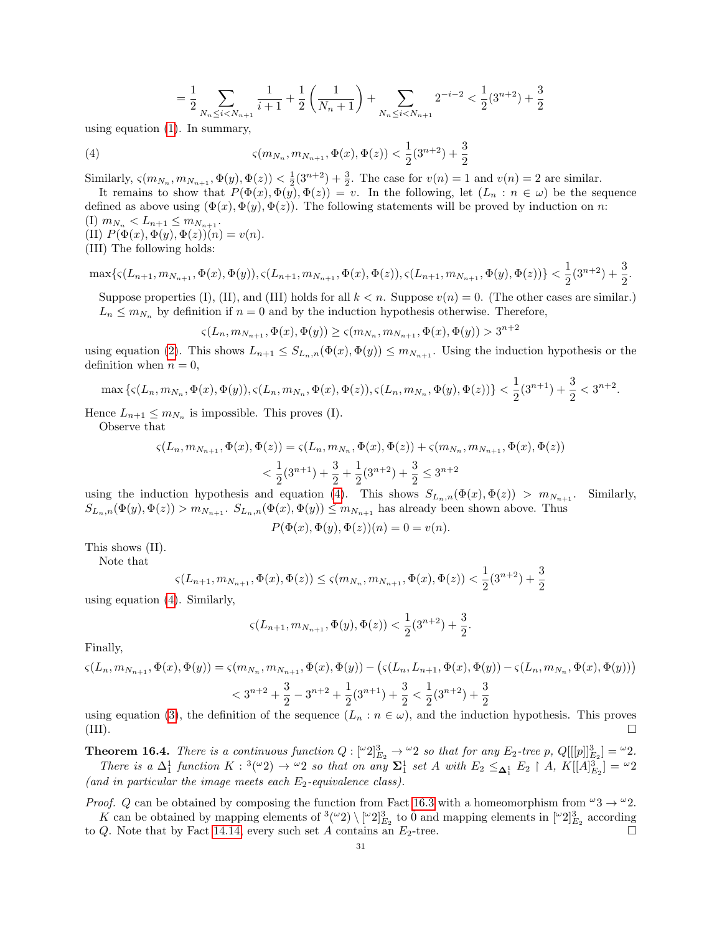<span id="page-30-0"></span>
$$
= \frac{1}{2} \sum_{N_n \leq i < N_{n+1}} \frac{1}{i+1} + \frac{1}{2}\left(\frac{1}{N_n+1}\right) + \sum_{N_n \leq i < N_{n+1}} 2^{-i-2} < \frac{1}{2}(3^{n+2}) + \frac{3}{2}
$$

using equation [\(1\)](#page-29-0). In summary,

(4) 
$$
\varsigma(m_{N_n}, m_{N_{n+1}}, \Phi(x), \Phi(z)) < \frac{1}{2}(3^{n+2}) + \frac{3}{2}
$$

Similarly,  $\varsigma(m_{N_n}, m_{N_{n+1}}, \Phi(y), \Phi(z)) < \frac{1}{2}(3^{n+2}) + \frac{3}{2}$ . The case for  $v(n) = 1$  and  $v(n) = 2$  are similar.

It remains to show that  $P(\Phi(x), \Phi(y), \Phi(z)) = v$ . In the following, let  $(L_n : n \in \omega)$  be the sequence defined as above using  $(\Phi(x), \Phi(y), \Phi(z))$ . The following statements will be proved by induction on n: (I)  $m_{N_n} < L_{n+1} \leq m_{N_{n+1}}$ .

(II)  $P(\Phi(x), \Phi(y), \Phi(z))(n) = v(n)$ . (III) The following holds:

$$
\max\{\varsigma(L_{n+1},m_{N_{n+1}},\Phi(x),\Phi(y)),\varsigma(L_{n+1},m_{N_{n+1}},\Phi(x),\Phi(z)),\varsigma(L_{n+1},m_{N_{n+1}},\Phi(y),\Phi(z))\}<\frac{1}{2}(3^{n+2})+\frac{3}{2}.
$$

Suppose properties (I), (II), and (III) holds for all  $k < n$ . Suppose  $v(n) = 0$ . (The other cases are similar.)  $L_n \leq m_{N_n}$  by definition if  $n = 0$  and by the induction hypothesis otherwise. Therefore,

$$
\varsigma(L_n, m_{N_{n+1}}, \Phi(x), \Phi(y)) \ge \varsigma(m_{N_n}, m_{N_{n+1}}, \Phi(x), \Phi(y)) > 3^{n+2}
$$

using equation [\(2\)](#page-29-1). This shows  $L_{n+1} \n\t\le S_{L_n,n}(\Phi(x), \Phi(y)) \le m_{N_{n+1}}$ . Using the induction hypothesis or the definition when  $n = 0$ ,

$$
\max\left\{\varsigma(L_n, m_{N_n}, \Phi(x), \Phi(y)), \varsigma(L_n, m_{N_n}, \Phi(x), \Phi(z)), \varsigma(L_n, m_{N_n}, \Phi(y), \Phi(z))\right\} < \frac{1}{2}(3^{n+1}) + \frac{3}{2} < 3^{n+2}.
$$

Hence  $L_{n+1} \leq m_{N_n}$  is impossible. This proves (I).

Observe that

$$
\varsigma(L_n, m_{N_{n+1}}, \Phi(x), \Phi(z)) = \varsigma(L_n, m_{N_n}, \Phi(x), \Phi(z)) + \varsigma(m_{N_n}, m_{N_{n+1}}, \Phi(x), \Phi(z)) \n< \frac{1}{2}(3^{n+1}) + \frac{3}{2} + \frac{1}{2}(3^{n+2}) + \frac{3}{2} \le 3^{n+2}
$$

using the induction hypothesis and equation [\(4\)](#page-30-0). This shows  $S_{L_n,n}(\Phi(x), \Phi(z)) > m_{N_{n+1}}$ . Similarly,  $S_{L_n,n}(\Phi(y),\Phi(z)) > m_{N_{n+1}}$ .  $S_{L_n,n}(\Phi(x),\Phi(y)) \leq m_{N_{n+1}}$  has already been shown above. Thus

$$
P(\Phi(x), \Phi(y), \Phi(z))(n) = 0 = v(n).
$$

This shows (II).

Note that

$$
\varsigma(L_{n+1}, m_{N_{n+1}}, \Phi(x), \Phi(z)) \leq \varsigma(m_{N_n}, m_{N_{n+1}}, \Phi(x), \Phi(z)) < \frac{1}{2}(3^{n+2}) + \frac{3}{2}
$$

using equation [\(4\)](#page-30-0). Similarly,

$$
\varsigma(L_{n+1}, m_{N_{n+1}}, \Phi(y), \Phi(z)) < \frac{1}{2}(3^{n+2}) + \frac{3}{2}.
$$

Finally,

$$
\varsigma(L_n, m_{N_{n+1}}, \Phi(x), \Phi(y)) = \varsigma(m_{N_n}, m_{N_{n+1}}, \Phi(x), \Phi(y)) - \left(\varsigma(L_n, L_{n+1}, \Phi(x), \Phi(y)) - \varsigma(L_n, m_{N_n}, \Phi(x), \Phi(y))\right)
$$
  

$$
< 3^{n+2} + \frac{3}{2} - 3^{n+2} + \frac{1}{2}(3^{n+1}) + \frac{3}{2} < \frac{1}{2}(3^{n+2}) + \frac{3}{2}
$$

using equation [\(3\)](#page-29-2), the definition of the sequence  $(L_n : n \in \omega)$ , and the induction hypothesis. This proves (III).

**Theorem 16.4.** There is a continuous function  $Q: [\omega^2]^3_{E_2} \to \omega^2$  so that for any  $E_2$ -tree p,  $Q[[[p]]^3_{E_2}] = \omega^2$ . There is a  $\Delta_1^1$  function  $K: {}^3({}^\omega 2) \to {}^{\omega 2}$  so that on any  $\Sigma_1^1$  set A with  $E_2 \leq_{\Delta_1^1} E_2 \restriction A$ ,  $K[[A]_{E_2}^3] = {}^{\omega 2}$ (and in particular the image meets each  $E_2$ -equivalence class).

*Proof.* Q can be obtained by composing the function from Fact [16.3](#page-28-2) with a homeomorphism from  $\omega_3 \rightarrow \omega_2$ . K can be obtained by mapping elements of  $\{(\omega_2)\}\) \left[\omega_2\right]_{E_2}^3$  to  $\tilde{0}$  and mapping elements in  $[\omega_2]_{E_2}^3$  according

to  $Q$ . Note that by Fact [14.14,](#page-27-2) every such set A contains an  $E_2$ -tree.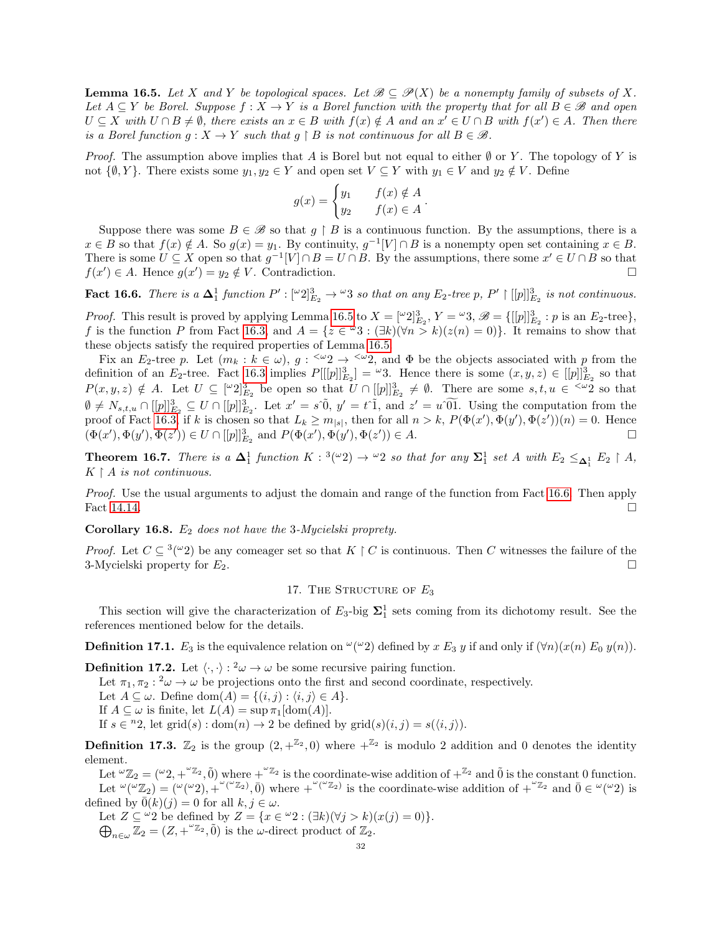<span id="page-31-1"></span>**Lemma 16.5.** Let X and Y be topological spaces. Let  $\mathcal{B} \subset \mathcal{P}(X)$  be a nonempty family of subsets of X. Let  $A \subseteq Y$  be Borel. Suppose  $f : X \to Y$  is a Borel function with the property that for all  $B \in \mathcal{B}$  and open  $U \subseteq X$  with  $U \cap B \neq \emptyset$ , there exists an  $x \in B$  with  $f(x) \notin A$  and an  $x' \in U \cap B$  with  $f(x') \in A$ . Then there is a Borel function  $g: X \to Y$  such that  $g \restriction B$  is not continuous for all  $B \in \mathcal{B}$ .

*Proof.* The assumption above implies that A is Borel but not equal to either  $\emptyset$  or Y. The topology of Y is not  $\{\emptyset, Y\}$ . There exists some  $y_1, y_2 \in Y$  and open set  $V \subseteq Y$  with  $y_1 \in V$  and  $y_2 \notin V$ . Define

$$
g(x) = \begin{cases} y_1 & f(x) \notin A \\ y_2 & f(x) \in A \end{cases}.
$$

Suppose there was some  $B \in \mathcal{B}$  so that  $g \restriction B$  is a continuous function. By the assumptions, there is a  $x \in B$  so that  $f(x) \notin A$ . So  $g(x) = y_1$ . By continuity,  $g^{-1}[V] \cap B$  is a nonempty open set containing  $x \in B$ . There is some  $U \subseteq X$  open so that  $g^{-1}[V] \cap B = U \cap B$ . By the assumptions, there some  $x' \in U \cap B$  so that  $f(x') \in A$ . Hence  $g(x') = y_2 \notin V$ . Contradiction.

<span id="page-31-2"></span>**Fact 16.6.** There is a  $\Delta_1^1$  function  $P' : [\omega_2]^3_{E_2} \to \omega_3$  so that on any  $E_2$ -tree p,  $P' \restriction [[p]]^3_{E_2}$  is not continuous.

*Proof.* This result is proved by applying Lemma [16.5](#page-31-1) to  $X = [\omega_2]^3_{E_2}$ ,  $Y = \omega_3$ ,  $\mathscr{B} = \{ [[p]]^3_{E_2} : p \text{ is an } E_2 \text{-tree} \}$ , f is the function P from Fact [16.3,](#page-28-2) and  $A = \{z \in \omega 3 : (\exists k)(\forall n > k)(z(n) = 0)\}\.$  It remains to show that these objects satisfy the required properties of Lemma [16.5.](#page-31-1)

Fix an  $E_2$ -tree p. Let  $(m_k : k \in \omega)$ ,  $g : \langle \omega_2 \rangle \to \langle \omega_2 \rangle$  and  $\Phi$  be the objects associated with p from the definition of an  $E_2$ -tree. Fact [16.3](#page-28-2) implies  $P[[p]]_{E_2}^3 = \omega_3$ . Hence there is some  $(x, y, z) \in [[p]]_{E_2}^3$  so that  $P(x, y, z) \notin A$ . Let  $U \subseteq [\omega_2]^3_{E_2}$  be open so that  $U \cap [[p]]^3_{E_2} \neq \emptyset$ . There are some  $s, t, u \in \{\omega_2\}$  so that  $\emptyset \neq N_{s,t,u} \cap [[p]]_{E_2}^3 \subseteq U \cap [[p]]_{E_2}^3$ . Let  $x' = s \tilde{\theta}, y' = t \tilde{\theta},$  and  $z' = u \tilde{\theta} \tilde{\theta}$ . Using the computation from the proof of Fact [16.3,](#page-28-2) if k is chosen so that  $L_k \geq m_{|s|}$ , then for all  $n > k$ ,  $P(\Phi(x'), \Phi(y'), \Phi(z'))(n) = 0$ . Hence  $(\Phi(x'), \Phi(y'), \Phi(z')) \in U \cap [[p]]_{E_2}^3$  and  $P(\Phi(x'), \Phi(y'), \Phi(z')) \in A$ .

**Theorem 16.7.** There is a  $\Delta_1^1$  function  $K: {}^3({}^{\omega}2) \rightarrow {}^{\omega}2$  so that for any  $\Sigma_1^1$  set A with  $E_2 \leq_{\Delta_1^1} E_2 \restriction A$ ,  $K \restriction A$  is not continuous.

Proof. Use the usual arguments to adjust the domain and range of the function from Fact [16.6.](#page-31-2) Then apply Fact [14.14.](#page-27-2)

**Corollary 16.8.**  $E_2$  does not have the 3-Mycielski proprety.

*Proof.* Let  $C \subseteq {}^{3}({}^{\omega}2)$  be any comeager set so that  $K \upharpoonright C$  is continuous. Then C witnesses the failure of the 3-Mycielski property for  $E_2$ .

# 17. THE STRUCTURE OF  $E_3$

<span id="page-31-0"></span>This section will give the characterization of  $E_3$ -big  $\Sigma_1^1$  sets coming from its dichotomy result. See the references mentioned below for the details.

**Definition 17.1.**  $E_3$  is the equivalence relation on  $\omega(\omega_2)$  defined by x  $E_3$  y if and only if  $(\forall n)(x(n) E_0 y(n))$ .

**Definition 17.2.** Let  $\langle \cdot, \cdot \rangle : \alpha^2 \omega \to \omega$  be some recursive pairing function.

Let  $\pi_1, \pi_2 :^2 \omega \to \omega$  be projections onto the first and second coordinate, respectively.

Let  $A \subseteq \omega$ . Define dom $(A) = \{(i, j) : \langle i, j \rangle \in A\}.$ 

If  $A \subseteq \omega$  is finite, let  $L(A) = \sup \pi_1[\text{dom}(A)].$ 

If  $s \in {}^{n}2$ , let grid(s) : dom(n)  $\to 2$  be defined by grid(s)(i, j) =  $s(\langle i, j \rangle)$ .

**Definition 17.3.**  $\mathbb{Z}_2$  is the group  $(2, +^{\mathbb{Z}_2}, 0)$  where  $+^{\mathbb{Z}_2}$  is modulo 2 addition and 0 denotes the identity element.

Let  ${}^{\omega}\mathbb{Z}_2 = ({}^{\omega}2, +{}^{\omega}\mathbb{Z}_2, \tilde{0})$  where  $+{}^{\omega}\mathbb{Z}_2$  is the coordinate-wise addition of  $+{}^{\mathbb{Z}_2}$  and  $\tilde{0}$  is the constant 0 function. Let  $\omega(\omega_2) = (\omega(\omega_2), + \omega(\omega_2), 0)$  where  $+\omega(\omega_2)$  is the coordinate-wise addition of  $+\omega_2$  and  $0 \in \omega(\omega_2)$  is defined by  $\overline{0}(k)(j) = 0$  for all  $k, j \in \omega$ .

Let  $Z \subseteq \omega_2$  be defined by  $Z = \{x \in \omega_2 : (\exists k)(\forall j > k)(x(j) = 0)\}.$  $\bigoplus_{n\in\omega}\mathbb{Z}_2=(Z, +^{\omega_{\mathbb{Z}_2}}, 0)$  is the  $\omega$ -direct product of  $\mathbb{Z}_2$ .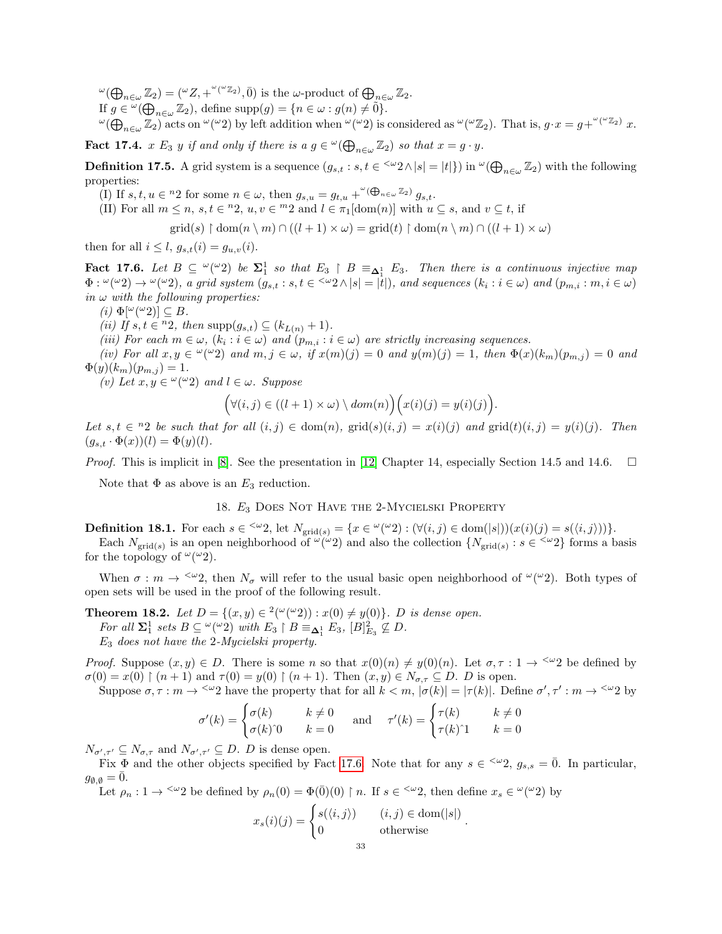$\omega(\bigoplus_{n\in\omega}\mathbb{Z}_2) = (\omega Z, +\omega(\omega Z_2), \overline{0})$  is the  $\omega$ -product of  $\bigoplus_{n\in\omega}\mathbb{Z}_2$ . If  $g \in {}^{\omega}(\bigoplus_{n \in \omega} \mathbb{Z}_2)$ , define supp $(g) = \{n \in \omega : g(n) \neq \tilde{0}\}.$  $\omega(\bigoplus_{n\in\omega}\mathbb{Z}_2)$  acts on  $\omega(\omega_2)$  by left addition when  $\omega(\omega_2)$  is considered as  $\omega(\omega_2)$ . That is,  $g \cdot x = g + \omega(\omega_2) x$ .

**Fact 17.4.**  $x E_3$  y if and only if there is  $a g \in {}^{\omega}(\bigoplus_{n \in \omega} \mathbb{Z}_2)$  so that  $x = g \cdot y$ .

**Definition 17.5.** A grid system is a sequence  $(g_{s,t} : s, t \in \langle \omega_2 \wedge | s | = |t| \})$  in  $\omega(\bigoplus_{n \in \omega} \mathbb{Z}_2)$  with the following properties:

(I) If  $s, t, u \in {}^{n}2$  for some  $n \in \omega$ , then  $g_{s,u} = g_{t,u} + {}^{\omega}(\bigoplus_{n \in \omega} \mathbb{Z}_2) g_{s,t}$ .

(II) For all  $m \leq n$ ,  $s, t \in \infty$ ,  $u, v \in \infty$  and  $l \in \pi_1[\text{dom}(n)]$  with  $u \subseteq s$ , and  $v \subseteq t$ , if

$$
\text{grid}(s) \upharpoonright \text{dom}(n \setminus m) \cap ((l+1) \times \omega) = \text{grid}(t) \upharpoonright \text{dom}(n \setminus m) \cap ((l+1) \times \omega)
$$

then for all  $i \leq l$ ,  $g_{s,t}(i) = g_{u,v}(i)$ .

<span id="page-32-2"></span>Fact 17.6. Let  $B \subseteq \omega(\omega_2)$  be  $\Sigma_1^1$  so that  $E_3 \restriction B \equiv_{\Delta_1^1} E_3$ . Then there is a continuous injective map  $\Phi: {}^{\omega}({}^{\omega}2) \to {}^{\omega}({}^{\omega}2)$ , a grid system  $(g_{s,t}: s,t \in {}^{<\omega}2 \wedge |s| = |t|)$ , and sequences  $(k_i : i \in \omega)$  and  $(p_{m,i}: m, i \in \omega)$ in  $\omega$  with the following properties:

(*i*)  $\Phi[\omega(\omega_2)] \subseteq B$ .

(ii) If  $s, t \in {}^{n}2$ , then  $supp(g_{s,t}) \subseteq (k_{L(n)} + 1)$ .

(iii) For each  $m \in \omega$ ,  $(k_i : i \in \omega)$  and  $(p_{m,i} : i \in \omega)$  are strictly increasing sequences.

(iv) For all  $x, y \in \mathcal{L}(\omega_2)$  and  $m, j \in \omega$ , if  $x(m)(j) = 0$  and  $y(m)(j) = 1$ , then  $\Phi(x)(k_m)(p_{m,j}) = 0$  and  $\Phi(y)(k_m)(p_{m,j}) = 1.$ 

(v) Let  $x, y \in \alpha(\alpha 2)$  and  $l \in \omega$ . Suppose

$$
(\forall (i,j) \in ((l+1) \times \omega) \setminus dom(n)) (x(i)(j) = y(i)(j)).
$$

Let  $s, t \in {}^{n}2$  be such that for all  $(i, j) \in dom(n)$ ,  $grid(s)(i, j) = x(i)(j)$  and  $grid(t)(i, j) = y(i)(j)$ . Then  $(g_{s,t} \cdot \Phi(x))(l) = \Phi(y)(l).$ 

*Proof.* This is implicit in [\[8\]](#page-34-9). See the presentation in [\[12\]](#page-34-0) Chapter 14, especially Section 14.5 and 14.6.  $\Box$ 

<span id="page-32-1"></span>Note that  $\Phi$  as above is an  $E_3$  reduction.

### 18. E<sup>3</sup> Does Not Have the 2-Mycielski Property

**Definition 18.1.** For each  $s \in \langle \omega_2 \rangle$ , let  $N_{\text{grid}(s)} = \{x \in \omega(\omega_2) : (\forall (i,j) \in \text{dom}(|s|))(x(i)(j) = s(\langle i,j \rangle))\}.$ Each  $N_{\text{grid}(s)}$  is an open neighborhood of  $\omega(\omega_2)$  and also the collection  $\{N_{\text{grid}(s)} : s \in \omega_2\}$  forms a basis for the topology of  $\omega(\omega_2)$ .

When  $\sigma : m \to \infty$ , then  $N_{\sigma}$  will refer to the usual basic open neighborhood of  $\omega(\omega_2)$ . Both types of open sets will be used in the proof of the following result.

<span id="page-32-0"></span>**Theorem 18.2.** Let  $D = \{(x, y) \in {}^{2}(\omega(\omega_2)) : x(0) \neq y(0)\}$ . D is dense open.

For all  $\Sigma_1^1$  sets  $B \subseteq {}^{\omega}({}^{\omega}2)$  with  $E_3 \restriction B \equiv_{\pmb{\Delta}_1^1} E_3$ ,  $[B]_{E_3}^2 \nsubseteq D$ .

E<sup>3</sup> does not have the 2-Mycielski property.

*Proof.* Suppose  $(x, y) \in D$ . There is some n so that  $x(0)(n) \neq y(0)(n)$ . Let  $\sigma, \tau : 1 \to \infty$  be defined by  $\sigma(0) = x(0) \restriction (n+1)$  and  $\tau(0) = y(0) \restriction (n+1)$ . Then  $(x, y) \in N_{\sigma,\tau} \subseteq D$ . D is open.

Suppose  $\sigma, \tau : m \to \infty$  have the property that for all  $k < m$ ,  $|\sigma(k)| = |\tau(k)|$ . Define  $\sigma', \tau' : m \to \infty$  by

$$
\sigma'(k) = \begin{cases} \sigma(k) & k \neq 0 \\ \sigma(k) \hat{0} & k = 0 \end{cases} \quad \text{and} \quad \tau'(k) = \begin{cases} \tau(k) & k \neq 0 \\ \tau(k) \hat{1} & k = 0 \end{cases}
$$

 $N_{\sigma',\tau'} \subseteq N_{\sigma,\tau}$  and  $N_{\sigma',\tau'} \subseteq D$ . D is dense open.

Fix  $\Phi$  and the other objects specified by Fact [17.6.](#page-32-2) Note that for any  $s \in \langle \omega_2, g_{s,s} = \overline{0}$ . In particular,  $g_{\emptyset,\emptyset}=\overline{0}.$ 

Let  $\rho_n: 1 \to \langle \omega_2 \rangle$  be defined by  $\rho_n(0) = \Phi(0)$  (0) | n. If  $s \in \langle \omega_2 \rangle$ , then define  $x_s \in \omega(\omega_2)$  by

$$
x_s(i)(j) = \begin{cases} s(\langle i, j \rangle) & (i, j) \in \text{dom}(|s|) \\ 0 & \text{otherwise} \end{cases}
$$

.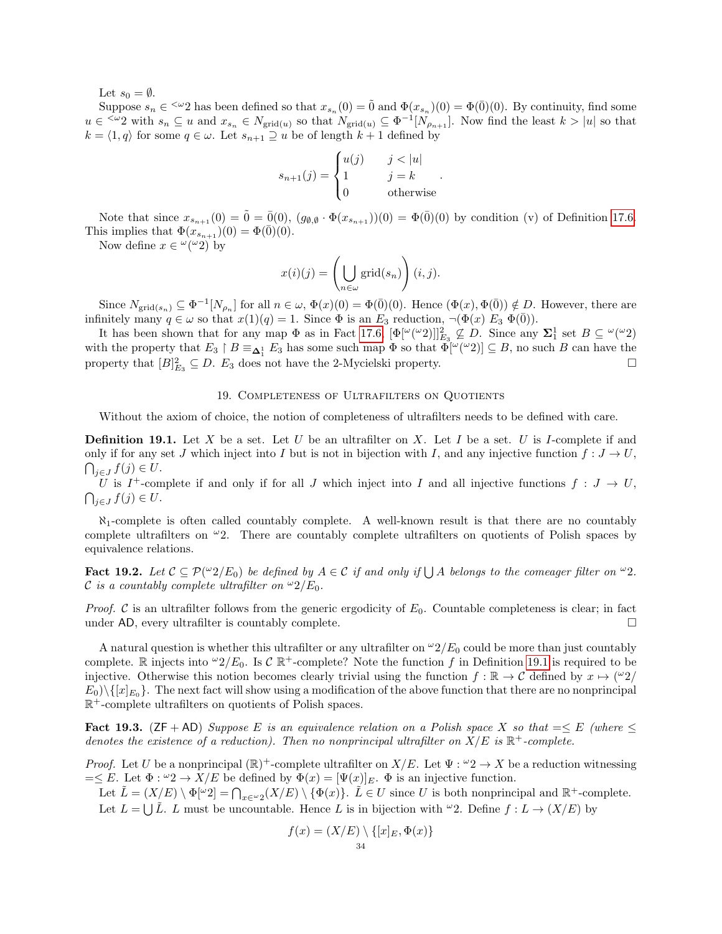Let  $s_0 = \emptyset$ .

Suppose  $s_n \in \langle x_2 \rangle$  has been defined so that  $x_{s_n}(0) = \tilde{0}$  and  $\Phi(x_{s_n})(0) = \Phi(\bar{0})(0)$ . By continuity, find some  $u \in \langle u_2 \rangle$  with  $s_n \subseteq u$  and  $x_{s_n} \in N_{\text{grid}(u)}$  so that  $N_{\text{grid}(u)} \subseteq \Phi^{-1}[N_{\rho_{n+1}}]$ . Now find the least  $k > |u|$  so that  $k = \langle 1, q \rangle$  for some  $q \in \omega$ . Let  $s_{n+1} \supseteq u$  be of length  $k+1$  defined by

$$
s_{n+1}(j) = \begin{cases} u(j) & j < |u| \\ 1 & j = k \\ 0 & \text{otherwise} \end{cases}.
$$

Note that since  $x_{s_{n+1}}(0) = 0 = 0(0)$ ,  $(g_{\emptyset,\emptyset} \cdot \Phi(x_{s_{n+1}}))(0) = \Phi(0)(0)$  by condition (v) of Definition [17.6.](#page-32-2) This implies that  $\Phi(x_{s_{n+1}})(0) = \Phi(0)(0)$ .

Now define  $x \in \alpha(\omega_2)$  by

$$
x(i)(j) = \left(\bigcup_{n \in \omega} \text{grid}(s_n)\right)(i, j).
$$

Since  $N_{\text{grid}(s_n)} \subseteq \Phi^{-1}[N_{\rho_n}]$  for all  $n \in \omega$ ,  $\Phi(x)(0) = \Phi(\bar{0})(0)$ . Hence  $(\Phi(x), \Phi(\bar{0})) \notin D$ . However, there are infinitely many  $q \in \omega$  so that  $x(1)(q) = 1$ . Since  $\Phi$  is an  $E_3$  reduction,  $\neg(\Phi(x) E_3 \Phi(\overline{0}))$ .

It has been shown that for any map  $\Phi$  as in Fact [17.6,](#page-32-2)  $[\Phi[\omega(\omega_2)]]_{E_3}^2 \not\subseteq D$ . Since any  $\Sigma_1^1$  set  $B \subseteq \omega(\omega_2)$ with the property that  $E_3 \upharpoonright B \equiv_{\Delta_1^1} E_3$  has some such map  $\Phi$  so that  $\Phi[\omega(\omega_2)] \subseteq B$ , no such B can have the property that  $[B]_{E_3}^2 \subseteq D$ .  $E_3$  does not have the 2-Mycielski property.

### 19. Completeness of Ultrafilters on Quotients

<span id="page-33-0"></span>Without the axiom of choice, the notion of completeness of ultrafilters needs to be defined with care.

<span id="page-33-1"></span>**Definition 19.1.** Let X be a set. Let U be an ultrafilter on X. Let I be a set. U is I-complete if and only if for any set J which inject into I but is not in bijection with I, and any injective function  $f: J \to U$ ,  $\bigcap_{j\in J}f(j)\in U.$ 

U is  $I^+$ -complete if and only if for all J which inject into I and all injective functions  $f: J \to U$ ,  $\bigcap_{j\in J}f(j)\in U.$ 

 $\aleph_1$ -complete is often called countably complete. A well-known result is that there are no countably complete ultrafilters on  $\omega_2$ . There are countably complete ultrafilters on quotients of Polish spaces by equivalence relations.

Fact 19.2. Let  $C \subseteq \mathcal{P}(\omega_2/E_0)$  be defined by  $A \in \mathcal{C}$  if and only if  $\bigcup A$  belongs to the comeager filter on  $\omega_2$ . C is a countably complete ultrafilter on  $\omega_2/E_0$ .

*Proof.* C is an ultrafilter follows from the generic ergodicity of  $E_0$ . Countable completeness is clear; in fact under AD, every ultrafilter is countably complete.  $\Box$ 

A natural question is whether this ultrafilter or any ultrafilter on  $\omega/2/E_0$  could be more than just countably complete. R injects into  $\omega_2/E_0$ . Is  $\mathcal{C} \mathbb{R}^+$ -complete? Note the function f in Definition [19.1](#page-33-1) is required to be injective. Otherwise this notion becomes clearly trivial using the function  $f : \mathbb{R} \to \mathcal{C}$  defined by  $x \mapsto (\omega_2)$  $E_0 \setminus \{ [x]_{E_0} \}$ . The next fact will show using a modification of the above function that there are no nonprincipal  $\mathbb{R}^+$ -complete ultrafilters on quotients of Polish spaces.

<span id="page-33-2"></span>Fact 19.3. ( $ZF + AD$ ) Suppose E is an equivalence relation on a Polish space X so that  $=\leq E$  (where  $\leq$ denotes the existence of a reduction). Then no nonprincipal ultrafilter on  $X/E$  is  $\mathbb{R}^+$ -complete.

*Proof.* Let U be a nonprincipal  $(\mathbb{R})^+$ -complete ultrafilter on  $X/E$ . Let  $\Psi : \omega_2 \to X$  be a reduction witnessing  $=\leq E$ . Let  $\Phi: \omega_2 \to X/E$  be defined by  $\Phi(x) = [\Psi(x)]_E$ .  $\Phi$  is an injective function.

Let  $\tilde{L} = (X/E) \setminus \Phi[\omega_2] = \bigcap_{x \in \omega_2} (X/E) \setminus \{\Phi(x)\}.$   $\tilde{L} \in U$  since U is both nonprincipal and  $\mathbb{R}^+$ -complete. Let  $L = \bigcup \tilde{L}$ . L must be uncountable. Hence L is in bijection with  $\omega$ ?. Define  $f : L \to (X/E)$  by

$$
f(x) = (X/E) \setminus \{ [x]_E, \Phi(x) \}
$$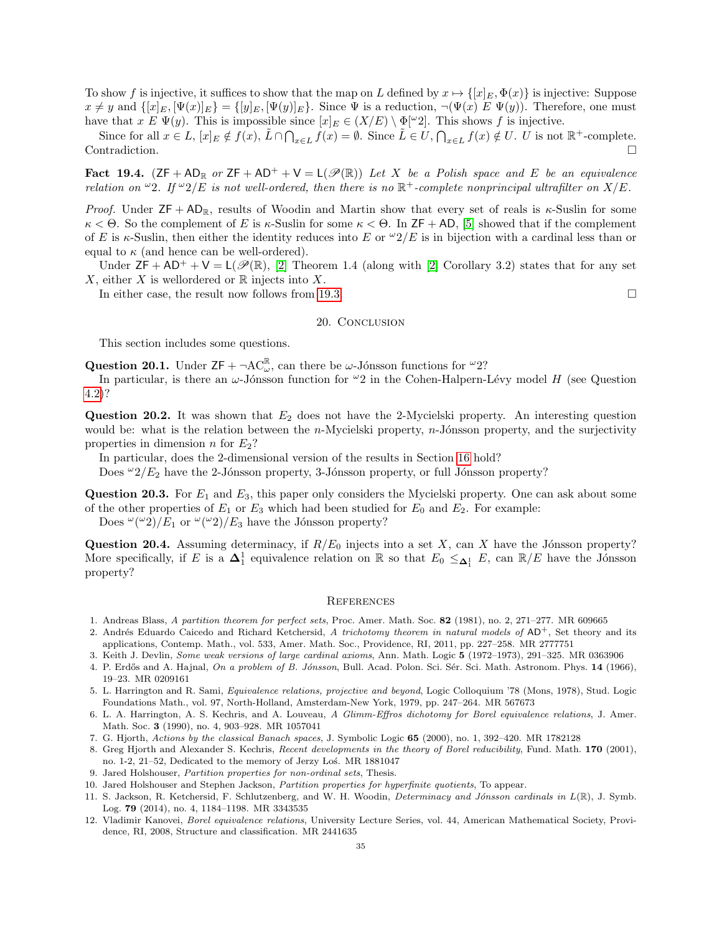To show f is injective, it suffices to show that the map on L defined by  $x \mapsto \{[x]_E, \Phi(x)\}\$ is injective: Suppose  $x \neq y$  and  $\{[x]_E, [\Psi(x)]_E\} = \{[y]_E, [\Psi(y)]_E\}$ . Since  $\Psi$  is a reduction,  $\neg(\Psi(x) \, E \, \Psi(y))$ . Therefore, one must have that  $x \to \Psi(y)$ . This is impossible since  $[x]_E \in (X/E) \setminus \Phi[\omega_2]$ . This shows f is injective.

Since for all  $x \in L$ ,  $[x]_E \notin f(x)$ ,  $\tilde{L} \cap \bigcap_{x \in L} f(x) = \emptyset$ . Since  $\tilde{L} \in U$ ,  $\bigcap_{x \in L} f(x) \notin U$ . U is not  $\mathbb{R}^+$ -complete. Contradiction.

Fact 19.4.  $(ZF + AD_R \text{ or } ZF + AD^+ + V = L(\mathscr{P}(\mathbb{R}))$  Let X be a Polish space and E be an equivalence relation on  $\omega_2$ . If  $\omega_2/E$  is not well-ordered, then there is no  $\mathbb{R}^+$ -complete nonprincipal ultrafilter on  $X/E$ .

*Proof.* Under  $ZF + AD_R$ , results of Woodin and Martin show that every set of reals is  $\kappa$ -Suslin for some κ < Θ. So the complement of E is κ-Suslin for some κ < Θ. In ZF + AD, [\[5\]](#page-34-10) showed that if the complement of E is  $\kappa$ -Suslin, then either the identity reduces into E or  $\omega/2/E$  is in bijection with a cardinal less than or equal to  $\kappa$  (and hence can be well-ordered).

Under  $ZF + AD^+ + V = L(\mathscr{P}(\mathbb{R}), [2]$  $ZF + AD^+ + V = L(\mathscr{P}(\mathbb{R}), [2]$  Theorem 1.4 (along with [2] Corollary 3.2) states that for any set X, either X is wellordered or  $\mathbb R$  injects into X.

In either case, the result now follows from [19.3.](#page-33-2)

### 20. CONCLUSION

This section includes some questions.

**Question 20.1.** Under  $ZF + \neg AC_{\omega}^{\mathbb{R}}$ , can there be  $\omega$ -Jónsson functions for  $^{\omega}2$ ?

In particular, is there an  $\omega$ -Jónsson function for  $\omega_2$  in the Cohen-Halpern-Lévy model H (see Question [4.2\)](#page-9-2)?

**Question 20.2.** It was shown that  $E_2$  does not have the 2-Mycielski property. An interesting question would be: what is the relation between the  $n$ -Mycielski property,  $n$ -Jónsson property, and the surjectivity properties in dimension n for  $E_2$ ?

In particular, does the 2-dimensional version of the results in Section [16](#page-28-0) hold?

Does  $\omega_2/E_2$  have the 2-Jónsson property, 3-Jónsson property, or full Jónsson property?

**Question 20.3.** For  $E_1$  and  $E_3$ , this paper only considers the Mycielski property. One can ask about some of the other properties of  $E_1$  or  $E_3$  which had been studied for  $E_0$  and  $E_2$ . For example:

Does  $\omega(\omega_2)/E_1$  or  $\omega(\omega_2)/E_3$  have the Jónsson property?

**Question 20.4.** Assuming determinacy, if  $R/E_0$  injects into a set X, can X have the Jónsson property? More specifically, if E is a  $\Delta_1^1$  equivalence relation on R so that  $E_0 \leq_{\Delta_1^1} E$ , can  $\mathbb{R}/E$  have the Jónsson property?

### **REFERENCES**

- <span id="page-34-7"></span>1. Andreas Blass, A partition theorem for perfect sets, Proc. Amer. Math. Soc. 82 (1981), no. 2, 271–277. MR 609665
- <span id="page-34-11"></span>2. Andrés Eduardo Caicedo and Richard Ketchersid, A trichotomy theorem in natural models of  $AD^+$ , Set theory and its applications, Contemp. Math., vol. 533, Amer. Math. Soc., Providence, RI, 2011, pp. 227–258. MR 2777751
- <span id="page-34-2"></span>3. Keith J. Devlin, Some weak versions of large cardinal axioms, Ann. Math. Logic 5 (1972–1973), 291–325. MR 0363906
- <span id="page-34-1"></span>4. P. Erdős and A. Hajnal, On a problem of B. Jónsson, Bull. Acad. Polon. Sci. Sér. Sci. Math. Astronom. Phys. 14 (1966), 19–23. MR 0209161
- <span id="page-34-10"></span>5. L. Harrington and R. Sami, Equivalence relations, projective and beyond, Logic Colloquium '78 (Mons, 1978), Stud. Logic Foundations Math., vol. 97, North-Holland, Amsterdam-New York, 1979, pp. 247–264. MR 567673
- <span id="page-34-6"></span>6. L. A. Harrington, A. S. Kechris, and A. Louveau, A Glimm-Effros dichotomy for Borel equivalence relations, J. Amer. Math. Soc. 3 (1990), no. 4, 903–928. MR 1057041
- <span id="page-34-8"></span>7. G. Hjorth, Actions by the classical Banach spaces, J. Symbolic Logic 65 (2000), no. 1, 392–420. MR 1782128
- <span id="page-34-9"></span>8. Greg Hjorth and Alexander S. Kechris, Recent developments in the theory of Borel reducibility, Fund. Math. 170 (2001), no. 1-2, 21–52, Dedicated to the memory of Jerzy Łoś. MR 1881047
- <span id="page-34-5"></span>9. Jared Holshouser, Partition properties for non-ordinal sets, Thesis.
- <span id="page-34-4"></span>10. Jared Holshouser and Stephen Jackson, Partition properties for hyperfinite quotients, To appear.
- <span id="page-34-3"></span>11. S. Jackson, R. Ketchersid, F. Schlutzenberg, and W. H. Woodin, Determinacy and Jónsson cardinals in  $L(\mathbb{R})$ , J. Symb. Log. 79 (2014), no. 4, 1184–1198. MR 3343535
- <span id="page-34-0"></span>12. Vladimir Kanovei, Borel equivalence relations, University Lecture Series, vol. 44, American Mathematical Society, Providence, RI, 2008, Structure and classification. MR 2441635